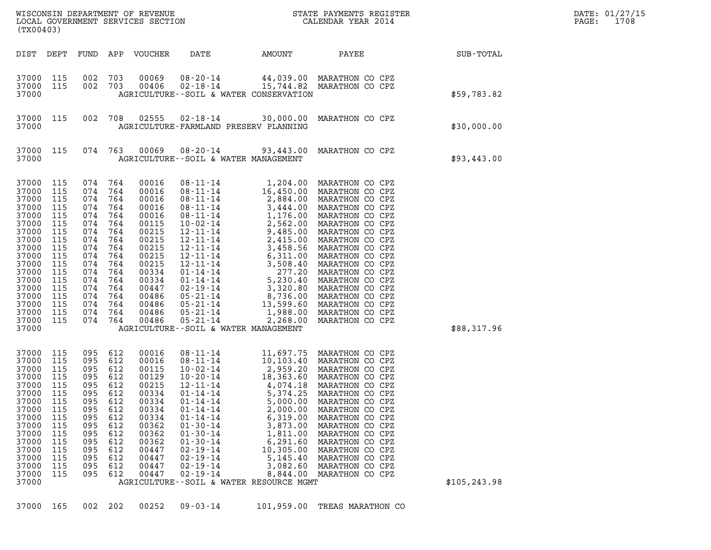|                                                                                                                                                                         |                                                                                                                            |                                                                                                                                    | DATE: 01/27/15<br>1708<br>$\mathtt{PAGE}$ :                                                                  |                                                                                                                                                                |                                                                                                                                                                                                                                                                                                                                         |                                                                                                                                                                                                                                               |                                                                                                                                                                                                                                                                                                                                                    |               |  |
|-------------------------------------------------------------------------------------------------------------------------------------------------------------------------|----------------------------------------------------------------------------------------------------------------------------|------------------------------------------------------------------------------------------------------------------------------------|--------------------------------------------------------------------------------------------------------------|----------------------------------------------------------------------------------------------------------------------------------------------------------------|-----------------------------------------------------------------------------------------------------------------------------------------------------------------------------------------------------------------------------------------------------------------------------------------------------------------------------------------|-----------------------------------------------------------------------------------------------------------------------------------------------------------------------------------------------------------------------------------------------|----------------------------------------------------------------------------------------------------------------------------------------------------------------------------------------------------------------------------------------------------------------------------------------------------------------------------------------------------|---------------|--|
| (TX00403)                                                                                                                                                               |                                                                                                                            |                                                                                                                                    |                                                                                                              |                                                                                                                                                                |                                                                                                                                                                                                                                                                                                                                         |                                                                                                                                                                                                                                               |                                                                                                                                                                                                                                                                                                                                                    |               |  |
| DIST DEPT                                                                                                                                                               |                                                                                                                            | FUND                                                                                                                               |                                                                                                              | APP VOUCHER                                                                                                                                                    | DATE                                                                                                                                                                                                                                                                                                                                    | AMOUNT                                                                                                                                                                                                                                        | PAYEE                                                                                                                                                                                                                                                                                                                                              | SUB-TOTAL     |  |
| 37000 115<br>37000<br>37000                                                                                                                                             | 115                                                                                                                        | 002 703<br>002 703                                                                                                                 |                                                                                                              | 00069<br>00406                                                                                                                                                 | 08-20-14<br>$02 - 18 - 14$<br>AGRICULTURE -- SOIL & WATER CONSERVATION                                                                                                                                                                                                                                                                  |                                                                                                                                                                                                                                               | 44,039.00 MARATHON CO CPZ<br>15,744.82 MARATHON CO CPZ                                                                                                                                                                                                                                                                                             | \$59,783.82   |  |
| 37000 115<br>37000                                                                                                                                                      |                                                                                                                            | 002 708                                                                                                                            |                                                                                                              | 02555                                                                                                                                                          | $02 - 18 - 14$ 30,000.00<br>AGRICULTURE-FARMLAND PRESERV PLANNING                                                                                                                                                                                                                                                                       |                                                                                                                                                                                                                                               | MARATHON CO CPZ                                                                                                                                                                                                                                                                                                                                    | \$30,000.00   |  |
| 37000 115<br>37000                                                                                                                                                      |                                                                                                                            | 074 763                                                                                                                            |                                                                                                              | 00069                                                                                                                                                          | $08 - 20 - 14$ 93,443.00<br>AGRICULTURE--SOIL & WATER MANAGEMENT                                                                                                                                                                                                                                                                        |                                                                                                                                                                                                                                               | MARATHON CO CPZ                                                                                                                                                                                                                                                                                                                                    | \$93,443.00   |  |
| 37000<br>37000<br>37000<br>37000<br>37000<br>37000<br>37000<br>37000<br>37000<br>37000<br>37000<br>37000<br>37000<br>37000<br>37000<br>37000<br>37000<br>37000<br>37000 | 115<br>115<br>115<br>115<br>115<br>115<br>115<br>115<br>115<br>115<br>115<br>115<br>115<br>115<br>115<br>115<br>115<br>115 | 074<br>074<br>074<br>074<br>074<br>074<br>074<br>074<br>074<br>074<br>074<br>074<br>074<br>074<br>074<br>074<br>074 764<br>074 764 | 764<br>764<br>764<br>764<br>764<br>764<br>764<br>764<br>764<br>764<br>764<br>764<br>764<br>764<br>764<br>764 | 00016<br>00016<br>00016<br>00016<br>00016<br>00115<br>00215<br>00215<br>00215<br>00215<br>00215<br>00334<br>00334<br>00447<br>00486<br>00486<br>00486<br>00486 | $08 - 11 - 14$<br>$08 - 11 - 14$<br>$08 - 11 - 14$<br>08-11-14<br>08-11-14<br>10-02-14<br>12-11-14<br>12-11-14<br>$12 - 11 - 14$<br>$12 - 11 - 14$<br>$12 - 11 - 14$<br>$01 - 14 - 14$<br>$01 - 14 - 14$<br>02-19-14<br>05-21-14<br>$05 - 21 - 14$<br>$05 - 21 - 14$<br>$05 - 21 - 14$<br>AGRICULTURE--SOIL & WATER MANAGEMENT          | 1,204.00<br>16,450.00<br>2,884.00<br>2,884.00<br>3,444.00<br>1,176.00<br>2,562.00<br>2,485.00<br>2,415.00<br>3,458.56<br>6,311.00<br>3,508.40<br>277.20<br>5,230.40<br>3,736.00<br>8,736.00<br>13,599.60<br>13,599.60<br>1,988.00<br>2,268.00 | MARATHON CO CPZ<br>MARATHON CO CPZ<br>MARATHON CO CPZ<br>MARATHON CO CPZ<br>MARATHON CO CPZ<br>MARATHON CO CPZ<br>MARATHON CO CPZ<br>MARATHON CO CPZ<br>MARATHON CO CPZ<br>MARATHON CO CPZ<br>MARATHON CO CPZ<br>MARATHON CO CPZ<br>MARATHON CO CPZ<br>MARATHON CO CPZ<br>MARATHON CO CPZ<br>MARATHON CO CPZ<br>MARATHON CO CPZ<br>MARATHON CO CPZ | \$88,317.96   |  |
| 37000<br>37000<br>37000<br>37000<br>37000<br>37000<br>37000<br>37000<br>37000<br>37000<br>37000<br>37000<br>37000<br>37000<br>37000<br>37000<br>37000                   | 115<br>115<br>115<br>115<br>115<br>115<br>115<br>115<br>115<br>115<br>115<br>115<br>115<br>115<br>115<br>115               | 095<br>095<br>095<br>095<br>095<br>095<br>095<br>095<br>095<br>095<br>095<br>095<br>095<br>095<br>095<br>095                       | 612<br>612<br>612<br>612<br>612<br>612<br>612<br>612<br>612<br>612<br>612<br>612<br>612<br>612<br>612<br>612 | 00016<br>00016<br>00115<br>00129<br>00215<br>00334<br>00334<br>00334<br>00334<br>00362<br>00362<br>00362<br>00447<br>00447<br>00447<br>00447                   | $08 - 11 - 14$<br>$08 - 11 - 14$<br>$10 - 02 - 14$<br>$10 - 20 - 14$<br>$12 - 11 - 14$<br>$01 - 14 - 14$<br>$01 - 14 - 14$<br>$01 - 14 - 14$<br>$01 - 14 - 14$<br>$01 - 30 - 14$<br>$01 - 30 - 14$<br>$01 - 30 - 14$<br>$02 - 19 - 14$<br>$02 - 19 - 14$<br>$02 - 19 - 14$<br>$02 - 19 - 14$<br>AGRICULTURE--SOIL & WATER RESOURCE MGMT | 11,697.75<br>10,103.40<br>2,959.20<br>18,363.60<br>4,074.18<br>5,374.25<br>5,000.00<br>2,000.00<br>6,319.00<br>3,873.00<br>1,811.00<br>6,291.60<br>10,305.00<br>5,145.40<br>3,082.60<br>8,844.00                                              | MARATHON CO CPZ<br>MARATHON CO CPZ<br>MARATHON CO CPZ<br>MARATHON CO CPZ<br>MARATHON CO CPZ<br>MARATHON CO CPZ<br>MARATHON CO CPZ<br>MARATHON CO CPZ<br>MARATHON CO CPZ<br>MARATHON CO CPZ<br>MARATHON CO CPZ<br>MARATHON CO CPZ<br>MARATHON CO CPZ<br>MARATHON CO CPZ<br>MARATHON CO CPZ<br>MARATHON CO CPZ                                       | \$105, 243.98 |  |
| 37000 165                                                                                                                                                               |                                                                                                                            | 002 202                                                                                                                            |                                                                                                              | 00252                                                                                                                                                          | $09 - 03 - 14$                                                                                                                                                                                                                                                                                                                          | 101,959.00                                                                                                                                                                                                                                    | TREAS MARATHON CO                                                                                                                                                                                                                                                                                                                                  |               |  |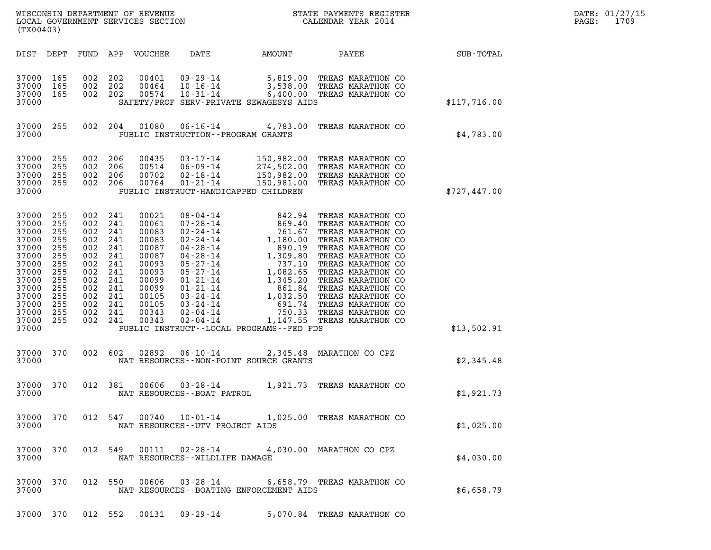| DATE: | 01/27/15 |
|-------|----------|
| PAGE: | 1709     |

| (TX00403)                                                                                                                                                                                                                                                                                            | $\tt WISCONSIM DEPARTMENT OF REVENUE$ $\tt WISCONSIMENT$ SERVICES SECTION $\tt WISCONERNMENT$ SERVICES SECTION $\tt CALENDAR$ YEAR $2014$                                                                                                                                                                                                                                                                                                                                                                                                                                                                                     |                  | DATE: 01/27/15<br>1709<br>$\mathtt{PAGE}$ : |
|------------------------------------------------------------------------------------------------------------------------------------------------------------------------------------------------------------------------------------------------------------------------------------------------------|-------------------------------------------------------------------------------------------------------------------------------------------------------------------------------------------------------------------------------------------------------------------------------------------------------------------------------------------------------------------------------------------------------------------------------------------------------------------------------------------------------------------------------------------------------------------------------------------------------------------------------|------------------|---------------------------------------------|
| DIST DEPT                                                                                                                                                                                                                                                                                            | DATE<br>FUND APP VOUCHER<br>AMOUNT<br>PAYEE                                                                                                                                                                                                                                                                                                                                                                                                                                                                                                                                                                                   | <b>SUB-TOTAL</b> |                                             |
| 37000<br>165<br>37000<br>165<br>37000<br>165<br>37000                                                                                                                                                                                                                                                | 09-29-14 5,819.00 TREAS MARATHON CO<br>10-16-14 3,538.00 TREAS MARATHON CO<br>002 202<br>00401<br>002 202<br>00464<br>002 202<br>00574<br>$10 - 31 - 14$<br>6,400.00 TREAS MARATHON CO<br>SAFETY/PROF SERV-PRIVATE SEWAGESYS AIDS                                                                                                                                                                                                                                                                                                                                                                                             | \$117,716.00     |                                             |
| 37000 255<br>37000                                                                                                                                                                                                                                                                                   | 002 204<br>01080<br>06-16-14 4,783.00 TREAS MARATHON CO<br>PUBLIC INSTRUCTION--PROGRAM GRANTS                                                                                                                                                                                                                                                                                                                                                                                                                                                                                                                                 | \$4,783.00       |                                             |
| 37000<br>255<br>37000<br>255<br>37000<br>255<br>37000<br>255<br>37000                                                                                                                                                                                                                                | 002 206<br>03-17-14<br>150,982.00 TREAS MARATHON CO<br>00435<br>274,502.00 TREAS MARATHON CO<br>150,982.00 TREAS MARATHON CO<br>002 206<br>00514<br>$06 - 09 - 14$<br>002 206<br>00702<br>$02 - 18 - 14$<br>150,981.00<br>002 206<br>00764<br>$01 - 21 - 14$<br>TREAS MARATHON CO<br>PUBLIC INSTRUCT-HANDICAPPED CHILDREN                                                                                                                                                                                                                                                                                                     | \$727,447.00     |                                             |
| 37000<br>255<br>002<br>37000<br>255<br>37000<br>255<br>002<br>37000<br>255<br>002<br>37000<br>255<br>002<br>37000<br>255<br>002<br>37000<br>255<br>002<br>37000<br>255<br>002<br>37000<br>255<br>002<br>37000<br>255<br>37000<br>255<br>37000<br>255<br>37000<br>002<br>255<br>37000<br>255<br>37000 | 241<br>00021<br>TREAS MARATHON CO<br>002 241<br>00061<br>TREAS MARATHON CO<br>241<br>00083<br>TREAS MARATHON CO<br>241<br>00083<br>TREAS MARATHON CO<br>241<br>00087<br>TREAS MARATHON CO<br>241<br>00087<br>TREAS MARATHON CO<br>241<br>00093<br>TREAS MARATHON CO<br>241<br>00093<br>TREAS MARATHON CO<br>241<br>00099<br>TREAS MARATHON CO<br>002 241<br>00099<br>TREAS MARATHON CO<br>002 241<br>00105<br>TREAS MARATHON CO<br>002 241<br>00105<br>TREAS MARATHON CO<br>241<br>00343<br>TREAS MARATHON CO<br>002 241<br>00343<br>$02 - 04 - 14$<br>1,147.55 TREAS MARATHON CO<br>PUBLIC INSTRUCT--LOCAL PROGRAMS--FED FDS | \$13,502.91      |                                             |
| 37000 370<br>37000                                                                                                                                                                                                                                                                                   | 002 602<br>02892<br>06-10-14 2,345.48 MARATHON CO CPZ<br>NAT RESOURCES - - NON-POINT SOURCE GRANTS                                                                                                                                                                                                                                                                                                                                                                                                                                                                                                                            | \$2,345.48       |                                             |
| 37000 370<br>37000                                                                                                                                                                                                                                                                                   | 012 381<br>00606<br>$03 - 28 - 14$<br>1,921.73 TREAS MARATHON CO<br>NAT RESOURCES - - BOAT PATROL                                                                                                                                                                                                                                                                                                                                                                                                                                                                                                                             | \$1,921.73       |                                             |
| 37000 370<br>37000                                                                                                                                                                                                                                                                                   | 012 547 00740 10-01-14 1,025.00 TREAS MARATHON CO<br>NAT RESOURCES--UTV PROJECT AIDS                                                                                                                                                                                                                                                                                                                                                                                                                                                                                                                                          | \$1,025.00       |                                             |
| 37000 370<br>37000                                                                                                                                                                                                                                                                                   | 012 549 00111 02-28-14 4,030.00 MARATHON CO CPZ<br>NAT RESOURCES - WILDLIFE DAMAGE                                                                                                                                                                                                                                                                                                                                                                                                                                                                                                                                            | \$4,030.00       |                                             |
| 37000 370<br>37000                                                                                                                                                                                                                                                                                   | 012 550 00606 03-28-14 6,658.79 TREAS MARATHON CO<br>NAT RESOURCES - - BOATING ENFORCEMENT AIDS                                                                                                                                                                                                                                                                                                                                                                                                                                                                                                                               | \$6,658.79       |                                             |

37000 370 012 552 00131 09-29-14 5,070.84 TREAS MARATHON CO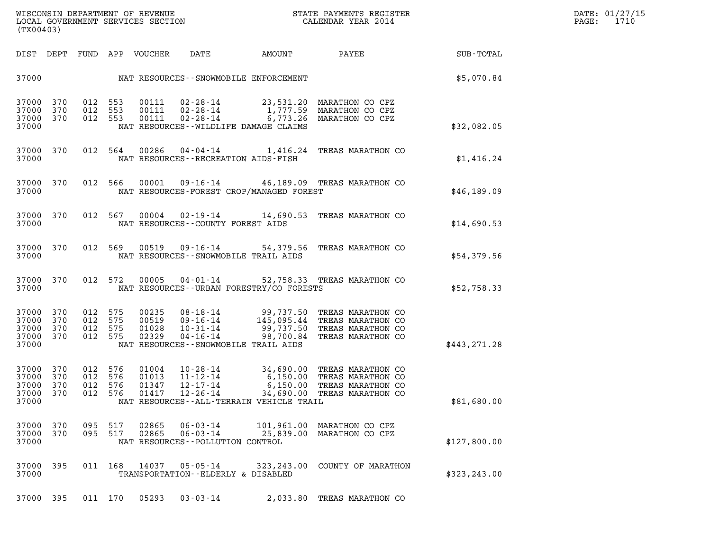| WISCONSIN DEPARTMENT OF REVENUE   | STATE PAYMENTS REGISTER | DATE: 01/27/15 |
|-----------------------------------|-------------------------|----------------|
| LOCAL GOVERNMENT SERVICES SECTION | CALENDAR YEAR 2014      | 1710<br>PAGE:  |

| (TX00403)                                                                     | WISCONSIN DEPARTMENT OF REVENUE<br>LOCAL GOVERNMENT SERVICES SECTION THE STATE PAYMENTS REGISTER<br>(TWAR 1931)                      |                                                                                                                                                               |               | DATE: 01/27/15<br>PAGE: 1710 |
|-------------------------------------------------------------------------------|--------------------------------------------------------------------------------------------------------------------------------------|---------------------------------------------------------------------------------------------------------------------------------------------------------------|---------------|------------------------------|
|                                                                               | DIST DEPT FUND APP VOUCHER DATE AMOUNT PAYEE TO SUB-TOTAL                                                                            |                                                                                                                                                               |               |                              |
|                                                                               | 37000 NAT RESOURCES - - SNOWMOBILE ENFORCEMENT                                                                                       |                                                                                                                                                               | \$5,070.84    |                              |
| 012 553<br>37000 370<br>37000 370<br>37000                                    | 37000 370 012 553 00111 02-28-14 23,531.20 MARATHON CO CPZ<br>012 553<br>00111<br>NAT RESOURCES -- WILDLIFE DAMAGE CLAIMS            | 00111 02-28-14 1,777.59 MARATHON CO CPZ<br>02-28-14 6,773.26 MARATHON CO CPZ                                                                                  | \$32,082.05   |                              |
| 37000                                                                         | 37000 370 012 564 00286 04-04-14 1,416.24 TREAS MARATHON CO<br>NAT RESOURCES - - RECREATION AIDS - FISH                              |                                                                                                                                                               | \$1,416.24    |                              |
| 37000                                                                         | 37000 370 012 566 00001 09-16-14 46,189.09 TREAS MARATHON CO<br>NAT RESOURCES-FOREST CROP/MANAGED FOREST                             |                                                                                                                                                               | \$46,189.09   |                              |
| 37000                                                                         | 37000 370 012 567 00004 02-19-14 14,690.53 TREAS MARATHON CO<br>NAT RESOURCES--COUNTY FOREST AIDS                                    |                                                                                                                                                               | \$14,690.53   |                              |
| 37000                                                                         | 37000 370 012 569 00519 09-16-14 54,379.56 TREAS MARATHON CO<br>NAT RESOURCES--SNOWMOBILE TRAIL AIDS                                 |                                                                                                                                                               | \$54,379.56   |                              |
| 37000                                                                         | 37000 370 012 572 00005 04-01-14 52,758.33 TREAS MARATHON CO<br>NAT RESOURCES--URBAN FORESTRY/CO FORESTS                             |                                                                                                                                                               | \$52,758.33   |                              |
| 012 575<br>37000 370<br>37000<br>370<br>37000<br>370<br>37000<br>370<br>37000 | 00235<br>012 575<br>00519<br>012 575<br>01028<br>012 575<br>02329<br>NAT RESOURCES--SNOWMOBILE TRAIL AIDS                            | 08-18-14 99,737.50 TREAS MARATHON CO<br>09-16-14 145,095.44 TREAS MARATHON CO<br>10-31-14 99,737.50 TREAS MARATHON CO<br>04-16-14 98,700.84 TREAS MARATHON CO | \$443,271.28  |                              |
| 37000 370<br>37000 370<br>37000<br>370<br>37000<br>370<br>37000               | 012 576<br>01004<br>012 576<br>01013<br>012 576<br>01347<br>012 576<br>01417<br>12-26-14<br>NAT RESOURCES--ALL-TERRAIN VEHICLE TRAIL | 10-28-14 34,690.00 TREAS MARATHON CO<br>11-12-14 6,150.00 TREAS MARATHON CO<br>12-17-14 6,150.00 TREAS MARATHON CO<br>34,690.00 TREAS MARATHON CO             | \$81,680.00   |                              |
| 37000 370<br>370<br>37000<br>37000                                            | 095 517<br>02865<br>$06 - 03 - 14$<br>095 517<br>02865<br>$06 - 03 - 14$<br>NAT RESOURCES - - POLLUTION CONTROL                      | 101,961.00 MARATHON CO CPZ<br>25,839.00<br>MARATHON CO CPZ                                                                                                    | \$127,800.00  |                              |
| 37000 395<br>37000                                                            | 011 168<br>14037<br>05-05-14<br>TRANSPORTATION--ELDERLY & DISABLED                                                                   | 323, 243.00 COUNTY OF MARATHON                                                                                                                                | \$323, 243.00 |                              |
| 37000 395                                                                     | 011 170<br>05293<br>$03 - 03 - 14$                                                                                                   | 2,033.80 TREAS MARATHON CO                                                                                                                                    |               |                              |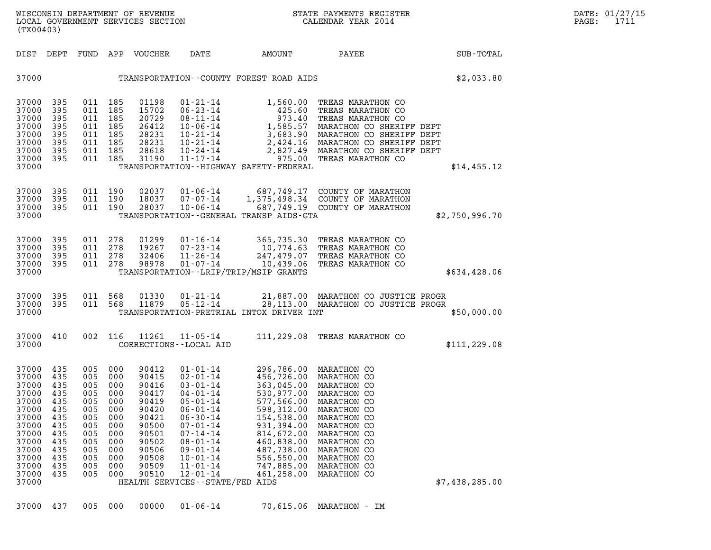| STATE PAYMENTS REGISTER |                    |  |  |
|-------------------------|--------------------|--|--|
|                         | CALENDAR YEAR 2014 |  |  |

|                                                                                                                                     | (TX00403)                                                                                      |                                                                                                |                                                                                                |                                                                                                                            |                                                                                                                                                                                                                                                                                       |                                                                                                                                                                                    |                                                                                                                                                                                                                           |                |  |
|-------------------------------------------------------------------------------------------------------------------------------------|------------------------------------------------------------------------------------------------|------------------------------------------------------------------------------------------------|------------------------------------------------------------------------------------------------|----------------------------------------------------------------------------------------------------------------------------|---------------------------------------------------------------------------------------------------------------------------------------------------------------------------------------------------------------------------------------------------------------------------------------|------------------------------------------------------------------------------------------------------------------------------------------------------------------------------------|---------------------------------------------------------------------------------------------------------------------------------------------------------------------------------------------------------------------------|----------------|--|
| DIST                                                                                                                                | DEPT                                                                                           | FUND                                                                                           | APP                                                                                            | VOUCHER                                                                                                                    | DATE                                                                                                                                                                                                                                                                                  | AMOUNT                                                                                                                                                                             | PAYEE                                                                                                                                                                                                                     | SUB-TOTAL      |  |
| 37000                                                                                                                               |                                                                                                |                                                                                                |                                                                                                |                                                                                                                            |                                                                                                                                                                                                                                                                                       | TRANSPORTATION--COUNTY FOREST ROAD AIDS                                                                                                                                            |                                                                                                                                                                                                                           | \$2,033.80     |  |
| 37000<br>37000<br>37000<br>37000<br>37000<br>37000<br>37000<br>37000<br>37000                                                       | 395<br>395<br>395<br>395<br>395<br>395<br>395<br>395                                           | 011<br>011<br>011<br>011<br>011<br>011<br>011<br>011                                           | 185<br>185<br>185<br>185<br>185<br>185<br>185<br>185                                           | 01198<br>15702<br>20729<br>26412<br>28231<br>28231<br>28618<br>31190                                                       | 01-21-14<br>$06 - 23 - 14$<br>$08 - 11 - 14$<br>$10 - 06 - 14$<br>$10 - 21 - 14$<br>$10 - 21 - 14$<br>$10 - 24 - 14$<br>$11 - 17 - 14$                                                                                                                                                | 1,560.00<br>425.60<br>973.40<br>1,585.57<br>3,683.90<br>2,424.16<br>2,827.49<br>975.00<br>TRANSPORTATION - - HIGHWAY SAFETY - FEDERAL                                              | TREAS MARATHON CO<br>TREAS MARATHON CO<br>TREAS MARATHON CO<br>MARATHON CO SHERIFF DEPT<br>MARATHON CO SHERIFF DEPT<br>MARATHON CO SHERIFF DEPT<br>MARATHON CO SHERIFF DEPT<br>TREAS MARATHON CO                          | \$14,455.12    |  |
| 37000<br>37000<br>37000<br>37000                                                                                                    | 395<br>395<br>395                                                                              | 011<br>011<br>011                                                                              | 190<br>190<br>190                                                                              | 02037<br>18037<br>28037                                                                                                    | 01-06-14<br>07-07-14<br>$10 - 06 - 14$                                                                                                                                                                                                                                                | 687,749.17<br>1,375,498.34<br>TRANSPORTATION--GENERAL TRANSP AIDS-GTA                                                                                                              | COUNTY OF MARATHON<br>COUNTY OF MARATHON<br>687,749.19 COUNTY OF MARATHON                                                                                                                                                 | \$2,750,996.70 |  |
| 37000<br>37000<br>37000<br>37000<br>37000                                                                                           | 395<br>395<br>395<br>395                                                                       | 011<br>011<br>011<br>011                                                                       | 278<br>278<br>278<br>278                                                                       | 01299<br>19267<br>32406<br>98978                                                                                           | $01 - 16 - 14$<br>$07 - 23 - 14$<br>$11 - 26 - 14$<br>$01 - 07 - 14$                                                                                                                                                                                                                  | 365,735.30<br>10,774.63<br>247,479.07<br>10,439.06<br>TRANSPORTATION--LRIP/TRIP/MSIP GRANTS                                                                                        | TREAS MARATHON CO<br>TREAS MARATHON CO<br>TREAS MARATHON CO<br>TREAS MARATHON CO                                                                                                                                          | \$634,428.06   |  |
| 37000<br>37000<br>37000                                                                                                             | 395<br>395                                                                                     | 011<br>011                                                                                     | 568<br>568                                                                                     | 01330<br>11879                                                                                                             | $01 - 21 - 14$<br>$05 - 12 - 14$                                                                                                                                                                                                                                                      | 21,887.00<br>TRANSPORTATION-PRETRIAL INTOX DRIVER INT                                                                                                                              | MARATHON CO JUSTICE PROGR<br>28,113.00 MARATHON CO JUSTICE PROGR                                                                                                                                                          | \$50,000.00    |  |
| 37000<br>37000                                                                                                                      | 410                                                                                            | 002                                                                                            | 116                                                                                            | 11261                                                                                                                      | $11 - 05 - 14$<br>CORRECTIONS - - LOCAL AID                                                                                                                                                                                                                                           |                                                                                                                                                                                    | 111,229.08 TREAS MARATHON CO                                                                                                                                                                                              | \$111, 229.08  |  |
| 37000<br>37000<br>37000<br>37000<br>37000<br>37000<br>37000<br>37000<br>37000<br>37000<br>37000<br>37000<br>37000<br>37000<br>37000 | 435<br>435<br>435<br>435<br>435<br>435<br>435<br>435<br>435<br>435<br>435<br>435<br>435<br>435 | 005<br>005<br>005<br>005<br>005<br>005<br>005<br>005<br>005<br>005<br>005<br>005<br>005<br>005 | 000<br>000<br>000<br>000<br>000<br>000<br>000<br>000<br>000<br>000<br>000<br>000<br>000<br>000 | 90412<br>90415<br>90416<br>90417<br>90419<br>90420<br>90421<br>90500<br>90501<br>90502<br>90506<br>90508<br>90509<br>90510 | $01 - 01 - 14$<br>$02 - 01 - 14$<br>$03 - 01 - 14$<br>$04 - 01 - 14$<br>$05 - 01 - 14$<br>$06 - 01 - 14$<br>$06 - 30 - 14$<br>$07 - 01 - 14$<br>$07 - 14 - 14$<br>$08 - 01 - 14$<br>$09 - 01 - 14$<br>$10 - 01 - 14$<br>$11 - 01 - 14$<br>12-01-14<br>HEALTH SERVICES--STATE/FED AIDS | 456,726.00<br>363,045.00<br>530,977.00<br>577,566.00<br>598,312.00<br>154,538.00<br>931,394.00<br>814,672.00<br>460,838.00<br>487,738.00<br>556,550.00<br>747,885.00<br>461,258.00 | 296,786.00 MARATHON CO<br>MARATHON CO<br>MARATHON CO<br>MARATHON CO<br>MARATHON CO<br>MARATHON CO<br>MARATHON CO<br>MARATHON CO<br>MARATHON CO<br>MARATHON CO<br>MARATHON CO<br>MARATHON CO<br>MARATHON CO<br>MARATHON CO | \$7,438,285.00 |  |

37000 437 005 000 00000 01-06-14 70,615.06 MARATHON - IM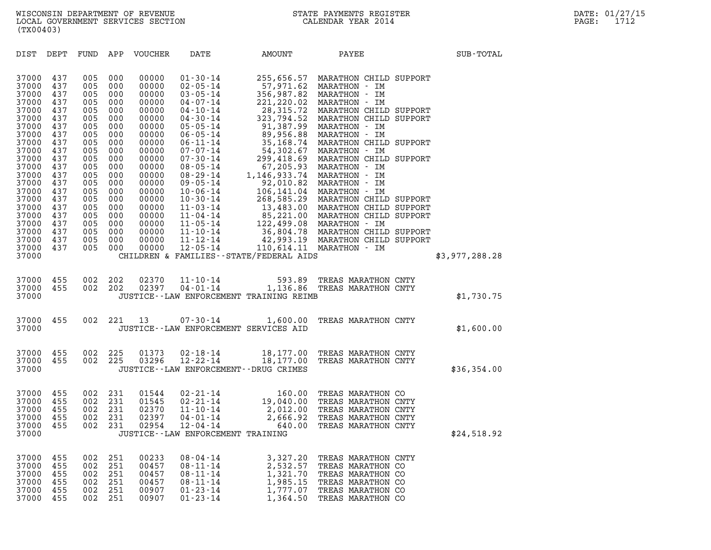| (TX00403)                                          |                                        |                                        |                                        |                                                    |                                                                                                                          |                                                                      |                                                                                                                                                                                                                                                     |                |
|----------------------------------------------------|----------------------------------------|----------------------------------------|----------------------------------------|----------------------------------------------------|--------------------------------------------------------------------------------------------------------------------------|----------------------------------------------------------------------|-----------------------------------------------------------------------------------------------------------------------------------------------------------------------------------------------------------------------------------------------------|----------------|
| DIST                                               | DEPT                                   | FUND                                   | APP                                    | VOUCHER                                            | DATE                                                                                                                     | AMOUNT                                                               | PAYEE                                                                                                                                                                                                                                               | SUB-TOTAL      |
| 37000<br>37000<br>37000<br>37000                   | 437<br>437<br>437<br>437               | 005<br>005<br>005<br>005               | 000<br>000<br>000<br>000               | 00000<br>00000<br>00000<br>00000                   | $01 - 30 - 14$<br>$02 - 05 - 14$<br>$03 - 05 - 14$<br>04-07-14                                                           | 255,656.57<br>356,987.82                                             | MARATHON CHILD SUPPORT<br>57,971.62 MARATHON - IM<br>MARATHON - IM<br>221, 220.02 MARATHON - IM                                                                                                                                                     |                |
| 37000<br>37000<br>37000<br>37000                   | 437<br>437<br>437<br>437               | 005<br>005<br>005<br>005               | 000<br>000<br>000<br>000               | 00000<br>00000<br>00000<br>00000                   | $04 - 10 - 14$<br>04-30-14<br>$05 - 05 - 14$<br>$06 - 05 - 14$                                                           |                                                                      | 221,220.02  MARATHON    IM<br>28,315.72  MARATHON CHILD SUPPORT<br>323,794.52 MARATHON CHILD SUPPORT<br>91,387.99 MARATHON - IM<br>89,956.88 MARATHON - IM                                                                                          |                |
| 37000<br>37000<br>37000<br>37000                   | 437<br>437<br>437<br>437               | 005<br>005<br>005<br>005               | 000<br>000<br>000<br>000               | 00000<br>00000<br>00000<br>00000                   | $06 - 11 - 14$                                                                                                           |                                                                      | 35,168.74 MARATHON CHILD SUPPORT                                                                                                                                                                                                                    |                |
| 37000<br>37000<br>37000<br>37000                   | 437<br>437<br>437<br>437               | 005<br>005<br>005<br>005               | 000<br>000<br>000<br>000               | 00000<br>00000<br>00000<br>00000                   |                                                                                                                          |                                                                      | 07-07-14<br>54,302.67 MARATHON - IM<br>07-07-14<br>299,418.69 MARATHON CHILD SUPPORT<br>08-29-14<br>1,146,933.74 MARATHON - IM<br>09-05-14<br>1,146,933.74 MARATHON - IM<br>09-05-14<br>106,141.04 MARATHON - IM<br>10-06-14<br>106,141.04 MARATHON |                |
| 37000<br>37000<br>37000<br>37000                   | 437<br>437<br>437<br>437               | 005<br>005<br>005<br>005               | 000<br>000<br>000<br>000               | 00000<br>00000<br>00000<br>00000                   | $11 - 04 - 14$<br>$11 - 05 - 14$<br>$11 - 10 - 14$                                                                       |                                                                      | 85, 221.00 MARATHON CHILD SUPPORT<br>122,499.08 MARATHON - IM                                                                                                                                                                                       |                |
| 37000<br>37000<br>37000                            | 437<br>437                             | 005<br>005                             | 000<br>000                             | 00000<br>00000                                     | $11 - 12 - 14$<br>$12 - 05 - 14$                                                                                         | CHILDREN & FAMILIES - - STATE/FEDERAL AIDS                           | 36,804.78 MARATHON CHILD SUPPORT<br>42,993.19 MARATHON CHILD SUPPORT<br>110,614.11 MARATHON - IM                                                                                                                                                    | \$3,977,288.28 |
| 37000<br>37000<br>37000                            | 455<br>455                             | 002<br>002                             | 202<br>202                             | 02370<br>02397                                     | $11 - 10 - 14$<br>04-01-14                                                                                               | JUSTICE--LAW ENFORCEMENT TRAINING REIMB                              | 593.89 TREAS MARATHON CNTY<br>1,136.86 TREAS MARATHON CNTY                                                                                                                                                                                          | \$1,730.75     |
| 37000<br>37000                                     | 455                                    | 002                                    | 221                                    | 13                                                 | $07 - 30 - 14$<br>JUSTICE--LAW ENFORCEMENT SERVICES AID                                                                  | 1,600.00                                                             | TREAS MARATHON CNTY                                                                                                                                                                                                                                 | \$1,600.00     |
| 37000<br>37000<br>37000                            | 455<br>455                             | 002<br>002                             | 225<br>225                             | 01373<br>03296                                     | $02 - 18 - 14$<br>$12 - 22 - 14$<br>JUSTICE - - LAW ENFORCEMENT - - DRUG CRIMES                                          |                                                                      | 18,177.00 TREAS MARATHON CNTY<br>18,177.00 TREAS MARATHON CNTY                                                                                                                                                                                      | \$36,354.00    |
| 37000<br>37000<br>37000<br>37000<br>37000<br>37000 | 455<br>455<br>455<br>455<br>455        | 002<br>002<br>002<br>002<br>002        | 231<br>231<br>231<br>231<br>231        | 01544<br>01545<br>02370<br>02397<br>02954          | $02 - 21 - 14$<br>$02 - 21 - 14$<br>$11 - 10 - 14$<br>04-01-14<br>$12 - 04 - 14$<br>JUSTICE - - LAW ENFORCEMENT TRAINING | 2,666.92<br>640.00                                                   | 160.00 TREAS MARATHON CO<br>19,040.00 TREAS MARATHON CNTY<br>2,012.00 TREAS MARATHON CNTY<br>TREAS MARATHON CNTY<br>TREAS MARATHON CNTY                                                                                                             | \$24,518.92    |
| 37000<br>37000<br>37000<br>37000<br>37000<br>37000 | 455<br>455<br>455<br>455<br>455<br>455 | 002<br>002<br>002<br>002<br>002<br>002 | 251<br>251<br>251<br>251<br>251<br>251 | 00233<br>00457<br>00457<br>00457<br>00907<br>00907 | $08 - 04 - 14$<br>$08 - 11 - 14$<br>$08 - 11 - 14$<br>$08 - 11 - 14$<br>$01 - 23 - 14$<br>$01 - 23 - 14$                 | 3,327.20<br>2,532.57<br>1,321.70<br>1,985.15<br>1,777.07<br>1,364.50 | TREAS MARATHON CNTY<br>TREAS MARATHON CO<br>TREAS MARATHON CO<br>TREAS MARATHON CO<br>TREAS MARATHON CO<br>TREAS MARATHON CO                                                                                                                        |                |
|                                                    |                                        |                                        |                                        |                                                    |                                                                                                                          |                                                                      |                                                                                                                                                                                                                                                     |                |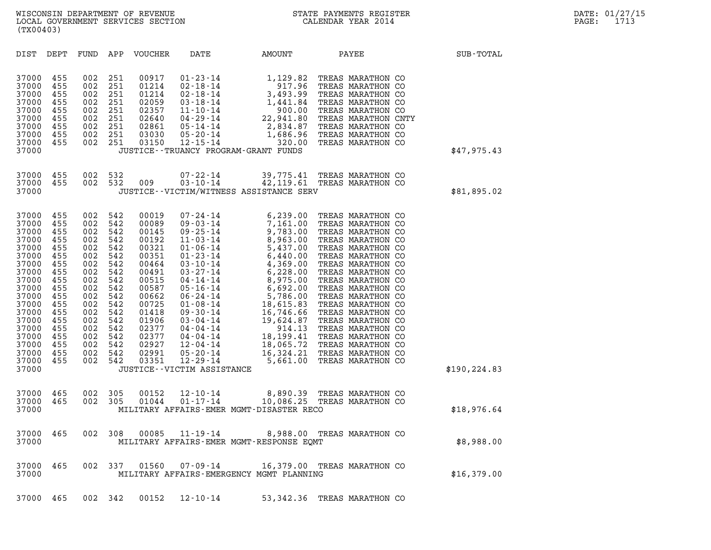| (TX00403)                                                                                                                                                                        |                                                                                                                                   |                                                                                                                                   |                                                                                                                                   |                                                                                                                                                                         |                                                                                                                                                                                                                                                                                                                                                       |                                                                                                                                                                                                                                                                                                                    |                                                                                                                                                                                                               |               |
|----------------------------------------------------------------------------------------------------------------------------------------------------------------------------------|-----------------------------------------------------------------------------------------------------------------------------------|-----------------------------------------------------------------------------------------------------------------------------------|-----------------------------------------------------------------------------------------------------------------------------------|-------------------------------------------------------------------------------------------------------------------------------------------------------------------------|-------------------------------------------------------------------------------------------------------------------------------------------------------------------------------------------------------------------------------------------------------------------------------------------------------------------------------------------------------|--------------------------------------------------------------------------------------------------------------------------------------------------------------------------------------------------------------------------------------------------------------------------------------------------------------------|---------------------------------------------------------------------------------------------------------------------------------------------------------------------------------------------------------------|---------------|
| DIST                                                                                                                                                                             | DEPT                                                                                                                              | FUND                                                                                                                              | APP                                                                                                                               | VOUCHER                                                                                                                                                                 | DATE                                                                                                                                                                                                                                                                                                                                                  | AMOUNT                                                                                                                                                                                                                                                                                                             | PAYEE                                                                                                                                                                                                         | SUB-TOTAL     |
| 37000<br>37000<br>37000<br>37000<br>37000<br>37000<br>37000<br>37000<br>37000<br>37000                                                                                           | 455<br>455<br>455<br>455<br>455<br>455<br>455<br>455<br>455                                                                       | 002<br>002<br>002<br>002<br>002<br>002<br>002<br>002<br>002                                                                       | 251<br>251<br>251<br>251<br>251<br>251<br>251<br>251<br>251                                                                       | 00917<br>01214<br>01214<br>02059<br>02357<br>02640<br>02861<br>03030<br>03150                                                                                           | $01 - 23 - 14$<br>$02 - 18 - 14$<br>$02 - 18 - 14$<br>$03 - 18 - 14$<br>$11 - 10 - 14$<br>04-29-14<br>05-14-14<br>$05 - 20 - 14$<br>$12 - 15 - 14$                                                                                                                                                                                                    | 1,129.82<br>917.96<br>$917.96$<br>3,493.99<br>1,441.84<br>900.00<br>22,941.80<br>2,834.87<br>1,686.96<br>320.00<br>JUSTICE - - TRUANCY PROGRAM - GRANT FUNDS                                                                                                                                                       | TREAS MARATHON CO<br>TREAS MARATHON CO<br>TREAS MARATHON CO<br>TREAS MARATHON CO<br>TREAS MARATHON CO<br>TREAS MARATHON CNTY<br>2,834.87 TREAS MARATHON CO<br>1,686.96 TREAS MARATHON CO<br>TREAS MARATHON CO | \$47,975.43   |
| 37000<br>37000<br>37000                                                                                                                                                          | 455<br>455                                                                                                                        | 002<br>002                                                                                                                        | 532<br>532                                                                                                                        | 009                                                                                                                                                                     | $07 - 22 - 14$<br>$03 - 10 - 14$                                                                                                                                                                                                                                                                                                                      | 39,775.41<br>42,119.61<br>JUSTICE -- VICTIM/WITNESS ASSISTANCE SERV                                                                                                                                                                                                                                                | TREAS MARATHON CO<br>TREAS MARATHON CO                                                                                                                                                                        | \$81,895.02   |
| 37000<br>37000<br>37000<br>37000<br>37000<br>37000<br>37000<br>37000<br>37000<br>37000<br>37000<br>37000<br>37000<br>37000<br>37000<br>37000<br>37000<br>37000<br>37000<br>37000 | 455<br>455<br>455<br>455<br>455<br>455<br>455<br>455<br>455<br>455<br>455<br>455<br>455<br>455<br>455<br>455<br>455<br>455<br>455 | 002<br>002<br>002<br>002<br>002<br>002<br>002<br>002<br>002<br>002<br>002<br>002<br>002<br>002<br>002<br>002<br>002<br>002<br>002 | 542<br>542<br>542<br>542<br>542<br>542<br>542<br>542<br>542<br>542<br>542<br>542<br>542<br>542<br>542<br>542<br>542<br>542<br>542 | 00019<br>00089<br>00145<br>00192<br>00321<br>00351<br>00464<br>00491<br>00515<br>00587<br>00662<br>00725<br>01418<br>01906<br>02377<br>02377<br>02927<br>02991<br>03351 | $07 - 24 - 14$<br>$09 - 03 - 14$<br>$09 - 25 - 14$<br>$11 - 03 - 14$<br>$01 - 06 - 14$<br>$01 - 23 - 14$<br>$03 - 10 - 14$<br>$03 - 27 - 14$<br>$04 - 14 - 14$<br>$05 - 16 - 14$<br>06-24-14<br>$01 - 08 - 14$<br>$09 - 30 - 14$<br>03-04-14<br>04-04-14<br>04-04-14<br>12-04-14<br>$05 - 20 - 14$<br>$12 - 29 - 14$<br>JUSTICE - - VICTIM ASSISTANCE | 6,239.00<br>7,161.00<br>9,783.00<br>8,963.00<br>5,437.00<br>$6,440.00$ TREAS MARATHON CO<br>$5,440.00$ TREAS MARATHON CO<br>$6,440.00$ TREAS MARATHON CO<br>$4,369.00$ TREAS MARATHON CO<br>$6,228.00$ TREAS MARATHON CO<br>$6,975.00$ TREAS MARATHON CO<br>$6,692.00$ TREAS MARATHON CO<br>$5,786.00$<br>5,661.00 | TREAS MARATHON CO<br>TREAS MARATHON CO<br>TREAS MARATHON CO<br>TREAS MARATHON CO<br>18,065.72 TREAS MARATHON CO<br>16,324.21 TREAS MARATHON CO<br>TREAS MARATHON CO                                           | \$190, 224.83 |
| 37000<br>37000<br>37000                                                                                                                                                          | 465<br>465                                                                                                                        | 002<br>002                                                                                                                        | 305<br>305                                                                                                                        | 00152<br>01044                                                                                                                                                          | $12 - 10 - 14$<br>$01 - 17 - 14$                                                                                                                                                                                                                                                                                                                      | MILITARY AFFAIRS-EMER MGMT-DISASTER RECO                                                                                                                                                                                                                                                                           | 8,890.39 TREAS MARATHON CO<br>10,086.25 TREAS MARATHON CO                                                                                                                                                     | \$18,976.64   |
| 37000<br>37000                                                                                                                                                                   | 465                                                                                                                               |                                                                                                                                   | 002 308                                                                                                                           |                                                                                                                                                                         |                                                                                                                                                                                                                                                                                                                                                       | 00085  11-19-14  8,988.00 TREAS MARATHON CO<br>MILITARY AFFAIRS-EMER MGMT-RESPONSE EQMT                                                                                                                                                                                                                            |                                                                                                                                                                                                               | \$8,988.00    |
| 37000<br>37000                                                                                                                                                                   | 465                                                                                                                               |                                                                                                                                   | 002 337                                                                                                                           | 01560                                                                                                                                                                   |                                                                                                                                                                                                                                                                                                                                                       | 07-09-14 16,379.00 TREAS MARATHON CO<br>MILITARY AFFAIRS-EMERGENCY MGMT PLANNING                                                                                                                                                                                                                                   |                                                                                                                                                                                                               | \$16,379.00   |
| 37000                                                                                                                                                                            | 465                                                                                                                               |                                                                                                                                   | 002 342                                                                                                                           |                                                                                                                                                                         | 00152 12-10-14                                                                                                                                                                                                                                                                                                                                        |                                                                                                                                                                                                                                                                                                                    | 53,342.36 TREAS MARATHON CO                                                                                                                                                                                   |               |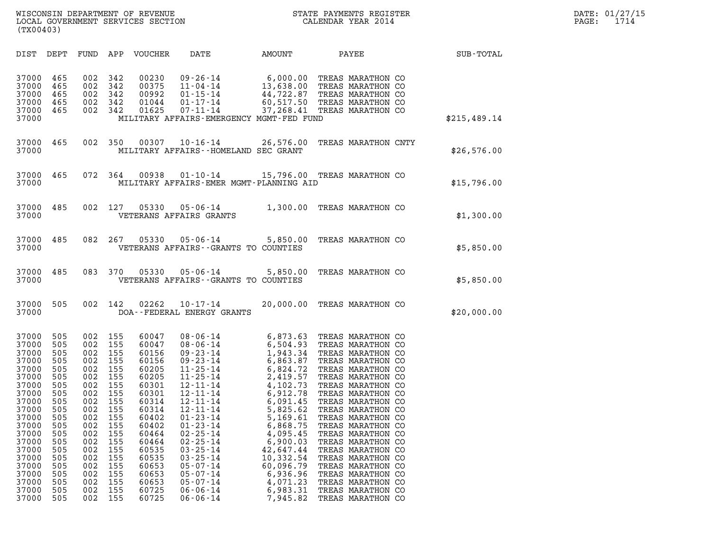WISCONSIN DEPARTMENT OF REVENUE<br>LOCAL GOVERNMENT SERVICES SECTION STATE PAYMENTS REGISTER SECONDER STATE PASS: 1714 WISCONSIN DEPARTMENT OF REVENUE<br>LOCAL GOVERNMENT SERVICES SECTION CALENDAR YEAR 2014<br>(TX00403) (TX00403)

| (TX00403)                                                                                                                                                                                                                                                                                                                                                                                                                                                                                       |                                                                                                                                                                                                                                                                                                                                                                                                                                                                                                                                                                                                                                                                                                                                        |                                                                                                                                                                                                                                                                                                                                                                                                                                                                                                                                                                                                                                                                                                                |                  |
|-------------------------------------------------------------------------------------------------------------------------------------------------------------------------------------------------------------------------------------------------------------------------------------------------------------------------------------------------------------------------------------------------------------------------------------------------------------------------------------------------|----------------------------------------------------------------------------------------------------------------------------------------------------------------------------------------------------------------------------------------------------------------------------------------------------------------------------------------------------------------------------------------------------------------------------------------------------------------------------------------------------------------------------------------------------------------------------------------------------------------------------------------------------------------------------------------------------------------------------------------|----------------------------------------------------------------------------------------------------------------------------------------------------------------------------------------------------------------------------------------------------------------------------------------------------------------------------------------------------------------------------------------------------------------------------------------------------------------------------------------------------------------------------------------------------------------------------------------------------------------------------------------------------------------------------------------------------------------|------------------|
| DIST<br>DEPT<br>FUND                                                                                                                                                                                                                                                                                                                                                                                                                                                                            | APP<br>VOUCHER<br>DATE<br>AMOUNT                                                                                                                                                                                                                                                                                                                                                                                                                                                                                                                                                                                                                                                                                                       | PAYEE                                                                                                                                                                                                                                                                                                                                                                                                                                                                                                                                                                                                                                                                                                          | <b>SUB-TOTAL</b> |
| 37000<br>465<br>002<br>37000<br>465<br>002<br>37000<br>465<br>002<br>37000<br>465<br>002<br>465<br>002<br>37000<br>37000                                                                                                                                                                                                                                                                                                                                                                        | 342<br>00230<br>$09 - 26 - 14$<br>342<br>00375<br>11-04-14<br>342<br>00992<br>$01 - 15 - 14$<br>342<br>01044<br>$01 - 17 - 14$<br>342<br>01625<br>$07 - 11 - 14$<br>MILITARY AFFAIRS-EMERGENCY MGMT-FED FUND                                                                                                                                                                                                                                                                                                                                                                                                                                                                                                                           | 6,000.00 TREAS MARATHON CO<br>13,638.00 TREAS MARATHON CO<br>44,722.87 TREAS MARATHON CO<br>60,517.50 TREAS MARATHON CO<br>37,268.41 TREAS MARATHON CO                                                                                                                                                                                                                                                                                                                                                                                                                                                                                                                                                         | \$215,489.14     |
| 465<br>002<br>37000<br>37000                                                                                                                                                                                                                                                                                                                                                                                                                                                                    | 350<br>00307<br>$10 - 16 - 14$<br>MILITARY AFFAIRS--HOMELAND SEC GRANT                                                                                                                                                                                                                                                                                                                                                                                                                                                                                                                                                                                                                                                                 | 26,576.00<br>TREAS MARATHON CNTY                                                                                                                                                                                                                                                                                                                                                                                                                                                                                                                                                                                                                                                                               | \$26,576.00      |
| 465<br>072<br>37000<br>37000                                                                                                                                                                                                                                                                                                                                                                                                                                                                    | 364<br>00938<br>$01 - 10 - 14$<br>MILITARY AFFAIRS-EMER MGMT-PLANNING AID                                                                                                                                                                                                                                                                                                                                                                                                                                                                                                                                                                                                                                                              | 15,796.00 TREAS MARATHON CO                                                                                                                                                                                                                                                                                                                                                                                                                                                                                                                                                                                                                                                                                    | \$15,796.00      |
| 485<br>002<br>37000<br>37000                                                                                                                                                                                                                                                                                                                                                                                                                                                                    | 127<br>05330<br>$05 - 06 - 14$<br>VETERANS AFFAIRS GRANTS                                                                                                                                                                                                                                                                                                                                                                                                                                                                                                                                                                                                                                                                              | 1,300.00<br>TREAS MARATHON CO                                                                                                                                                                                                                                                                                                                                                                                                                                                                                                                                                                                                                                                                                  | \$1,300.00       |
| 485<br>082<br>37000<br>37000                                                                                                                                                                                                                                                                                                                                                                                                                                                                    | 267<br>05330<br>$05 - 06 - 14$<br>VETERANS AFFAIRS -- GRANTS TO COUNTIES                                                                                                                                                                                                                                                                                                                                                                                                                                                                                                                                                                                                                                                               | 5,850.00<br>TREAS MARATHON CO                                                                                                                                                                                                                                                                                                                                                                                                                                                                                                                                                                                                                                                                                  | \$5,850.00       |
| 485<br>083<br>37000<br>37000                                                                                                                                                                                                                                                                                                                                                                                                                                                                    | 370<br>05330<br>$05 - 06 - 14$<br>VETERANS AFFAIRS -- GRANTS TO COUNTIES                                                                                                                                                                                                                                                                                                                                                                                                                                                                                                                                                                                                                                                               | 5,850.00<br>TREAS MARATHON CO                                                                                                                                                                                                                                                                                                                                                                                                                                                                                                                                                                                                                                                                                  | \$5,850.00       |
| 37000<br>505<br>002<br>37000                                                                                                                                                                                                                                                                                                                                                                                                                                                                    | 142<br>02262<br>$10 - 17 - 14$<br>DOA--FEDERAL ENERGY GRANTS                                                                                                                                                                                                                                                                                                                                                                                                                                                                                                                                                                                                                                                                           | 20,000.00<br>TREAS MARATHON CO                                                                                                                                                                                                                                                                                                                                                                                                                                                                                                                                                                                                                                                                                 | \$20,000.00      |
| 37000<br>505<br>002<br>37000<br>505<br>002<br>37000<br>002<br>505<br>37000<br>505<br>002<br>37000<br>002<br>505<br>37000<br>505<br>002<br>37000<br>002<br>505<br>37000<br>505<br>002<br>37000<br>002<br>505<br>37000<br>505<br>002<br>002<br>37000<br>505<br>505<br>002<br>37000<br>37000<br>505<br>002<br>505<br>002<br>37000<br>37000<br>002<br>505<br>37000<br>505<br>002<br>37000<br>002<br>505<br>37000<br>002<br>505<br>37000<br>002<br>505<br>002<br>37000<br>505<br>37000<br>002<br>505 | 155<br>60047<br>$08 - 06 - 14$<br>155<br>60047<br>$08 - 06 - 14$<br>155<br>60156<br>$09 - 23 - 14$<br>155<br>60156<br>$09 - 23 - 14$<br>155<br>60205<br>$11 - 25 - 14$<br>155<br>60205<br>$11 - 25 - 14$<br>155<br>60301<br>$12 - 11 - 14$<br>155<br>60301<br>$12 - 11 - 14$<br>$12 - 11 - 14$<br>155<br>60314<br>155<br>60314<br>$12 - 11 - 14$<br>155<br>60402<br>$01 - 23 - 14$<br>155<br>60402<br>$01 - 23 - 14$<br>155<br>60464<br>$02 - 25 - 14$<br>155<br>60464<br>$02 - 25 - 14$<br>155<br>60535<br>$03 - 25 - 14$<br>155<br>60535<br>$03 - 25 - 14$<br>155<br>60653<br>$05 - 07 - 14$<br>155<br>60653<br>$05 - 07 - 14$<br>155<br>60653<br>$05 - 07 - 14$<br>155<br>$06 - 06 - 14$<br>60725<br>155<br>60725<br>$06 - 06 - 14$ | 6,873.63 TREAS MARATHON CO<br>6,504.93 TREAS MARATHON CO<br>1,943.34<br>TREAS MARATHON CO<br>6,863.87<br>TREAS MARATHON CO<br>6,824.72<br>TREAS MARATHON CO<br>2,419.57<br>TREAS MARATHON CO<br>4,102.73<br>TREAS MARATHON CO<br>6,912.78<br>TREAS MARATHON CO<br>6,091.45<br>TREAS MARATHON CO<br>5,825.62<br>TREAS MARATHON CO<br>5,169.61<br>TREAS MARATHON CO<br>6,868.75<br>TREAS MARATHON CO<br>4,095.45<br>TREAS MARATHON CO<br>6,900.03<br>TREAS MARATHON CO<br>42,647.44<br>TREAS MARATHON CO<br>10,332.54<br>TREAS MARATHON CO<br>60,096.79<br>TREAS MARATHON CO<br>6,936.96<br>TREAS MARATHON CO<br>4,071.23<br>TREAS MARATHON CO<br>6,983.31<br>TREAS MARATHON CO<br>7,945.82<br>TREAS MARATHON CO |                  |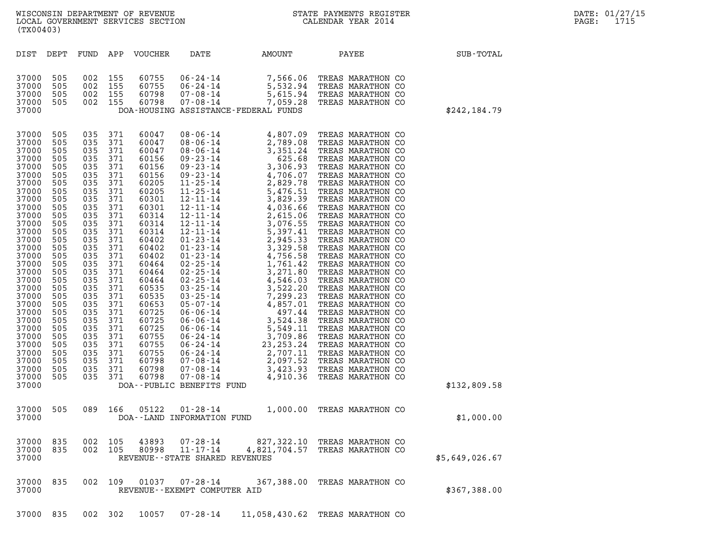|                                                                                                                                                                                                                                                                                              | (TX00403)                                                                                                                                                                                                             |                                                                                                                                                                                                                       |                                                                                                                                                                                                                       |                                                                                                                                                                                                                                                                                     |                                                                |                                      |                                                                                                                      |  |                |
|----------------------------------------------------------------------------------------------------------------------------------------------------------------------------------------------------------------------------------------------------------------------------------------------|-----------------------------------------------------------------------------------------------------------------------------------------------------------------------------------------------------------------------|-----------------------------------------------------------------------------------------------------------------------------------------------------------------------------------------------------------------------|-----------------------------------------------------------------------------------------------------------------------------------------------------------------------------------------------------------------------|-------------------------------------------------------------------------------------------------------------------------------------------------------------------------------------------------------------------------------------------------------------------------------------|----------------------------------------------------------------|--------------------------------------|----------------------------------------------------------------------------------------------------------------------|--|----------------|
| DIST                                                                                                                                                                                                                                                                                         | DEPT                                                                                                                                                                                                                  | FUND                                                                                                                                                                                                                  | APP                                                                                                                                                                                                                   | VOUCHER                                                                                                                                                                                                                                                                             | DATE                                                           | AMOUNT                               | PAYEE                                                                                                                |  | SUB-TOTAL      |
| 37000<br>37000<br>37000<br>37000<br>37000                                                                                                                                                                                                                                                    | 505<br>505<br>505<br>505                                                                                                                                                                                              | 002<br>002<br>002<br>002                                                                                                                                                                                              | 155<br>155<br>155<br>155                                                                                                                                                                                              | 60755<br>60755<br>60798<br>60798                                                                                                                                                                                                                                                    | 06-24-14<br>$06 - 24 - 14$<br>$07 - 08 - 14$<br>$07 - 08 - 14$ | DOA-HOUSING ASSISTANCE-FEDERAL FUNDS | 7,566.06 TREAS MARATHON CO<br>5,532.94 TREAS MARATHON CO<br>5,615.94 TREAS MARATHON CO<br>7,059.28 TREAS MARATHON CO |  | \$242,184.79   |
| 37000<br>37000<br>37000<br>37000<br>37000<br>37000<br>37000<br>37000<br>37000<br>37000<br>37000<br>37000<br>37000<br>37000<br>37000<br>37000<br>37000<br>37000<br>37000<br>37000<br>37000<br>37000<br>37000<br>37000<br>37000<br>37000<br>37000<br>37000<br>37000<br>37000<br>37000<br>37000 | 505<br>505<br>505<br>505<br>505<br>505<br>505<br>505<br>505<br>505<br>505<br>505<br>505<br>505<br>505<br>505<br>505<br>505<br>505<br>505<br>505<br>505<br>505<br>505<br>505<br>505<br>505<br>505<br>505<br>505<br>505 | 035<br>035<br>035<br>035<br>035<br>035<br>035<br>035<br>035<br>035<br>035<br>035<br>035<br>035<br>035<br>035<br>035<br>035<br>035<br>035<br>035<br>035<br>035<br>035<br>035<br>035<br>035<br>035<br>035<br>035<br>035 | 371<br>371<br>371<br>371<br>371<br>371<br>371<br>371<br>371<br>371<br>371<br>371<br>371<br>371<br>371<br>371<br>371<br>371<br>371<br>371<br>371<br>371<br>371<br>371<br>371<br>371<br>371<br>371<br>371<br>371<br>371 | 60047<br>60047<br>60047<br>60156<br>60156<br>60156<br>60205<br>60205<br>60301<br>60301<br>60314<br>60314<br>60314<br>60402<br>60402<br>60402<br>60464<br>60464<br>60464<br>60535<br>60535<br>60653<br>60725<br>60725<br>60725<br>60755<br>60755<br>60755<br>60798<br>60798<br>60798 | DOA--PUBLIC BENEFITS FUND                                      |                                      | 4,807.09 TREAS MARATHON CO                                                                                           |  | \$132,809.58   |
| 37000<br>37000                                                                                                                                                                                                                                                                               | 505                                                                                                                                                                                                                   | 089                                                                                                                                                                                                                   | 166                                                                                                                                                                                                                   | 05122                                                                                                                                                                                                                                                                               | $01 - 28 - 14$<br>DOA--LAND INFORMATION FUND                   |                                      | 1,000.00 TREAS MARATHON CO                                                                                           |  | \$1,000.00     |
| 37000<br>37000<br>37000                                                                                                                                                                                                                                                                      | 835<br>835                                                                                                                                                                                                            | 002<br>002                                                                                                                                                                                                            | 105<br>105                                                                                                                                                                                                            | 43893<br>80998                                                                                                                                                                                                                                                                      | 07-28-14<br>$11 - 17 - 14$<br>REVENUE--STATE SHARED REVENUES   | 827,322.10<br>4,821,704.57           | TREAS MARATHON CO<br>TREAS MARATHON CO                                                                               |  | \$5,649,026.67 |
| 37000<br>37000                                                                                                                                                                                                                                                                               | 835                                                                                                                                                                                                                   | 002                                                                                                                                                                                                                   | 109                                                                                                                                                                                                                   | 01037                                                                                                                                                                                                                                                                               | $07 - 28 - 14$<br>REVENUE--EXEMPT COMPUTER AID                 | 367,388.00                           | TREAS MARATHON CO                                                                                                    |  | \$367,388.00   |

37000 835 002 302 10057 07-28-14 11,058,430.62 TREAS MARATHON CO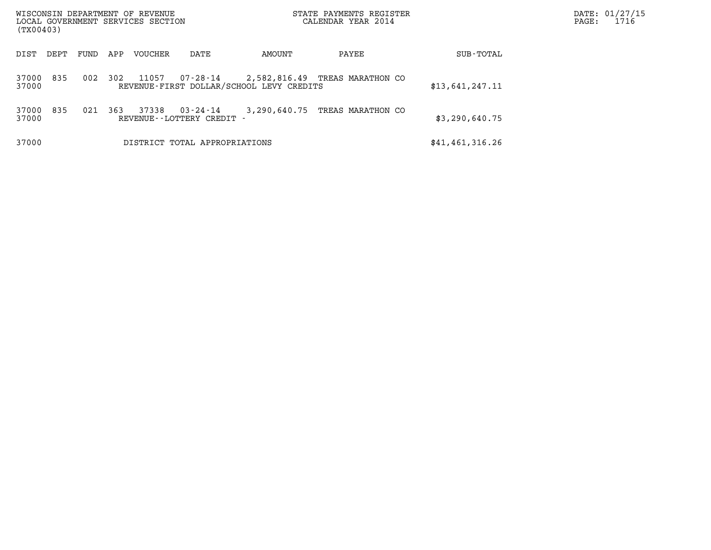| WISCONSIN DEPARTMENT OF REVENUE<br>LOCAL GOVERNMENT SERVICES SECTION<br>(TX00403) |      |     |                |                                     | STATE PAYMENTS REGISTER<br>CALENDAR YEAR 2014 |                                |                 | DATE: 01/27/15<br>1716<br>$\mathtt{PAGE}$ : |
|-----------------------------------------------------------------------------------|------|-----|----------------|-------------------------------------|-----------------------------------------------|--------------------------------|-----------------|---------------------------------------------|
| DIST<br>DEPT                                                                      | FUND | APP | <b>VOUCHER</b> | DATE                                | AMOUNT                                        | PAYEE                          | SUB-TOTAL       |                                             |
| 835<br>37000<br>37000                                                             | 002  | 302 | 11057          | 07-28-14                            | REVENUE-FIRST DOLLAR/SCHOOL LEVY CREDITS      | 2,582,816.49 TREAS MARATHON CO | \$13,641,247.11 |                                             |
| 835<br>37000<br>37000                                                             | 021  | 363 | 37338          | 03-24-14<br>REVENUE--LOTTERY CREDIT | 3,290,640.75                                  | TREAS MARATHON CO              | \$3,290,640.75  |                                             |
| 37000                                                                             |      |     |                | DISTRICT TOTAL APPROPRIATIONS       |                                               |                                | \$41,461,316.26 |                                             |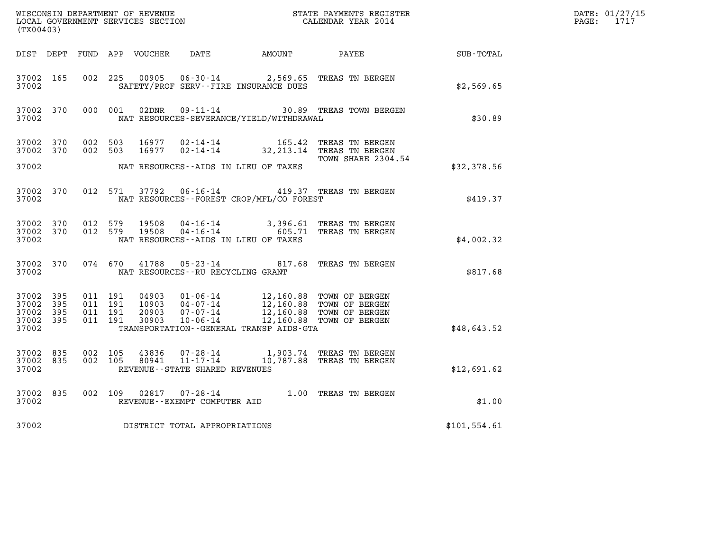| (TX00403)                                                 |                        |                                          |       |                                   |                                              | WISCONSIN DEPARTMENT OF REVENUE<br>LOCAL GOVERNMENT SERVICES SECTION TERMS CONFIDENT STATE PAYMENTS REGISTER<br>CALENDAR YEAR 2014                                                   |              | DATE: 01/27/15<br>$\mathtt{PAGE:}$<br>1717 |
|-----------------------------------------------------------|------------------------|------------------------------------------|-------|-----------------------------------|----------------------------------------------|--------------------------------------------------------------------------------------------------------------------------------------------------------------------------------------|--------------|--------------------------------------------|
|                                                           |                        |                                          |       |                                   |                                              | DIST DEPT FUND APP VOUCHER DATE AMOUNT PAYEE SUB-TOTAL                                                                                                                               |              |                                            |
| 37002 165<br>37002                                        |                        | 002 225                                  |       |                                   | SAFETY/PROF SERV--FIRE INSURANCE DUES        | 00905  06-30-14  2,569.65  TREAS TN BERGEN                                                                                                                                           | \$2,569.65   |                                            |
| 37002 370<br>37002                                        |                        | 000 001                                  | 02DNR |                                   | NAT RESOURCES-SEVERANCE/YIELD/WITHDRAWAL     | 09-11-14 30.89 TREAS TOWN BERGEN                                                                                                                                                     | \$30.89      |                                            |
| 37002 370<br>37002 370                                    |                        | 002 503<br>002 503                       | 16977 |                                   |                                              | 16977  02-14-14   165.42   TREAS TN BERGEN<br>16977  02-14-14   32,213.14   TREAS TN BERGEN<br>TOWN SHARE 2304.54                                                                    |              |                                            |
| 37002                                                     |                        |                                          |       |                                   | NAT RESOURCES--AIDS IN LIEU OF TAXES         |                                                                                                                                                                                      | \$32,378.56  |                                            |
| 37002                                                     | 37002 370              |                                          |       |                                   | NAT RESOURCES - - FOREST CROP/MFL/CO FOREST  | 012 571 37792 06-16-14 419.37 TREAS TN BERGEN                                                                                                                                        | \$419.37     |                                            |
| 37002                                                     | 37002 370<br>37002 370 |                                          |       |                                   | NAT RESOURCES--AIDS IN LIEU OF TAXES         | 012 579 19508 04-16-14 3,396.61 TREAS TN BERGEN<br>012 579 19508 04-16-14 605.71 TREAS TN BERGEN                                                                                     | \$4,002.32   |                                            |
| 37002                                                     | 37002 370              |                                          |       | NAT RESOURCES--RU RECYCLING GRANT |                                              | 074 670 41788 05-23-14 817.68 TREAS TN BERGEN                                                                                                                                        | \$817.68     |                                            |
| 37002 395<br>37002 395<br>37002 395<br>37002 395<br>37002 |                        | 011 191<br>011 191<br>011 191<br>011 191 |       |                                   | TRANSPORTATION - - GENERAL TRANSP AIDS - GTA | 04903  01-06-14  12,160.88  TOWN OF BERGEN<br>10903  04-07-14  12,160.88  TOWN OF BERGEN<br>20903  07-07-14  12,160.88  TOWN OF BERGEN<br>30903  10-06-14  12,160.88  TOWN OF BERGEN | \$48,643.52  |                                            |
| 37002 835<br>37002 835<br>37002                           |                        | 002 105<br>002 105                       |       | REVENUE--STATE SHARED REVENUES    |                                              | 43836 07-28-14 1,903.74 TREAS TN BERGEN<br>80941 11-17-14 10,787.88 TREAS TN BERGEN                                                                                                  | \$12,691.62  |                                            |
| 37002                                                     | 37002 835              |                                          |       | REVENUE--EXEMPT COMPUTER AID      |                                              | 002 109 02817 07-28-14 1.00 TREAS TN BERGEN                                                                                                                                          | \$1.00       |                                            |
| 37002                                                     |                        |                                          |       | DISTRICT TOTAL APPROPRIATIONS     |                                              |                                                                                                                                                                                      | \$101,554.61 |                                            |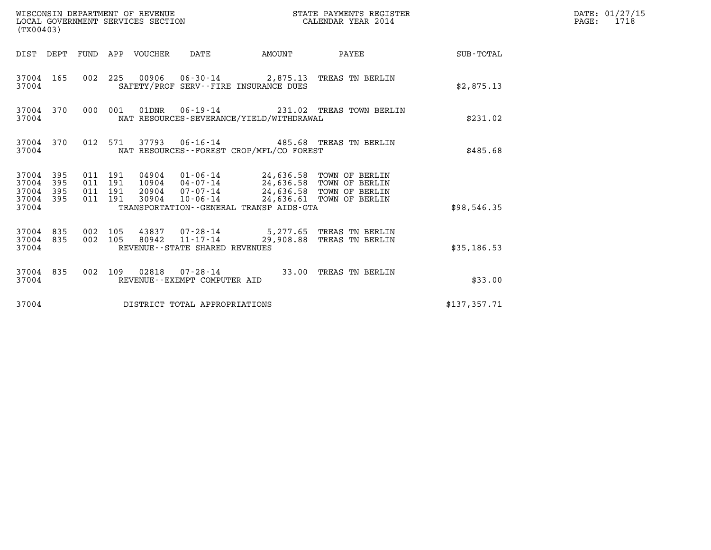| (TX00403)                                                       |                                          | WISCONSIN DEPARTMENT OF REVENUE<br>LOCAL GOVERNMENT SERVICES SECTION |                                                                                                                                                                                                                          | STATE PAYMENTS REGISTER<br>CALENDAR YEAR 2014 |                                                                      | DATE: 01/27/15<br>$\mathtt{PAGE:}$<br>1718 |  |
|-----------------------------------------------------------------|------------------------------------------|----------------------------------------------------------------------|--------------------------------------------------------------------------------------------------------------------------------------------------------------------------------------------------------------------------|-----------------------------------------------|----------------------------------------------------------------------|--------------------------------------------|--|
|                                                                 |                                          | DIST DEPT FUND APP VOUCHER DATE                                      | AMOUNT                                                                                                                                                                                                                   |                                               | PAYEE                                                                | <b>SUB-TOTAL</b>                           |  |
| 37004 165<br>37004                                              |                                          |                                                                      | SAFETY/PROF SERV--FIRE INSURANCE DUES                                                                                                                                                                                    |                                               | 002 225 00906 06-30-14 2,875.13 TREAS TN BERLIN                      | \$2,875.13                                 |  |
| 37004 370<br>37004                                              | 000 001                                  |                                                                      | NAT RESOURCES-SEVERANCE/YIELD/WITHDRAWAL                                                                                                                                                                                 |                                               | 01DNR  06-19-14  231.02 TREAS TOWN BERLIN                            | \$231.02                                   |  |
| 37004 370<br>37004                                              |                                          |                                                                      | NAT RESOURCES - - FOREST CROP/MFL/CO FOREST                                                                                                                                                                              |                                               | 012 571 37793 06-16-14 485.68 TREAS TN BERLIN                        | \$485.68                                   |  |
| 37004 395<br>37004<br>395<br>37004<br>395<br>37004 395<br>37004 | 011 191<br>011 191<br>011 191<br>011 191 | 30904                                                                | 04904  01-06-14  24,636.58  TOWN OF BERLIN<br>10904  04-07-14  24,636.58  TOWN OF BERLIN<br>20904 07-07-14 24,636.58 TOWN OF BERLIN<br>10-06-14 24,636.61 TOWN OF BERLIN<br>TRANSPORTATION - - GENERAL TRANSP AIDS - GTA |                                               |                                                                      | \$98,546.35                                |  |
| 37004 835<br>37004 835<br>37004                                 | 002 105<br>002 105                       | 80942                                                                | $11 - 17 - 14$<br>REVENUE--STATE SHARED REVENUES                                                                                                                                                                         |                                               | 43837 07-28-14 5,277.65 TREAS TN BERLIN<br>29,908.88 TREAS TN BERLIN | \$35,186.53                                |  |
| 37004 835<br>37004                                              |                                          |                                                                      | REVENUE--EXEMPT COMPUTER AID                                                                                                                                                                                             |                                               | 002 109 02818 07-28-14 33.00 TREAS TN BERLIN                         | \$33.00                                    |  |
| 37004                                                           |                                          |                                                                      | DISTRICT TOTAL APPROPRIATIONS                                                                                                                                                                                            |                                               |                                                                      | \$137,357.71                               |  |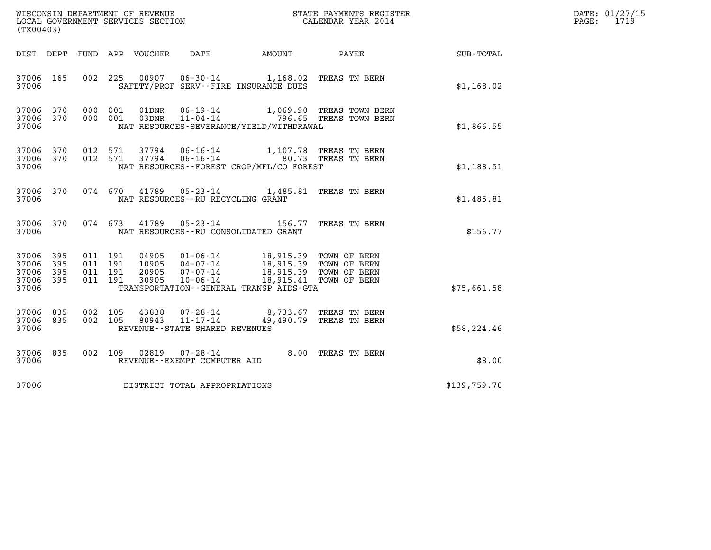| (TX00403)                                     |                     |                                          |         |                                  |                                                        |                                                                                                                    |                                                             |              | DATE: 01/27/15<br>PAGE:<br>1719 |
|-----------------------------------------------|---------------------|------------------------------------------|---------|----------------------------------|--------------------------------------------------------|--------------------------------------------------------------------------------------------------------------------|-------------------------------------------------------------|--------------|---------------------------------|
| DIST DEPT                                     |                     |                                          |         | FUND APP VOUCHER                 | DATE                                                   | AMOUNT                                                                                                             | PAYEE                                                       | SUB-TOTAL    |                                 |
| 37006 165<br>37006                            |                     |                                          | 002 225 |                                  |                                                        | 00907  06-30-14  1,168.02  TREAS TN BERN<br>SAFETY/PROF SERV--FIRE INSURANCE DUES                                  |                                                             | \$1,168.02   |                                 |
| 37006 370<br>37006 370<br>37006               |                     | 000 001<br>000 001                       |         | 01DNR<br>03DNR                   | 06-19-14                                               | NAT RESOURCES-SEVERANCE/YIELD/WITHDRAWAL                                                                           | 1,069.90 TREAS TOWN BERN<br>11-04-14 796.65 TREAS TOWN BERN | \$1,866.55   |                                 |
| 37006 370<br>37006 370<br>37006               |                     | 012 571<br>012 571                       |         | 37794                            | 37794 06-16-14<br>$06 - 16 - 14$                       | NAT RESOURCES--FOREST CROP/MFL/CO FOREST                                                                           | 1,107.78 TREAS TN BERN<br>80.73 TREAS TN BERN               | \$1,188.51   |                                 |
| 37006 370<br>37006                            |                     | 074 670                                  |         | 41789                            | NAT RESOURCES - - RU RECYCLING GRANT                   | 05-23-14 1,485.81 TREAS TN BERN                                                                                    |                                                             | \$1,485.81   |                                 |
| 37006 370<br>37006                            |                     | 074 673                                  |         | 41789                            | $05 - 23 - 14$                                         | NAT RESOURCES--RU CONSOLIDATED GRANT                                                                               | 156.77 TREAS TN BERN                                        | \$156.77     |                                 |
| 37006 395<br>37006<br>37006<br>37006<br>37006 | 395<br>395<br>- 395 | 011 191<br>011 191<br>011 191<br>011 191 |         | 04905<br>10905<br>20905<br>30905 | 07-07-14<br>10-06-14                                   | 01-06-14 18,915.39 TOWN OF BERN<br>04-07-14 18,915.39 TOWN OF BERN<br>TRANSPORTATION - - GENERAL TRANSP AIDS - GTA | 18,915.39 TOWN OF BERN<br>18,915.41 TOWN OF BERN            | \$75,661.58  |                                 |
| 37006 835<br>37006<br>37006                   | 835                 | 002 105<br>002 105                       |         | 43838<br>80943                   | 07-28-14<br>11-17-14<br>REVENUE--STATE SHARED REVENUES |                                                                                                                    | 8,733.67 TREAS TN BERN<br>49,490.79 TREAS TN BERN           | \$58,224.46  |                                 |
| 37006 835<br>37006                            |                     | 002 109                                  |         | 02819                            | 07-28-14<br>REVENUE--EXEMPT COMPUTER AID               |                                                                                                                    | 8.00 TREAS TN BERN                                          | \$8.00       |                                 |
| 37006                                         |                     |                                          |         |                                  | DISTRICT TOTAL APPROPRIATIONS                          |                                                                                                                    |                                                             | \$139,759.70 |                                 |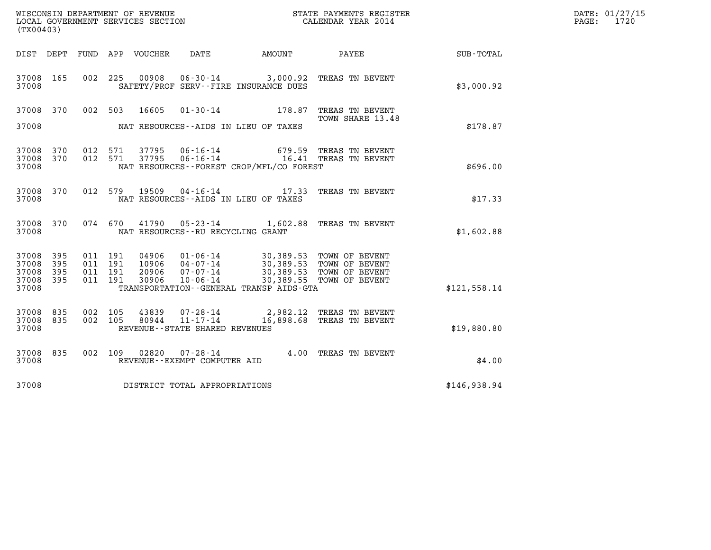| (TX00403)                                                 |           |         |                                          |                |                                   | WISCONSIN DEPARTMENT OF REVENUE<br>LOCAL GOVERNMENT SERVICES SECTION<br>(TWOO402) |                                                                                                                                                                                                                                                                                                                                                                                                   |              | DATE: 01/27/15<br>PAGE: 1720 |
|-----------------------------------------------------------|-----------|---------|------------------------------------------|----------------|-----------------------------------|-----------------------------------------------------------------------------------|---------------------------------------------------------------------------------------------------------------------------------------------------------------------------------------------------------------------------------------------------------------------------------------------------------------------------------------------------------------------------------------------------|--------------|------------------------------|
| DIST DEPT                                                 |           |         |                                          |                |                                   |                                                                                   | FUND APP VOUCHER DATE AMOUNT PAYEE                                                                                                                                                                                                                                                                                                                                                                | SUB-TOTAL    |                              |
| 37008 165<br>37008                                        |           |         |                                          |                |                                   | SAFETY/PROF SERV--FIRE INSURANCE DUES                                             | 002 225 00908 06-30-14 3,000.92 TREAS TN BEVENT                                                                                                                                                                                                                                                                                                                                                   | \$3,000.92   |                              |
| 37008                                                     |           |         |                                          |                |                                   | NAT RESOURCES--AIDS IN LIEU OF TAXES                                              | 37008 370 002 503 16605 01-30-14 178.87 TREAS TN BEVENT<br>TOWN SHARE 13.48                                                                                                                                                                                                                                                                                                                       | \$178.87     |                              |
| 37008 370<br>37008 370<br>37008                           |           |         | 012 571<br>012 571                       |                |                                   | NAT RESOURCES - - FOREST CROP/MFL/CO FOREST                                       | $37795$ 06-16-14  679.59 TREAS TN BEVENT<br>$37795$ 06-16-14   16.41 TREAS TN BEVENT                                                                                                                                                                                                                                                                                                              | \$696.00     |                              |
| 37008                                                     | 37008 370 |         |                                          |                |                                   | NAT RESOURCES--AIDS IN LIEU OF TAXES                                              | 012 579 19509 04-16-14 17.33 TREAS TN BEVENT                                                                                                                                                                                                                                                                                                                                                      | \$17.33      |                              |
| 37008                                                     | 37008 370 |         |                                          |                | NAT RESOURCES--RU RECYCLING GRANT |                                                                                   | 074 670 41790 05-23-14 1,602.88 TREAS TN BEVENT                                                                                                                                                                                                                                                                                                                                                   | \$1,602.88   |                              |
| 37008 395<br>37008 395<br>37008 395<br>37008 395<br>37008 |           |         | 011 191<br>011 191<br>011 191<br>011 191 |                |                                   | TRANSPORTATION--GENERAL TRANSP AIDS-GTA                                           | $\begin{array}{cccc} 04906 & 01\textnormal{-}06\textnormal{-}14 & 30,389.53 & \textnormal{TOWN OF BEVENT} \\ 10906 & 04\textnormal{-}07\textnormal{-}14 & 30,389.53 & \textnormal{TOWN OF BEVENT} \\ 20906 & 07\textnormal{-}07\textnormal{-}14 & 30,389.53 & \textnormal{TOWN OF BEVENT} \\ 30906 & 10\textnormal{-}06\textnormal{-}14 & 30,389.55 & \textnormal{TOWN OF BEVENT} \\ \end{array}$ | \$121,558.14 |                              |
| 37008<br>37008 835<br>37008                               | 835       | 002 105 | 002 105                                  | 43839<br>80944 | REVENUE - - STATE SHARED REVENUES |                                                                                   | 07-28-14 2,982.12 TREAS TN BEVENT<br>11-17-14 16,898.68 TREAS TN BEVENT                                                                                                                                                                                                                                                                                                                           | \$19,880.80  |                              |
| 37008 835<br>37008                                        |           |         |                                          | 002 109 02820  | REVENUE--EXEMPT COMPUTER AID      |                                                                                   | 07-28-14 4.00 TREAS TN BEVENT                                                                                                                                                                                                                                                                                                                                                                     | \$4.00       |                              |

37008 DISTRICT TOTAL APPROPRIATIONS \$146,938.94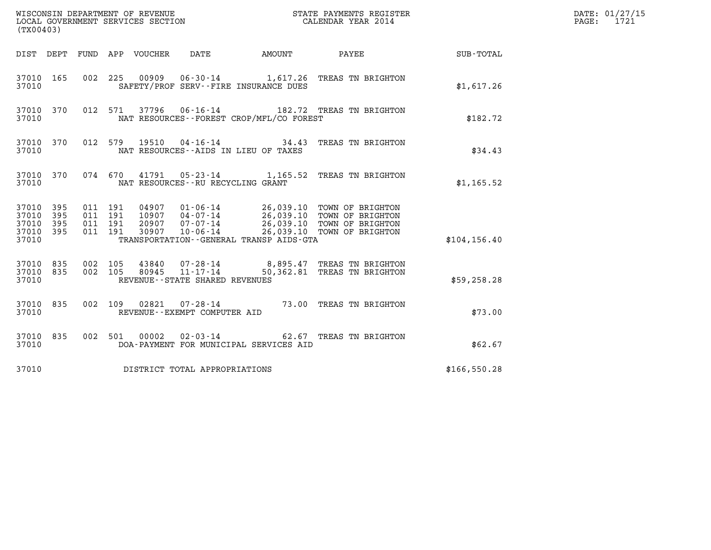| (TX00403)                                                       | WISCONSIN DEPARTMENT OF REVENUE<br>LOCAL GOVERNMENT SERVICES SECTION                                                                                                                                                                                                          |        | STATE PAYMENTS REGISTER<br>CALENDAR YEAR 2014 |                 | DATE: 01/27/15<br>$\mathtt{PAGE:}$<br>1721 |
|-----------------------------------------------------------------|-------------------------------------------------------------------------------------------------------------------------------------------------------------------------------------------------------------------------------------------------------------------------------|--------|-----------------------------------------------|-----------------|--------------------------------------------|
| DIST DEPT FUND APP VOUCHER                                      | DATE                                                                                                                                                                                                                                                                          | AMOUNT |                                               | PAYEE SUB-TOTAL |                                            |
| 37010 165<br>37010                                              | 00909<br>002 225<br>SAFETY/PROF SERV--FIRE INSURANCE DUES                                                                                                                                                                                                                     |        | 06-30-14 1,617.26 TREAS TN BRIGHTON           | \$1,617.26      |                                            |
| 37010 370<br>37010                                              | 012 571 37796 06-16-14<br>NAT RESOURCES--FOREST CROP/MFL/CO FOREST                                                                                                                                                                                                            |        | 182.72 TREAS TN BRIGHTON                      | \$182.72        |                                            |
| 37010 370<br>37010                                              | 012 579<br>19510<br>NAT RESOURCES -- AIDS IN LIEU OF TAXES                                                                                                                                                                                                                    |        | 04-16-14 34.43 TREAS TN BRIGHTON              | \$34.43         |                                            |
| 37010 370<br>37010                                              | 074 670 41791 05-23-14 1,165.52 TREAS TN BRIGHTON<br>NAT RESOURCES -- RU RECYCLING GRANT                                                                                                                                                                                      |        |                                               | \$1,165.52      |                                            |
| 37010 395<br>37010<br>395<br>395<br>37010<br>37010 395<br>37010 | 011 191<br>04907  01-06-14  26,039.10  TOWN OF BRIGHTON<br>10907  04-07-14  26,039.10  TOWN OF BRIGHTON<br>011 191<br>20907 07-07-14 26,039.10 TOWN OF BRIGHTON<br>30907 10-06-14 26,039.10 TOWN OF BRIGHTON<br>011 191<br>011 191<br>TRANSPORTATION--GENERAL TRANSP AIDS-GTA |        |                                               | \$104, 156.40   |                                            |
| 37010 835<br>37010 835<br>37010                                 | 43840  07-28-14  8,895.47  TREAS TN BRIGHTON<br>002 105<br>80945  11-17-14  50,362.81  TREAS TN BRIGHTON<br>002 105<br>REVENUE--STATE SHARED REVENUES                                                                                                                         |        |                                               | \$59,258.28     |                                            |
| 37010 835<br>37010                                              | 02821  07-28-14  73.00 TREAS TN BRIGHTON<br>002 109<br>REVENUE--EXEMPT COMPUTER AID                                                                                                                                                                                           |        |                                               | \$73.00         |                                            |
| 37010 835<br>37010                                              | $02 - 03 - 14$<br>002 501<br>00002<br>DOA-PAYMENT FOR MUNICIPAL SERVICES AID                                                                                                                                                                                                  |        | 62.67 TREAS TN BRIGHTON                       | \$62.67         |                                            |
| 37010                                                           | DISTRICT TOTAL APPROPRIATIONS                                                                                                                                                                                                                                                 |        |                                               | \$166,550.28    |                                            |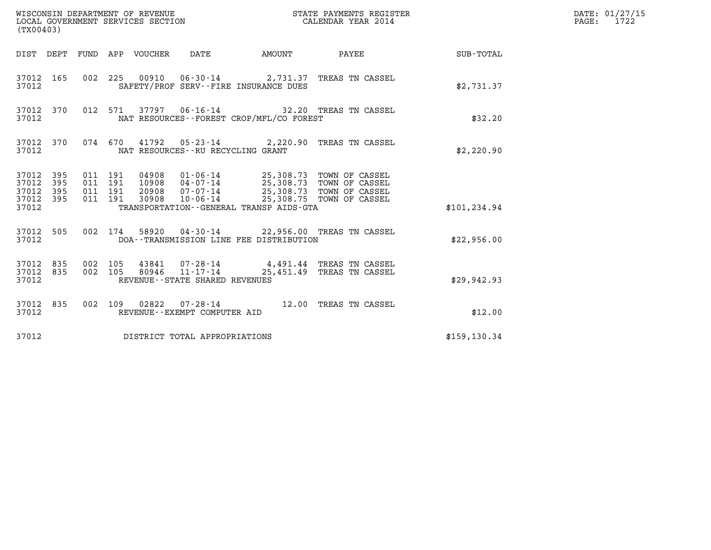| (TX00403)                                         |            |                    |                    |                                 | WISCONSIN DEPARTMENT OF REVENUE<br>LOCAL GOVERNMENT SERVICES SECTION |                                              | STATE PAYMENTS REGISTER<br>CALENDAR YEAR 2014                                                                                                                                        |               | DATE: 01/27/15<br>$\mathtt{PAGE:}$<br>1722 |
|---------------------------------------------------|------------|--------------------|--------------------|---------------------------------|----------------------------------------------------------------------|----------------------------------------------|--------------------------------------------------------------------------------------------------------------------------------------------------------------------------------------|---------------|--------------------------------------------|
|                                                   |            |                    |                    | DIST DEPT FUND APP VOUCHER DATE |                                                                      | <b>EXAMPLE THE PROPERTY OF AMOUNT</b>        | <b>PAYEE</b>                                                                                                                                                                         | SUB-TOTAL     |                                            |
| 37012                                             | 37012 165  |                    |                    |                                 |                                                                      | SAFETY/PROF SERV--FIRE INSURANCE DUES        | 002 225 00910 06-30-14 2,731.37 TREAS TN CASSEL                                                                                                                                      | \$2,731.37    |                                            |
| 37012                                             | 37012 370  |                    |                    |                                 |                                                                      | NAT RESOURCES - - FOREST CROP/MFL/CO FOREST  | 012 571 37797 06-16-14 32.20 TREAS TN CASSEL                                                                                                                                         | \$32.20       |                                            |
| 37012 370<br>37012                                |            |                    |                    |                                 | NAT RESOURCES--RU RECYCLING GRANT                                    |                                              | 074 670 41792 05-23-14 2,220.90 TREAS TN CASSEL                                                                                                                                      | \$2,220.90    |                                            |
| 37012 395<br>37012<br>37012<br>37012 395<br>37012 | 395<br>395 | 011 191<br>011 191 | 011 191<br>011 191 |                                 |                                                                      | TRANSPORTATION - - GENERAL TRANSP AIDS - GTA | 04908  01-06-14  25,308.73  TOWN OF CASSEL<br>10908  04-07-14  25,308.73  TOWN OF CASSEL<br>20908  07-07-14  25,308.73  TOWN OF CASSEL<br>30908  10-06-14  25,308.75  TOWN OF CASSEL | \$101, 234.94 |                                            |
| 37012                                             | 37012 505  |                    |                    |                                 |                                                                      | DOA--TRANSMISSION LINE FEE DISTRIBUTION      | 002 174 58920 04-30-14 22,956.00 TREAS TN CASSEL                                                                                                                                     | \$22,956.00   |                                            |
| 37012 835<br>37012 835<br>37012                   |            | 002 105<br>002 105 |                    | 80946                           | $11 - 17 - 14$<br>REVENUE - - STATE SHARED REVENUES                  |                                              | 43841  07-28-14  4,491.44  TREAS TN CASSEL<br>25,451.49 TREAS TN CASSEL                                                                                                              | \$29,942.93   |                                            |
| 37012 835<br>37012                                |            |                    |                    |                                 | REVENUE--EXEMPT COMPUTER AID                                         |                                              | 002 109 02822 07-28-14 12.00 TREAS TN CASSEL                                                                                                                                         | \$12.00       |                                            |
| 37012                                             |            |                    |                    |                                 | DISTRICT TOTAL APPROPRIATIONS                                        |                                              |                                                                                                                                                                                      | \$159, 130.34 |                                            |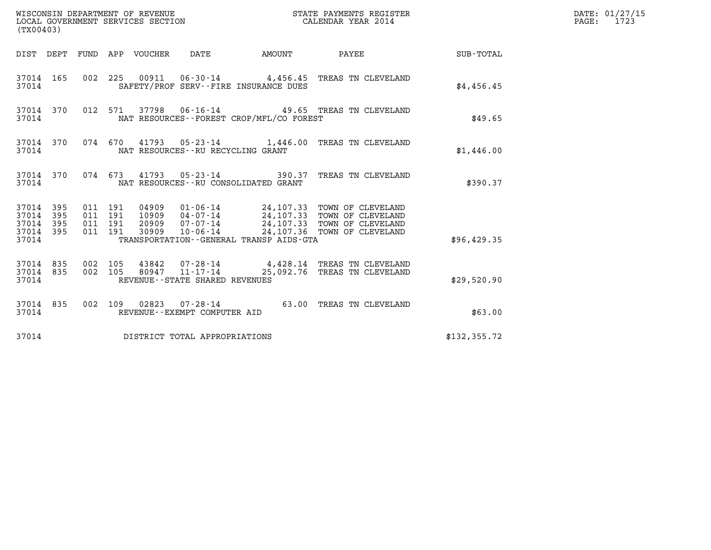| (TX00403)                                         |            |                    |                    |                                 |                                                  |                                          | STATE PAYMENTS REGISTER                                                                                                                                                                 |               | DATE: 01/27/15<br>$\mathtt{PAGE:}$<br>1723 |
|---------------------------------------------------|------------|--------------------|--------------------|---------------------------------|--------------------------------------------------|------------------------------------------|-----------------------------------------------------------------------------------------------------------------------------------------------------------------------------------------|---------------|--------------------------------------------|
|                                                   |            |                    |                    | DIST DEPT FUND APP VOUCHER DATE |                                                  | <b>AMOUNT</b>                            | <b>PAYEE</b>                                                                                                                                                                            | SUB-TOTAL     |                                            |
| 37014                                             | 37014 165  |                    |                    |                                 |                                                  | SAFETY/PROF SERV--FIRE INSURANCE DUES    | 002 225 00911 06-30-14 4,456.45 TREAS TN CLEVELAND                                                                                                                                      | \$4,456.45    |                                            |
| 37014                                             | 37014 370  |                    |                    |                                 |                                                  | NAT RESOURCES--FOREST CROP/MFL/CO FOREST | 012 571 37798 06-16-14 49.65 TREAS TN CLEVELAND                                                                                                                                         | \$49.65       |                                            |
| 37014                                             | 37014 370  |                    |                    |                                 | NAT RESOURCES--RU RECYCLING GRANT                |                                          | 074 670 41793 05-23-14 1,446.00 TREAS TN CLEVELAND                                                                                                                                      | \$1,446.00    |                                            |
| 37014                                             | 37014 370  |                    |                    |                                 |                                                  | NAT RESOURCES - - RU CONSOLIDATED GRANT  | 074 673 41793 05-23-14 390.37 TREAS TN CLEVELAND                                                                                                                                        | \$390.37      |                                            |
| 37014 395<br>37014<br>37014<br>37014 395<br>37014 | 395<br>395 | 011 191<br>011 191 | 011 191<br>011 191 | 04909                           |                                                  | TRANSPORTATION--GENERAL TRANSP AIDS-GTA  | 01-06-14 24,107.33 TOWN OF CLEVELAND<br>10909  04-07-14  24,107.33  TOWN OF CLEVELAND<br>20909  07-07-14  24,107.33  TOWN OF CLEVELAND<br>30909  10-06-14  24,107.36  TOWN OF CLEVELAND | \$96,429.35   |                                            |
| 37014 835<br>37014 835<br>37014                   |            | 002 105<br>002 105 |                    | 80947                           | $11 - 17 - 14$<br>REVENUE--STATE SHARED REVENUES |                                          | 43842  07-28-14  4,428.14  TREAS TN CLEVELAND<br>25,092.76 TREAS TN CLEVELAND                                                                                                           | \$29,520.90   |                                            |
| 37014 835<br>37014                                |            |                    |                    |                                 | REVENUE--EXEMPT COMPUTER AID                     |                                          | 002 109 02823 07-28-14 63.00 TREAS TN CLEVELAND                                                                                                                                         | \$63.00       |                                            |
| 37014                                             |            |                    |                    |                                 | DISTRICT TOTAL APPROPRIATIONS                    |                                          |                                                                                                                                                                                         | \$132, 355.72 |                                            |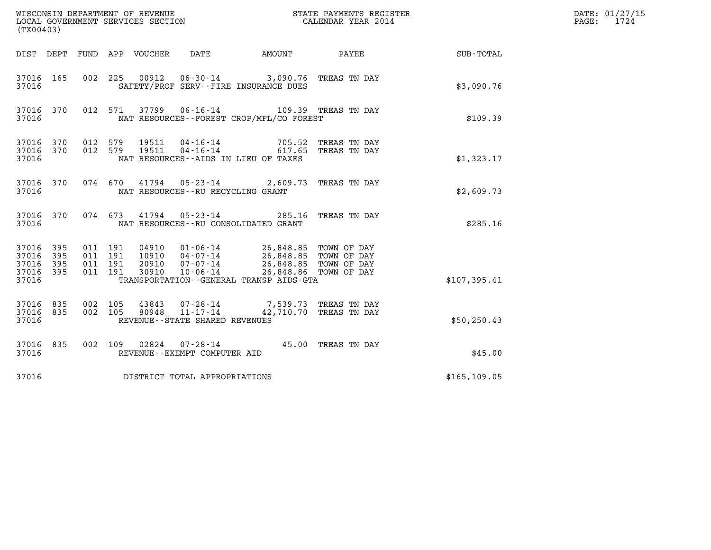| (TX00403)                                 |                          |                                          | WISCONSIN DEPARTMENT OF REVENUE<br>LOCAL GOVERNMENT SERVICES SECTION                                                                    |           | STATE PAYMENTS REGISTER<br>CALENDAR YEAR 2014                                          |               | DATE: 01/27/15<br>1724<br>PAGE: |
|-------------------------------------------|--------------------------|------------------------------------------|-----------------------------------------------------------------------------------------------------------------------------------------|-----------|----------------------------------------------------------------------------------------|---------------|---------------------------------|
| DIST DEPT                                 |                          |                                          | FUND APP VOUCHER<br>DATE                                                                                                                | AMOUNT    | PAYEE                                                                                  | SUB-TOTAL     |                                 |
| 37016 165<br>37016                        |                          | 002 225                                  | 00912  06-30-14  3,090.76  TREAS TN DAY<br>SAFETY/PROF SERV--FIRE INSURANCE DUES                                                        |           |                                                                                        | \$3,090.76    |                                 |
| 37016 370<br>37016                        |                          | 012 571                                  | 06-16-14 109.39 TREAS TN DAY<br>37799<br>NAT RESOURCES - - FOREST CROP/MFL/CO FOREST                                                    |           |                                                                                        | \$109.39      |                                 |
| 37016 370<br>37016 370<br>37016           |                          | 012 579<br>012 579                       | 19511<br>04 - 16 - 14<br>04 - 16 - 14<br>19511<br>NAT RESOURCES--AIDS IN LIEU OF TAXES                                                  | 705.52    | TREAS TN DAY<br>617.65 TREAS TN DAY                                                    | \$1,323.17    |                                 |
| 37016 370<br>37016                        |                          | 074 670                                  | 05-23-14 2,609.73 TREAS TN DAY<br>41794<br>NAT RESOURCES--RU RECYCLING GRANT                                                            |           |                                                                                        | \$2,609.73    |                                 |
| 37016 370<br>37016                        |                          | 074 673                                  | 41794<br>$05 - 23 - 14$<br>NAT RESOURCES - - RU CONSOLIDATED GRANT                                                                      | 285.16    | TREAS TN DAY                                                                           | \$285.16      |                                 |
| 37016<br>37016<br>37016<br>37016<br>37016 | 395<br>395<br>395<br>395 | 011 191<br>011 191<br>011 191<br>011 191 | 04910  01-06-14<br>10910 04-07-14<br>$07 - 07 - 14$<br>20910<br>30910<br>$10 - 06 - 14$<br>TRANSPORTATION - - GENERAL TRANSP AIDS - GTA | 26,848.85 | TOWN OF DAY<br>26,848.85 TOWN OF DAY<br>26,848.85 TOWN OF DAY<br>26,848.86 TOWN OF DAY | \$107,395.41  |                                 |
| 37016 835<br>37016 835<br>37016           |                          | 002 105<br>002 105                       | 43843<br>07-28-14<br>$11 - 17 - 14$<br>80948<br>REVENUE - - STATE SHARED REVENUES                                                       | 42,710.70 | 7,539.73 TREAS TN DAY<br>TREAS TN DAY                                                  | \$50, 250.43  |                                 |
| 37016 835<br>37016                        |                          | 002 109                                  | $07 - 28 - 14$<br>02824<br>REVENUE--EXEMPT COMPUTER AID                                                                                 |           | 45.00 TREAS TN DAY                                                                     | \$45.00       |                                 |
| 37016                                     |                          |                                          | DISTRICT TOTAL APPROPRIATIONS                                                                                                           |           |                                                                                        | \$165, 109.05 |                                 |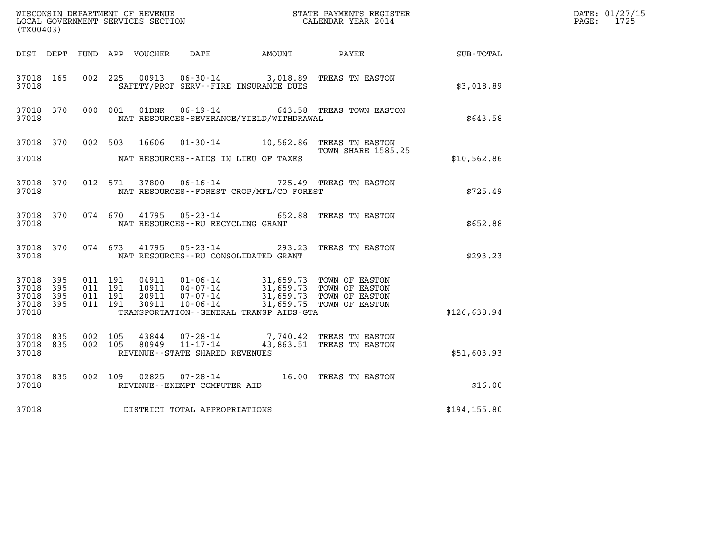| DATE: 01/27/15                  |           |                    |         |                            |                                                        |                                             |                                                                                                                                                                                                                                      |               |                          |  |
|---------------------------------|-----------|--------------------|---------|----------------------------|--------------------------------------------------------|---------------------------------------------|--------------------------------------------------------------------------------------------------------------------------------------------------------------------------------------------------------------------------------------|---------------|--------------------------|--|
| (TX00403)                       |           |                    |         |                            |                                                        |                                             |                                                                                                                                                                                                                                      |               | $\mathtt{PAGE:}$<br>1725 |  |
|                                 |           |                    |         | DIST DEPT FUND APP VOUCHER | DATE                                                   | AMOUNT                                      | PAYEE                                                                                                                                                                                                                                | SUB-TOTAL     |                          |  |
| 37018 165<br>37018              |           | 002 225            |         | 00913                      |                                                        | SAFETY/PROF SERV--FIRE INSURANCE DUES       | 06-30-14 3,018.89 TREAS TN EASTON                                                                                                                                                                                                    | \$3,018.89    |                          |  |
| 37018 370<br>37018              |           | 000 001            |         | 01DNR                      |                                                        | NAT RESOURCES-SEVERANCE/YIELD/WITHDRAWAL    | 06-19-14 643.58 TREAS TOWN EASTON                                                                                                                                                                                                    | \$643.58      |                          |  |
| 37018 370                       |           |                    | 002 503 | 16606                      |                                                        |                                             | 01-30-14 10,562.86 TREAS TN EASTON<br><b>TOWN SHARE 1585.25</b>                                                                                                                                                                      |               |                          |  |
| 37018                           |           |                    |         |                            |                                                        | NAT RESOURCES--AIDS IN LIEU OF TAXES        |                                                                                                                                                                                                                                      | \$10,562.86   |                          |  |
| 37018                           | 37018 370 |                    |         | 012 571 37800              |                                                        | NAT RESOURCES - - FOREST CROP/MFL/CO FOREST | 06-16-14 725.49 TREAS TN EASTON                                                                                                                                                                                                      | \$725.49      |                          |  |
| 37018 370<br>37018              |           | 074 670            |         | 41795                      | $05 - 23 - 14$<br>NAT RESOURCES - - RU RECYCLING GRANT |                                             | 652.88 TREAS TN EASTON                                                                                                                                                                                                               | \$652.88      |                          |  |
| 37018 370<br>37018              |           |                    | 074 673 |                            | 41795 05-23-14                                         | NAT RESOURCES - - RU CONSOLIDATED GRANT     | 293.23 TREAS TN EASTON                                                                                                                                                                                                               | \$293.23      |                          |  |
| 37018 395<br>37018              | 395       | 011 191<br>011 191 |         |                            |                                                        |                                             | $\begin{array}{cccc} 04911 & 01\cdot 06\cdot 14 & 31,659.73 & \text{TOWN OF EASTON} \\ 10911 & 04\cdot 07\cdot 14 & 31,659.73 & \text{TOWN OF EASTON} \\ 20911 & 07\cdot 07\cdot 14 & 31,659.73 & \text{TOWN OF EASTON} \end{array}$ |               |                          |  |
| 37018<br>37018 395<br>37018     | 395       | 011 191<br>011 191 |         | 30911                      | $10 - 06 - 14$                                         | TRANSPORTATION--GENERAL TRANSP AIDS-GTA     | 31,659.75 TOWN OF EASTON                                                                                                                                                                                                             | \$126,638.94  |                          |  |
| 37018 835<br>37018 835<br>37018 |           | 002 105<br>002 105 |         | 43844<br>80949             | $11 - 17 - 14$<br>REVENUE--STATE SHARED REVENUES       |                                             | 07-28-14 7,740.42 TREAS TN EASTON<br>43,863.51 TREAS TN EASTON                                                                                                                                                                       | \$51,603.93   |                          |  |
|                                 |           |                    |         |                            |                                                        |                                             |                                                                                                                                                                                                                                      |               |                          |  |
| 37018 835<br>37018              |           | 002 109            |         | 02825                      | REVENUE - - EXEMPT COMPUTER AID                        |                                             | 07-28-14 16.00 TREAS TN EASTON                                                                                                                                                                                                       | \$16.00       |                          |  |
| 37018                           |           |                    |         |                            | DISTRICT TOTAL APPROPRIATIONS                          |                                             |                                                                                                                                                                                                                                      | \$194, 155.80 |                          |  |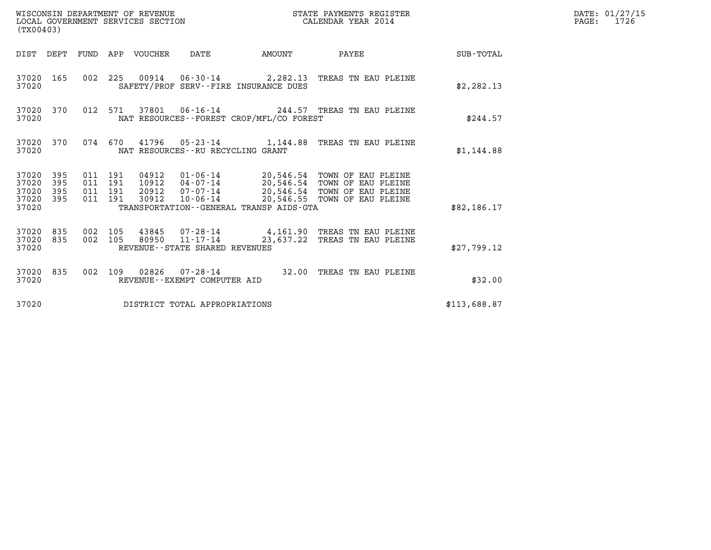| WISCONSIN DEPARTMENT OF REVENUE<br>(TX00403)                    | LOCAL GOVERNMENT SERVICES SECTION                                                                                                                                                                                                                                                           | STATE PAYMENTS REGISTER<br>CALENDAR YEAR 2014 | DATE: 01/27/15<br>$\mathtt{PAGE:}$<br>1726 |
|-----------------------------------------------------------------|---------------------------------------------------------------------------------------------------------------------------------------------------------------------------------------------------------------------------------------------------------------------------------------------|-----------------------------------------------|--------------------------------------------|
|                                                                 | DIST DEPT FUND APP VOUCHER DATE<br>AMOUNT                                                                                                                                                                                                                                                   | SUB-TOTAL<br>PAYEE                            |                                            |
| 37020 165<br>37020                                              | 002 225 00914 06-30-14 2,282.13 TREAS TN EAU PLEINE<br>SAFETY/PROF SERV--FIRE INSURANCE DUES                                                                                                                                                                                                | \$2,282.13                                    |                                            |
| 37020 370<br>37020                                              | 012 571 37801 06-16-14 244.57 TREAS TN EAU PLEINE<br>NAT RESOURCES -- FOREST CROP/MFL/CO FOREST                                                                                                                                                                                             | \$244.57                                      |                                            |
| 37020 370<br>37020                                              | 074 670 41796 05-23-14 1,144.88 TREAS TN EAU PLEINE<br>NAT RESOURCES - - RU RECYCLING GRANT                                                                                                                                                                                                 | \$1,144.88                                    |                                            |
| 37020 395<br>37020<br>395<br>37020<br>395<br>37020 395<br>37020 | 04912  01-06-14  20,546.54  TOWN OF EAU PLEINE<br>10912  04-07-14  20,546.54  TOWN OF EAU PLEINE<br>011 191<br>011 191<br>20912  07-07-14  20,546.54  TOWN OF EAU PLEINE<br>011 191<br>10-06-14 20,546.55 TOWN OF EAU PLEINE<br>011 191<br>30912<br>TRANSPORTATION--GENERAL TRANSP AIDS-GTA | \$82,186.17                                   |                                            |
| 37020 835<br>37020 835<br>37020                                 | 002 105<br>43845 07-28-14 4,161.90 TREAS TN EAU PLEINE<br>80950 11-17-14<br>002 105<br>REVENUE - - STATE SHARED REVENUES                                                                                                                                                                    | 23,637.22 TREAS TN EAU PLEINE<br>\$27,799.12  |                                            |
| 37020 835<br>37020                                              | 002 109 02826 07-28-14 32.00 TREAS TN EAU PLEINE<br>REVENUE--EXEMPT COMPUTER AID                                                                                                                                                                                                            | \$32.00                                       |                                            |
| 37020                                                           | DISTRICT TOTAL APPROPRIATIONS                                                                                                                                                                                                                                                               | \$113,688.87                                  |                                            |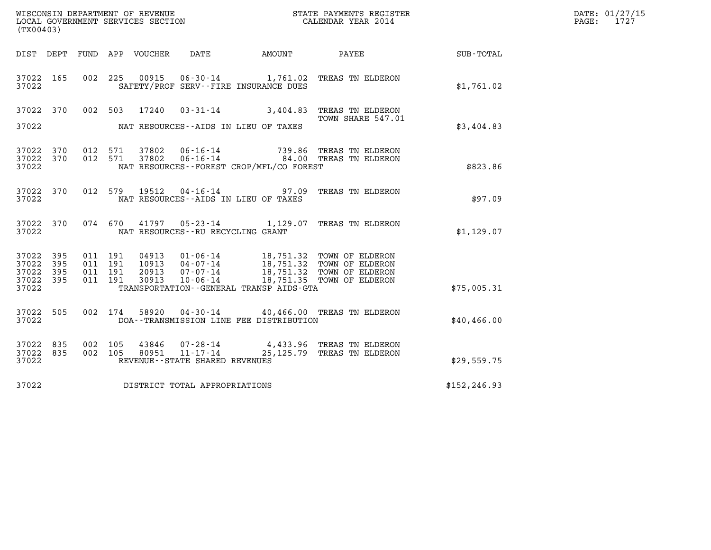| (TX00403)                                         |            |                                          |         |                                  |                                                              |                                              |                                                                                                                                    |               | DATE: 01/27/15<br>$\mathtt{PAGE:}$<br>1727 |
|---------------------------------------------------|------------|------------------------------------------|---------|----------------------------------|--------------------------------------------------------------|----------------------------------------------|------------------------------------------------------------------------------------------------------------------------------------|---------------|--------------------------------------------|
|                                                   |            |                                          |         | DIST DEPT FUND APP VOUCHER       | DATE                                                         | <b>AMOUNT</b>                                | PAYEE                                                                                                                              | SUB-TOTAL     |                                            |
| 37022 165<br>37022                                |            |                                          | 002 225 |                                  |                                                              | SAFETY/PROF SERV--FIRE INSURANCE DUES        | 00915  06-30-14  1,761.02  TREAS TN ELDERON                                                                                        | \$1,761.02    |                                            |
| 37022 370<br>37022                                |            | 002 503                                  |         | 17240                            |                                                              | NAT RESOURCES--AIDS IN LIEU OF TAXES         | 03-31-14 3,404.83 TREAS TN ELDERON<br>TOWN SHARE 547.01                                                                            | \$3,404.83    |                                            |
| 37022 370<br>37022 370<br>37022                   |            | 012 571<br>012 571                       |         | 37802<br>37802                   | $06 - 16 - 14$<br>$06 - 16 - 14$                             | NAT RESOURCES - - FOREST CROP/MFL/CO FOREST  | 739.86 TREAS TN ELDERON<br>84.00 TREAS TN ELDERON                                                                                  | \$823.86      |                                            |
| 37022 370<br>37022                                |            | 012 579                                  |         | 19512                            |                                                              | NAT RESOURCES--AIDS IN LIEU OF TAXES         | 04-16-14 97.09 TREAS TN ELDERON                                                                                                    | \$97.09       |                                            |
| 37022 370<br>37022                                |            | 074 670                                  |         |                                  | NAT RESOURCES - - RU RECYCLING GRANT                         |                                              | 41797  05-23-14  1,129.07  TREAS TN ELDERON                                                                                        | \$1,129.07    |                                            |
| 37022 395<br>37022<br>37022<br>37022 395<br>37022 | 395<br>395 | 011 191<br>011 191<br>011 191<br>011 191 |         | 04913<br>10913<br>20913<br>30913 | 07-07-14<br>$10 - 06 - 14$                                   | TRANSPORTATION - - GENERAL TRANSP AIDS - GTA | 01-06-14 18,751.32 TOWN OF ELDERON<br>04-07-14 18,751.32 TOWN OF ELDERON<br>18,751.32 TOWN OF ELDERON<br>18,751.35 TOWN OF ELDERON | \$75,005.31   |                                            |
| 37022 505<br>37022                                |            | 002 174                                  |         | 58920                            |                                                              | DOA--TRANSMISSION LINE FEE DISTRIBUTION      | 04-30-14 40,466.00 TREAS TN ELDERON                                                                                                | \$40,466.00   |                                            |
| 37022 835<br>37022 835<br>37022                   |            | 002 105<br>002 105                       |         | 43846<br>80951                   | 07-28-14<br>$11 - 17 - 14$<br>REVENUE--STATE SHARED REVENUES |                                              | 4,433.96 TREAS TN ELDERON<br>25,125.79 TREAS TN ELDERON                                                                            | \$29,559.75   |                                            |
| 37022                                             |            |                                          |         |                                  | DISTRICT TOTAL APPROPRIATIONS                                |                                              |                                                                                                                                    | \$152, 246.93 |                                            |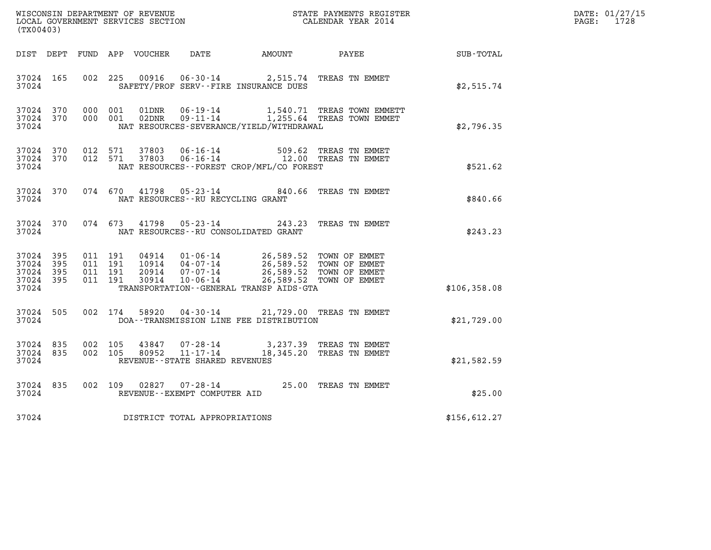|                                               |                   |                                          | DATE: 01/27/15 |                |                                                     |                                                                                                                                                                                  |                                                                           |                  |            |
|-----------------------------------------------|-------------------|------------------------------------------|----------------|----------------|-----------------------------------------------------|----------------------------------------------------------------------------------------------------------------------------------------------------------------------------------|---------------------------------------------------------------------------|------------------|------------|
| (TX00403)                                     |                   |                                          |                |                |                                                     |                                                                                                                                                                                  |                                                                           |                  | PAGE: 1728 |
|                                               |                   |                                          |                |                |                                                     | DIST DEPT FUND APP VOUCHER DATE AMOUNT PAYEE                                                                                                                                     |                                                                           | <b>SUB-TOTAL</b> |            |
| 37024 165<br>37024                            |                   | 002 225                                  |                | 00916          | $06 - 30 - 14$                                      | SAFETY/PROF SERV--FIRE INSURANCE DUES                                                                                                                                            | 2,515.74 TREAS TN EMMET                                                   | \$2,515.74       |            |
| 37024 370<br>37024 370<br>37024               |                   | 000 001<br>000 001                       |                | 01DNR<br>02DNR |                                                     | NAT RESOURCES-SEVERANCE/YIELD/WITHDRAWAL                                                                                                                                         | 06-19-14 1,540.71 TREAS TOWN EMMETT<br>09-11-14 1,255.64 TREAS TOWN EMMET | \$2,796.35       |            |
| 37024 370<br>37024 370<br>37024               |                   | 012 571<br>012 571                       |                | 37803<br>37803 |                                                     | 06-16-14 509.62 TREAS TN EMMET<br>06-16-14 12.00 TREAS TN EMMET<br>NAT RESOURCES--FOREST CROP/MFL/CO FOREST                                                                      |                                                                           | \$521.62         |            |
| 37024 370<br>37024                            |                   |                                          | 074 670        |                |                                                     | 41798  05-23-14  840.66  TREAS TN EMMET<br>NAT RESOURCES - - RU RECYCLING GRANT                                                                                                  |                                                                           | \$840.66         |            |
| 37024 370<br>37024                            |                   |                                          | 074 673        |                |                                                     | 41798 05-23-14 243.23 TREAS TN EMMET<br>NAT RESOURCES--RU CONSOLIDATED GRANT                                                                                                     |                                                                           | \$243.23         |            |
| 37024 395<br>37024<br>37024<br>37024<br>37024 | 395<br>395<br>395 | 011 191<br>011 191<br>011 191<br>011 191 |                | 30914          | $10 - 06 - 14$                                      | 04914  01-06-14  26,589.52 TOWN OF EMMET<br>10914  04-07-14  26,589.52 TOWN OF EMMET<br>20914  07-07-14  26,589.52 TOWN OF EMMET<br>TRANSPORTATION - - GENERAL TRANSP AIDS - GTA | 26,589.52 TOWN OF EMMET                                                   | \$106,358.08     |            |
| 37024 505<br>37024                            |                   |                                          | 002 174        | 58920          |                                                     | 04-30-14 21,729.00 TREAS TN EMMET<br>DOA--TRANSMISSION LINE FEE DISTRIBUTION                                                                                                     |                                                                           | \$21,729.00      |            |
| 37024 835<br>37024 835<br>37024               |                   | 002 105                                  | 002 105        | 43847<br>80952 | $07 - 28 - 14$<br>REVENUE - - STATE SHARED REVENUES | 11-17-14 18,345.20 TREAS TN EMMET                                                                                                                                                | 3,237.39 TREAS TN EMMET                                                   | \$21,582.59      |            |
| 37024 835<br>37024                            |                   |                                          | 002 109        | 02827          | REVENUE--EXEMPT COMPUTER AID                        | 07-28-14 25.00 TREAS TN EMMET                                                                                                                                                    |                                                                           | \$25.00          |            |
| 37024                                         |                   |                                          |                |                | DISTRICT TOTAL APPROPRIATIONS                       |                                                                                                                                                                                  |                                                                           | \$156,612.27     |            |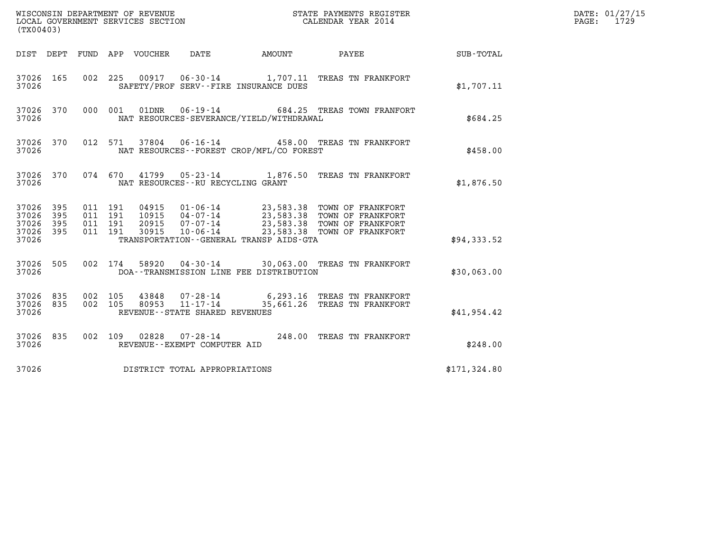| (TX00403)                                         |            |                                          |       | WISCONSIN DEPARTMENT OF REVENUE<br>LOCAL GOVERNMENT SERVICES SECTION |        | STATE PAYMENTS REGISTER<br>CALENDAR YEAR 2014                                                                                                                                                    |                 |              | DATE: 01/27/15<br>$\mathtt{PAGE:}$<br>1729 |
|---------------------------------------------------|------------|------------------------------------------|-------|----------------------------------------------------------------------|--------|--------------------------------------------------------------------------------------------------------------------------------------------------------------------------------------------------|-----------------|--------------|--------------------------------------------|
| DIST DEPT FUND APP VOUCHER                        |            |                                          |       | DATE                                                                 | AMOUNT |                                                                                                                                                                                                  | PAYEE SUB-TOTAL |              |                                            |
| 37026 165<br>37026                                |            | 002 225                                  |       | SAFETY/PROF SERV--FIRE INSURANCE DUES                                |        | 00917  06-30-14   1,707.11   TREAS TN FRANKFORT                                                                                                                                                  |                 | \$1,707.11   |                                            |
| 37026 370<br>37026                                |            | 000 001                                  | 01DNR | $06 - 19 - 14$<br>NAT RESOURCES-SEVERANCE/YIELD/WITHDRAWAL           |        | 684.25 TREAS TOWN FRANFORT                                                                                                                                                                       |                 | \$684.25     |                                            |
| 37026 370<br>37026                                |            | 012 571                                  |       | NAT RESOURCES--FOREST CROP/MFL/CO FOREST                             |        | 37804  06-16-14  458.00 TREAS TN FRANKFORT                                                                                                                                                       |                 | \$458.00     |                                            |
| 37026 370<br>37026                                |            |                                          |       | NAT RESOURCES -- RU RECYCLING GRANT                                  |        | 074 670 41799 05-23-14 1,876.50 TREAS TN FRANKFORT                                                                                                                                               |                 | \$1,876.50   |                                            |
| 37026 395<br>37026<br>37026<br>37026 395<br>37026 | 395<br>395 | 011 191<br>011 191<br>011 191<br>011 191 |       | TRANSPORTATION--GENERAL TRANSP AIDS-GTA                              |        | 04915  01-06-14  23,583.38  TOWN OF FRANKFORT<br>10915  04-07-14  23,583.38  TOWN OF FRANKFORT<br>20915  07-07-14  23,583.38  TOWN OF FRANKFORT<br>30915  10-06-14  23,583.38  TOWN OF FRANKFORT |                 | \$94,333.52  |                                            |
| 37026 505<br>37026                                |            | 002 174                                  |       | DOA--TRANSMISSION LINE FEE DISTRIBUTION                              |        | 58920  04-30-14  30,063.00  TREAS TN FRANKFORT                                                                                                                                                   |                 | \$30,063.00  |                                            |
| 37026 835<br>37026 835<br>37026                   |            | 002 105<br>002 105                       |       | REVENUE - - STATE SHARED REVENUES                                    |        | 43848  07-28-14  6,293.16  TREAS TN FRANKFORT<br>80953 11-17-14 35,661.26 TREAS TN FRANKFORT                                                                                                     |                 | \$41,954.42  |                                            |
| 37026 835<br>37026                                |            |                                          |       | REVENUE--EXEMPT COMPUTER AID                                         |        | 002 109 02828 07-28-14 248.00 TREAS TN FRANKFORT                                                                                                                                                 |                 | \$248.00     |                                            |
| 37026                                             |            |                                          |       | DISTRICT TOTAL APPROPRIATIONS                                        |        |                                                                                                                                                                                                  |                 | \$171,324.80 |                                            |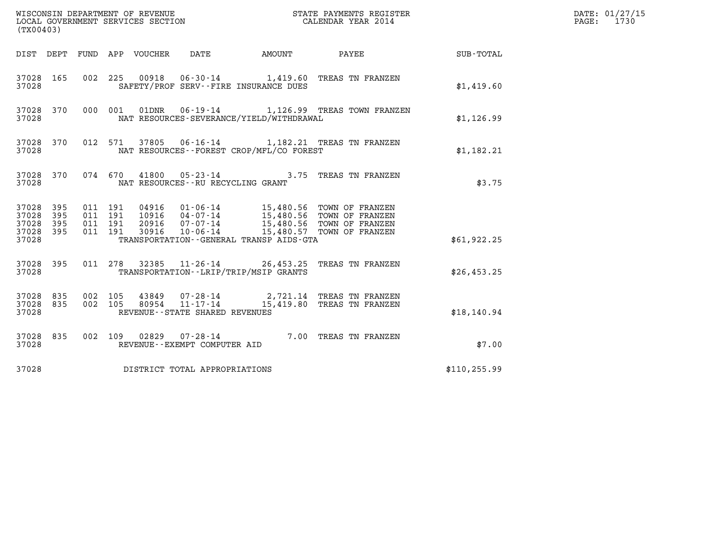| (TX00403)                                         |            |                    |                    |                                 | WISCONSIN DEPARTMENT OF REVENUE<br>LOCAL GOVERNMENT SERVICES SECTION |                                              | STATE PAYMENTS REGISTER<br>CALENDAR YEAR 2014                                                                                                                                                                                                                    |                        | DATE: 01/27/15<br>PAGE: 1730 |
|---------------------------------------------------|------------|--------------------|--------------------|---------------------------------|----------------------------------------------------------------------|----------------------------------------------|------------------------------------------------------------------------------------------------------------------------------------------------------------------------------------------------------------------------------------------------------------------|------------------------|------------------------------|
|                                                   |            |                    |                    | DIST DEPT FUND APP VOUCHER DATE |                                                                      |                                              |                                                                                                                                                                                                                                                                  | AMOUNT PAYEE SUB-TOTAL |                              |
| 37028 165<br>37028                                |            |                    |                    |                                 |                                                                      | SAFETY/PROF SERV--FIRE INSURANCE DUES        | 002 225 00918 06-30-14 1,419.60 TREAS TN FRANZEN                                                                                                                                                                                                                 | \$1,419.60             |                              |
| 37028 370<br>37028                                |            |                    |                    |                                 |                                                                      | NAT RESOURCES-SEVERANCE/YIELD/WITHDRAWAL     | 000 001 01DNR 06-19-14 1,126.99 TREAS TOWN FRANZEN                                                                                                                                                                                                               | \$1,126.99             |                              |
| 37028 370<br>37028                                |            |                    |                    |                                 |                                                                      | NAT RESOURCES - - FOREST CROP/MFL/CO FOREST  | 012 571 37805 06-16-14 1,182.21 TREAS TN FRANZEN                                                                                                                                                                                                                 | \$1,182.21             |                              |
| 37028 370<br>37028                                |            |                    |                    |                                 | 074 670 41800 05-23-14<br>NAT RESOURCES -- RU RECYCLING GRANT        |                                              | 3.75 TREAS TN FRANZEN                                                                                                                                                                                                                                            | \$3.75                 |                              |
| 37028 395<br>37028<br>37028<br>37028 395<br>37028 | 395<br>395 | 011 191<br>011 191 | 011 191<br>011 191 |                                 |                                                                      | TRANSPORTATION - - GENERAL TRANSP AIDS - GTA | $\begin{tabular}{c c c c c c c c c c} \hline 04916 & 01-06-14 & 15,480.56 & TOWN OF FRANZEN \\ 10916 & 04-07-14 & 15,480.56 & TOWN OF FRANZEN \\ 20916 & 07-07-14 & 15,480.56 & TOWN OF FRANZEN \\ 30916 & 10-06-14 & 15,480.57 & TOWN OF FRANZEN \end{tabular}$ | \$61,922.25            |                              |
| 37028 395<br>37028                                |            |                    |                    |                                 |                                                                      | TRANSPORTATION--LRIP/TRIP/MSIP GRANTS        | 011 278 32385 11-26-14 26,453.25 TREAS TN FRANZEN                                                                                                                                                                                                                | \$26,453.25            |                              |
| 37028 835<br>37028 835<br>37028                   |            | 002 105<br>002 105 |                    |                                 | REVENUE--STATE SHARED REVENUES                                       |                                              | 43849   07-28-14   2,721.14 TREAS TN FRANZEN<br>80954   11-17-14   15,419.80 TREAS TN FRANZEN                                                                                                                                                                    | \$18, 140.94           |                              |
| 37028 835<br>37028                                |            |                    |                    |                                 | REVENUE--EXEMPT COMPUTER AID                                         |                                              | 002 109 02829 07-28-14 7.00 TREAS TN FRANZEN                                                                                                                                                                                                                     | \$7.00                 |                              |
| 37028                                             |            |                    |                    |                                 | DISTRICT TOTAL APPROPRIATIONS                                        |                                              |                                                                                                                                                                                                                                                                  | \$110, 255.99          |                              |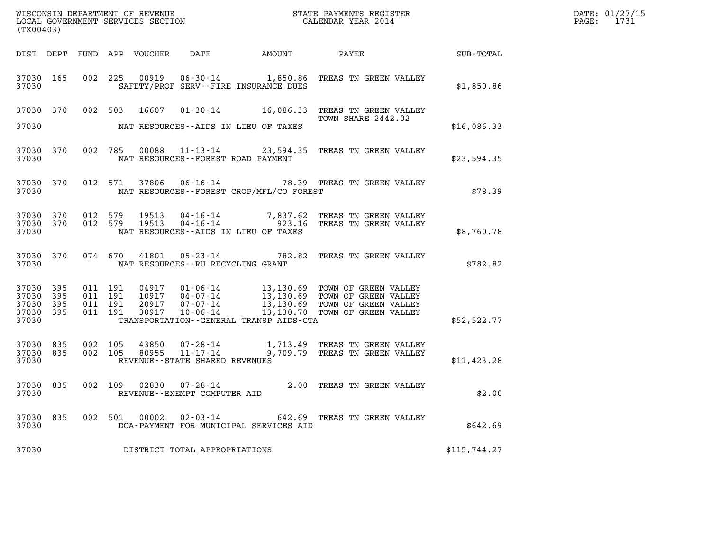| (TX00403)                                                 |                               |         |       |                                          |                                                |                                                                                                                                                                                                                                                                                                |              | DATE: 01/27/15<br>PAGE: 1731 |
|-----------------------------------------------------------|-------------------------------|---------|-------|------------------------------------------|------------------------------------------------|------------------------------------------------------------------------------------------------------------------------------------------------------------------------------------------------------------------------------------------------------------------------------------------------|--------------|------------------------------|
|                                                           |                               |         |       |                                          |                                                | DIST DEPT FUND APP VOUCHER DATE AMOUNT PAYEE SUB-TOTAL                                                                                                                                                                                                                                         |              |                              |
| 37030                                                     |                               |         |       |                                          | SAFETY/PROF SERV--FIRE INSURANCE DUES          | 37030 165 002 225 00919 06-30-14 1,850.86 TREAS TN GREEN VALLEY                                                                                                                                                                                                                                | \$1,850.86   |                              |
|                                                           |                               |         |       |                                          | 37030 NAT RESOURCES--AIDS IN LIEU OF TAXES     | 37030 370 002 503 16607 01-30-14 16,086.33 TREAS TN GREEN VALLEY<br>TOWN SHARE 2442.02                                                                                                                                                                                                         | \$16,086.33  |                              |
|                                                           |                               |         |       | 37030 NAT RESOURCES--FOREST ROAD PAYMENT |                                                | 37030 370 002 785 00088 11-13-14 23,594.35 TREAS TN GREEN VALLEY                                                                                                                                                                                                                               | \$23,594.35  |                              |
|                                                           |                               |         |       |                                          | 37030 NAT RESOURCES--FOREST CROP/MFL/CO FOREST | 37030 370 012 571 37806 06-16-14 78.39 TREAS TN GREEN VALLEY                                                                                                                                                                                                                                   | \$78.39      |                              |
| 37030                                                     |                               |         |       |                                          | NAT RESOURCES--AIDS IN LIEU OF TAXES           | 37030 370 012 579 19513 04-16-14 7,837.62 TREAS TN GREEN VALLEY 37030 370 012 579 19513 04-16-14 923.16 TREAS TN GREEN VALLEY                                                                                                                                                                  | \$8,760.78   |                              |
|                                                           |                               |         |       | 37030 NAT RESOURCES--RU RECYCLING GRANT  |                                                | 37030 370 074 670 41801 05-23-14 782.82 TREAS TN GREEN VALLEY                                                                                                                                                                                                                                  | \$782.82     |                              |
| 37030 395<br>37030 395<br>37030 395<br>37030 395<br>37030 | 011 191<br>011 191<br>011 191 | 011 191 |       |                                          | TRANSPORTATION--GENERAL TRANSP AIDS-GTA        | $\begin{tabular}{c c c c c c c c c c} \hline 04917 & 01-06-14 & 13,130.69 & TOMN OF GREEN VALUEY \\ 10917 & 04-07-14 & 13,130.69 & TOMN OF GREEN VALUEY \\ 20917 & 07-07-14 & 13,130.69 & TOMN OF GREEN VALUEY \\ 30917 & 10-06-14 & 13,130.70 & TOMN OF GREEN VALUEY \\ \hline \end{tabular}$ | \$52,522.77  |                              |
| 37030 835<br>37030                                        |                               |         |       | REVENUE - - STATE SHARED REVENUES        |                                                | 37030 835 002 105 43850 07-28-14 1,713.49 TREAS TN GREEN VALLEY<br>37030 835 002 105 80955 11-17-14 9,709.79 TREAS TN GREEN VALLEY                                                                                                                                                             | \$11,423.28  |                              |
| 37030                                                     |                               |         |       | REVENUE--EXEMPT COMPUTER AID             |                                                | 37030 835 002 109 02830 07-28-14 2.00 TREAS TN GREEN VALLEY                                                                                                                                                                                                                                    | \$2.00       |                              |
| 37030 835<br>37030                                        |                               | 002 501 | 00002 | $02 - 03 - 14$                           | DOA-PAYMENT FOR MUNICIPAL SERVICES AID         | 642.69 TREAS TN GREEN VALLEY                                                                                                                                                                                                                                                                   | \$642.69     |                              |
| 37030                                                     |                               |         |       | DISTRICT TOTAL APPROPRIATIONS            |                                                |                                                                                                                                                                                                                                                                                                | \$115,744.27 |                              |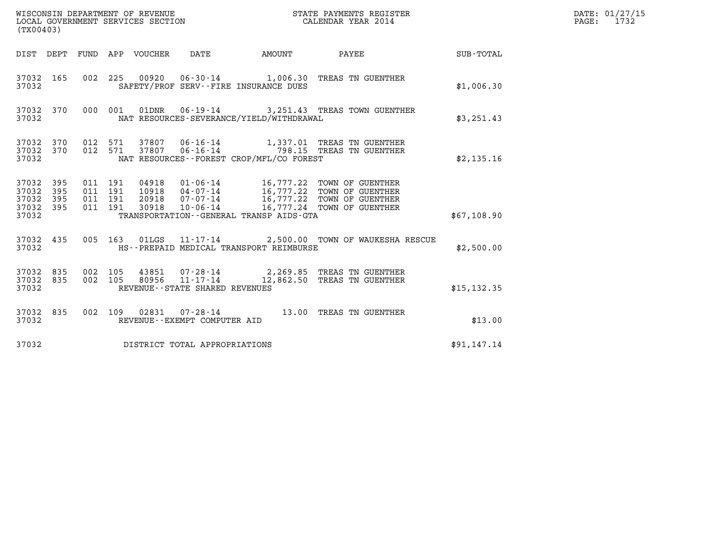| (TX00403)                                        |                                          |  |                                          | %WISCONSIN DEPARTMENT OF REVENUE $$\tt STATE~~PAYMENTS~REGISTER~LOCAL~GOVERNMENT~SERVICES~SECTION~CALENDAR~YEAR~2014$                                                                    |              | DATE: 01/27/15<br>PAGE: 1732 |
|--------------------------------------------------|------------------------------------------|--|------------------------------------------|------------------------------------------------------------------------------------------------------------------------------------------------------------------------------------------|--------------|------------------------------|
|                                                  |                                          |  |                                          | DIST DEPT FUND APP VOUCHER DATE AMOUNT PAYEE TOTAL                                                                                                                                       |              |                              |
| 37032 165<br>37032                               |                                          |  | SAFETY/PROF SERV--FIRE INSURANCE DUES    | 002 225 00920 06-30-14 1,006.30 TREAS TN GUENTHER                                                                                                                                        | \$1,006.30   |                              |
| 37032                                            |                                          |  | NAT RESOURCES-SEVERANCE/YIELD/WITHDRAWAL | 37032 370 000 001 01DNR 06-19-14 3,251.43 TREAS TOWN GUENTHER                                                                                                                            | \$3,251.43   |                              |
| 37032 370 012 571<br>37032 370<br>37032          | 012 571                                  |  | NAT RESOURCES--FOREST CROP/MFL/CO FOREST | 37807  06-16-14   1,337.01   TREAS TN GUENTHER<br>37807  06-16-14   798.15   TREAS TN GUENTHER                                                                                           | \$2,135.16   |                              |
| 37032 395<br>37032 395<br>37032 395<br>37032 395 | 011 191<br>011 191<br>011 191<br>011 191 |  |                                          | 04918  01-06-14  16,777.22 TOWN OF GUENTHER<br>10918  04-07-14  16,777.22 TOWN OF GUENTHER<br>20918  07-07-14  16,777.22 TOWN OF GUENTHER<br>30918  10-06-14  16,777.24 TOWN OF GUENTHER |              |                              |
| 37032                                            |                                          |  | TRANSPORTATION--GENERAL TRANSP AIDS-GTA  |                                                                                                                                                                                          | \$67,108.90  |                              |
| 37032 435<br>37032                               |                                          |  | HS--PREPAID MEDICAL TRANSPORT REIMBURSE  | 005 163 01LGS 11-17-14 2,500.00 TOWN OF WAUKESHA RESCUE                                                                                                                                  | \$2,500.00   |                              |
| 37032 835<br>37032 835<br>37032                  | 002 105<br>002 105                       |  | REVENUE - - STATE SHARED REVENUES        | 43851  07-28-14  2,269.85  TREAS TN GUENTHER<br>80956 11-17-14 12,862.50 TREAS TN GUENTHER                                                                                               | \$15, 132.35 |                              |
| 37032 835<br>37032                               |                                          |  | REVENUE--EXEMPT COMPUTER AID             | 002 109 02831 07-28-14 13.00 TREAS TN GUENTHER                                                                                                                                           | \$13.00      |                              |
| 37032                                            |                                          |  | DISTRICT TOTAL APPROPRIATIONS            |                                                                                                                                                                                          | \$91,147.14  |                              |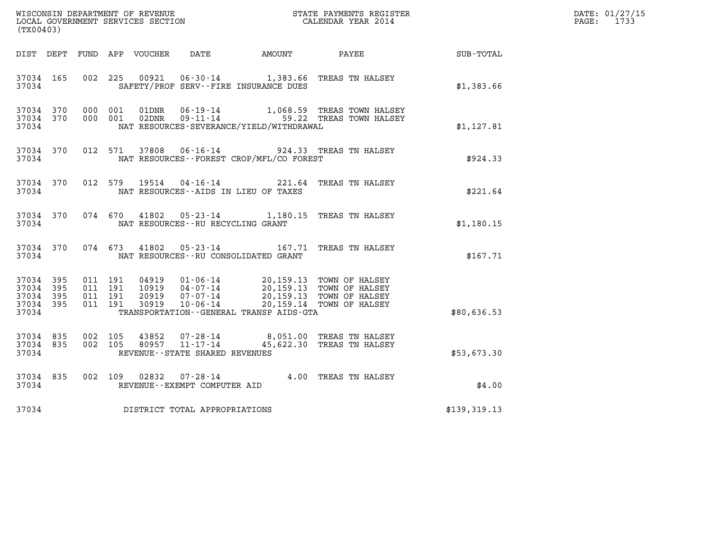| (TX00403)                                         |            |                                          |         |                |                                      |                                                                                                                                                                                        |                                                                               |                                               | DATE: 01/27/15<br>PAGE: 1733 |
|---------------------------------------------------|------------|------------------------------------------|---------|----------------|--------------------------------------|----------------------------------------------------------------------------------------------------------------------------------------------------------------------------------------|-------------------------------------------------------------------------------|-----------------------------------------------|------------------------------|
|                                                   |            |                                          |         |                |                                      | DIST DEPT FUND APP VOUCHER DATE AMOUNT PAYEE                                                                                                                                           |                                                                               | $\operatorname{SUB}$ - $\operatorname{TOTAL}$ |                              |
| 37034 165<br>37034                                |            |                                          | 002 225 |                |                                      | SAFETY/PROF SERV--FIRE INSURANCE DUES                                                                                                                                                  | 00921  06-30-14  1,383.66  TREAS TN HALSEY                                    | \$1,383.66                                    |                              |
| 37034 370<br>37034 370<br>37034                   |            | 000 001<br>000 001                       |         | 01DNR<br>02DNR |                                      | NAT RESOURCES-SEVERANCE/YIELD/WITHDRAWAL                                                                                                                                               | 06-19-14 1,068.59 TREAS TOWN HALSEY<br>09-11-14 59.22 TREAS TOWN HALSEY       | \$1,127.81                                    |                              |
| 37034                                             | 37034 370  |                                          |         |                |                                      | NAT RESOURCES--FOREST CROP/MFL/CO FOREST                                                                                                                                               | 012 571 37808 06-16-14 924.33 TREAS TN HALSEY                                 | \$924.33                                      |                              |
| 37034 370<br>37034                                |            |                                          |         |                |                                      | NAT RESOURCES--AIDS IN LIEU OF TAXES                                                                                                                                                   | 012 579 19514 04-16-14 221.64 TREAS TN HALSEY                                 | \$221.64                                      |                              |
| 37034 370<br>37034                                |            |                                          | 074 670 | 41802          | NAT RESOURCES - - RU RECYCLING GRANT |                                                                                                                                                                                        | 05-23-14 1,180.15 TREAS TN HALSEY                                             | \$1,180.15                                    |                              |
| 37034 370<br>37034                                |            |                                          | 074 673 |                |                                      | NAT RESOURCES--RU CONSOLIDATED GRANT                                                                                                                                                   | 41802  05-23-14  167.71  TREAS TN HALSEY                                      | \$167.71                                      |                              |
| 37034 395<br>37034<br>37034<br>37034 395<br>37034 | 395<br>395 | 011 191<br>011 191<br>011 191<br>011 191 |         | 30919          | $10 - 06 - 14$                       | 04919  01-06-14  20,159.13  TOWN OF HALSEY<br>10919  04-07-14  20,159.13  TOWN OF HALSEY<br>20919  07-07-14  20,159.13  TOWN OF HALSEY<br>TRANSPORTATION - - GENERAL TRANSP AIDS - GTA | 20,159.14 TOWN OF HALSEY                                                      | \$80,636.53                                   |                              |
| 37034 835<br>37034 835<br>37034                   |            | 002 105<br>002 105                       |         | 43852          | REVENUE - - STATE SHARED REVENUES    |                                                                                                                                                                                        | 07-28-14 8,051.00 TREAS TN HALSEY<br>80957 11-17-14 45,622.30 TREAS TN HALSEY | \$53,673.30                                   |                              |
| 37034 835<br>37034                                |            | 002 109                                  |         | 02832          | REVENUE--EXEMPT COMPUTER AID         |                                                                                                                                                                                        | 07-28-14 4.00 TREAS TN HALSEY                                                 | \$4.00                                        |                              |
| 37034                                             |            |                                          |         |                | DISTRICT TOTAL APPROPRIATIONS        |                                                                                                                                                                                        |                                                                               | \$139,319.13                                  |                              |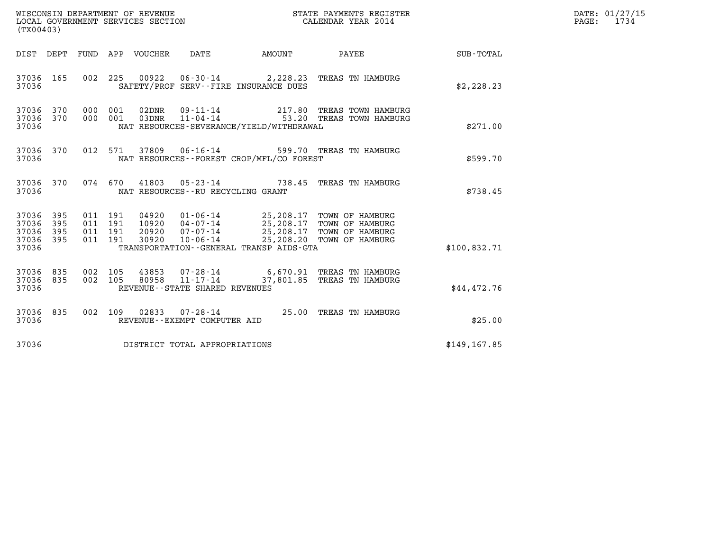| (TX00403)                                 |                          |                                          |         |                                 | WISCONSIN DEPARTMENT OF REVENUE<br>LOCAL GOVERNMENT SERVICES SECTION |                                             | STATE PAYMENTS REGISTER<br>CALENDAR YEAR 2014                                                                                                                       |              | DATE: 01/27/15<br>PAGE: 1734 |
|-------------------------------------------|--------------------------|------------------------------------------|---------|---------------------------------|----------------------------------------------------------------------|---------------------------------------------|---------------------------------------------------------------------------------------------------------------------------------------------------------------------|--------------|------------------------------|
|                                           |                          |                                          |         | DIST DEPT FUND APP VOUCHER DATE |                                                                      |                                             | AMOUNT PAYEE                                                                                                                                                        | SUB-TOTAL    |                              |
| 37036 165<br>37036                        |                          |                                          |         |                                 |                                                                      | SAFETY/PROF SERV--FIRE INSURANCE DUES       | 002 225 00922 06-30-14 2,228.23 TREAS TN HAMBURG                                                                                                                    | \$2,228.23   |                              |
| 37036 370<br>37036 370<br>37036           |                          | 000 001<br>000 001                       |         |                                 |                                                                      | NAT RESOURCES-SEVERANCE/YIELD/WITHDRAWAL    | 02DNR  09-11-14  217.80 TREAS TOWN HAMBURG<br>03DNR  11-04-14  53.20 TREAS TOWN HAMBURG                                                                             | \$271.00     |                              |
| 37036 370<br>37036                        |                          |                                          | 012 571 | 37809                           |                                                                      | NAT RESOURCES - - FOREST CROP/MFL/CO FOREST | 06-16-14 599.70 TREAS TN HAMBURG                                                                                                                                    | \$599.70     |                              |
| 37036 370<br>37036                        |                          |                                          |         |                                 | NAT RESOURCES - - RU RECYCLING GRANT                                 |                                             | 074 670 41803 05-23-14 738.45 TREAS TN HAMBURG                                                                                                                      | \$738.45     |                              |
| 37036<br>37036<br>37036<br>37036<br>37036 | 395<br>395<br>395<br>395 | 011 191<br>011 191<br>011 191<br>011 191 |         | 30920                           | $10 - 06 - 14$                                                       | TRANSPORTATION--GENERAL TRANSP AIDS-GTA     | 04920  01-06-14  25,208.17 TOWN OF HAMBURG<br>10920  04-07-14  25,208.17 TOWN OF HAMBURG<br>20920  07-07-14  25,208.17 TOWN OF HAMBURG<br>25,208.20 TOWN OF HAMBURG | \$100,832.71 |                              |
| 37036 835<br>37036 835<br>37036           |                          | 002 105<br>002 105                       |         | 80958                           | $11 - 17 - 14$<br>REVENUE - - STATE SHARED REVENUES                  |                                             | 43853 07-28-14 6,670.91 TREAS TN HAMBURG<br>37,801.85 TREAS TN HAMBURG                                                                                              | \$44,472.76  |                              |
| 37036 835<br>37036                        |                          |                                          |         |                                 | REVENUE--EXEMPT COMPUTER AID                                         |                                             | 002 109 02833 07-28-14 25.00 TREAS TN HAMBURG                                                                                                                       | \$25.00      |                              |
| 37036                                     |                          |                                          |         |                                 | DISTRICT TOTAL APPROPRIATIONS                                        |                                             |                                                                                                                                                                     | \$149,167.85 |                              |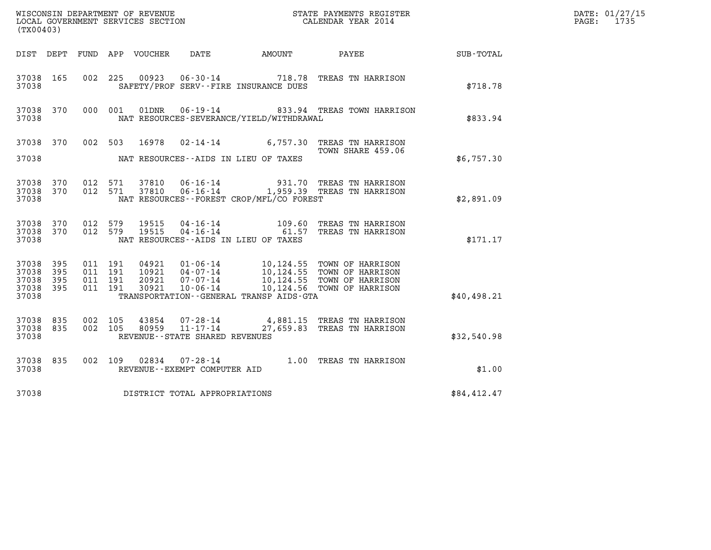| (TX00403)                                     |                   |                                          |         |                                  |                                                                    |                                              | ${\tt WISCOONSIM} \begin{tabular}{lcccc} DEPARTMENT OF REVENUE & & & & & & & \begin{tabular}{l} \bf STATE \end{tabular} \end{tabular} \begin{tabular}{lcccc} \bf RTATE \end{tabular} \end{tabular} \begin{tabular}{lcccc} \bf RTATE \end{tabular} \end{tabular} \begin{tabular}{lcccc} \bf RTATE \end{tabular} \end{tabular} \begin{tabular}{lcccc} \bf RTATE \end{tabular} \end{tabular} \begin{tabular}{lcccc} \bf RTATE \end{tabular} \end{tabular} \begin{tabular}{lcccc} \bf RTATE \end{tabular} \end{tabular} \begin{tabular}{lcccc} \bf RTATE \end$ |             | DATE: 01/27/15<br>$\mathtt{PAGE:}$<br>1735 |
|-----------------------------------------------|-------------------|------------------------------------------|---------|----------------------------------|--------------------------------------------------------------------|----------------------------------------------|------------------------------------------------------------------------------------------------------------------------------------------------------------------------------------------------------------------------------------------------------------------------------------------------------------------------------------------------------------------------------------------------------------------------------------------------------------------------------------------------------------------------------------------------------------|-------------|--------------------------------------------|
|                                               |                   |                                          |         |                                  |                                                                    |                                              |                                                                                                                                                                                                                                                                                                                                                                                                                                                                                                                                                            | SUB-TOTAL   |                                            |
| 37038 165<br>37038                            |                   | 002 225                                  |         |                                  |                                                                    | SAFETY/PROF SERV--FIRE INSURANCE DUES        | 00923  06-30-14  718.78  TREAS TN HARRISON                                                                                                                                                                                                                                                                                                                                                                                                                                                                                                                 | \$718.78    |                                            |
| 37038 370<br>37038                            |                   |                                          | 000 001 |                                  |                                                                    | NAT RESOURCES-SEVERANCE/YIELD/WITHDRAWAL     | 01DNR  06-19-14  833.94 TREAS TOWN HARRISON                                                                                                                                                                                                                                                                                                                                                                                                                                                                                                                | \$833.94    |                                            |
| 37038 370                                     |                   |                                          | 002 503 |                                  |                                                                    |                                              | 16978  02-14-14   6,757.30   TREAS TN HARRISON<br>TOWN SHARE 459.06                                                                                                                                                                                                                                                                                                                                                                                                                                                                                        |             |                                            |
| 37038                                         |                   |                                          |         |                                  |                                                                    | NAT RESOURCES--AIDS IN LIEU OF TAXES         |                                                                                                                                                                                                                                                                                                                                                                                                                                                                                                                                                            | \$6,757.30  |                                            |
| 37038 370<br>37038 370<br>37038               |                   | 012 571<br>012 571                       |         |                                  |                                                                    | NAT RESOURCES--FOREST CROP/MFL/CO FOREST     | 37810  06-16-14  931.70  TREAS TN HARRISON<br>37810  06-16-14   1,959.39  TREAS TN HARRISON                                                                                                                                                                                                                                                                                                                                                                                                                                                                | \$2,891.09  |                                            |
| 37038 370<br>37038 370<br>37038               |                   | 012 579<br>012 579                       |         | 19515<br>19515                   |                                                                    | NAT RESOURCES--AIDS IN LIEU OF TAXES         | 04-16-14 109.60 TREAS TN HARRISON<br>04-16-14 61.57 TREAS TN HARRISON                                                                                                                                                                                                                                                                                                                                                                                                                                                                                      | \$171.17    |                                            |
| 37038 395<br>37038<br>37038<br>37038<br>37038 | 395<br>395<br>395 | 011 191<br>011 191<br>011 191<br>011 191 |         | 04921<br>10921<br>20921<br>30921 |                                                                    | TRANSPORTATION - - GENERAL TRANSP AIDS - GTA | 01-06-14 10,124.55 TOWN OF HARRISON<br>04-07-14 10,124.55 TOWN OF HARRISON<br>07-07-14 10,124.55 TOWN OF HARRISON<br>10-06-14 10,124.56 TOWN OF HARRISON                                                                                                                                                                                                                                                                                                                                                                                                   | \$40,498.21 |                                            |
| 37038 835<br>37038<br>37038                   | 835               | 002 105<br>002 105                       |         | 43854<br>80959                   | $07 - 28 - 14$<br>$11 - 17 - 14$<br>REVENUE--STATE SHARED REVENUES |                                              | 4,881.15 TREAS TN HARRISON<br>27,659.83 TREAS TN HARRISON                                                                                                                                                                                                                                                                                                                                                                                                                                                                                                  | \$32,540.98 |                                            |
| 37038 835<br>37038                            |                   |                                          |         |                                  | REVENUE--EXEMPT COMPUTER AID                                       |                                              | 002 109 02834 07-28-14 1.00 TREAS TN HARRISON                                                                                                                                                                                                                                                                                                                                                                                                                                                                                                              | \$1.00      |                                            |
| 37038                                         |                   |                                          |         |                                  | DISTRICT TOTAL APPROPRIATIONS                                      |                                              |                                                                                                                                                                                                                                                                                                                                                                                                                                                                                                                                                            | \$84,412.47 |                                            |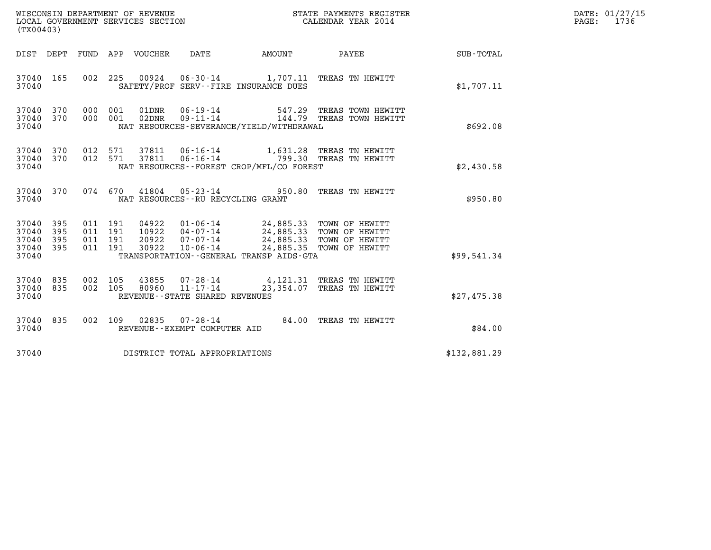| (TX00403)                                 |                          |                                          |         |                                 | WISCONSIN DEPARTMENT OF REVENUE<br>LOCAL GOVERNMENT SERVICES SECTION |                                                                                                                                     | STATE PAYMENTS REGISTER<br>CALENDAR YEAR 2014                        |              | DATE: 01/27/15<br>PAGE: 1736 |
|-------------------------------------------|--------------------------|------------------------------------------|---------|---------------------------------|----------------------------------------------------------------------|-------------------------------------------------------------------------------------------------------------------------------------|----------------------------------------------------------------------|--------------|------------------------------|
|                                           |                          |                                          |         | DIST DEPT FUND APP VOUCHER DATE |                                                                      | AMOUNT                                                                                                                              | <b>PAYEE</b>                                                         | SUB-TOTAL    |                              |
| 37040 165<br>37040                        |                          |                                          |         |                                 |                                                                      | SAFETY/PROF SERV--FIRE INSURANCE DUES                                                                                               | 002 225 00924 06-30-14 1,707.11 TREAS TN HEWITT                      | \$1,707.11   |                              |
| 37040<br>37040<br>37040                   | 370<br>370               | 000 001<br>000 001                       |         | 01DNR<br>02DNR                  | $06 - 19 - 14$<br>$09 - 11 - 14$                                     | NAT RESOURCES-SEVERANCE/YIELD/WITHDRAWAL                                                                                            | 547.29 TREAS TOWN HEWITT<br>144.79 TREAS TOWN HEWITT                 | \$692.08     |                              |
| 37040<br>37040<br>37040                   | 370<br>370               | 012 571<br>012 571                       |         | 37811<br>37811                  |                                                                      | NAT RESOURCES--FOREST CROP/MFL/CO FOREST                                                                                            | 06-16-14 1,631.28 TREAS TN HEWITT<br>06-16-14 799.30 TREAS TN HEWITT | \$2,430.58   |                              |
| 37040 370<br>37040                        |                          |                                          | 074 670 | 41804                           | NAT RESOURCES - - RU RECYCLING GRANT                                 |                                                                                                                                     | 05-23-14 950.80 TREAS TN HEWITT                                      | \$950.80     |                              |
| 37040<br>37040<br>37040<br>37040<br>37040 | 395<br>395<br>395<br>395 | 011 191<br>011 191<br>011 191<br>011 191 |         | 20922<br>30922                  | $07 - 07 - 14$<br>10-06-14                                           | 04922  01-06-14  24,885.33  TOWN OF HEWITT<br>10922  04-07-14  24,885.33  TOWN OF HEWITT<br>TRANSPORTATION--GENERAL TRANSP AIDS-GTA | 24,885.33 TOWN OF HEWITT<br>24,885.35 TOWN OF HEWITT                 | \$99,541.34  |                              |
| 37040<br>37040<br>37040                   | 835<br>835               | 002 105<br>002 105                       |         | 43855                           | 80960 11-17-14<br>REVENUE--STATE SHARED REVENUES                     |                                                                                                                                     | 07-28-14 4,121.31 TREAS TN HEWITT<br>23,354.07 TREAS TN HEWITT       | \$27,475.38  |                              |
| 37040 835<br>37040                        |                          | 002 109                                  |         |                                 | REVENUE--EXEMPT COMPUTER AID                                         |                                                                                                                                     | 02835  07-28-14  84.00 TREAS TN HEWITT                               | \$84.00      |                              |
| 37040                                     |                          |                                          |         |                                 | DISTRICT TOTAL APPROPRIATIONS                                        |                                                                                                                                     |                                                                      | \$132,881.29 |                              |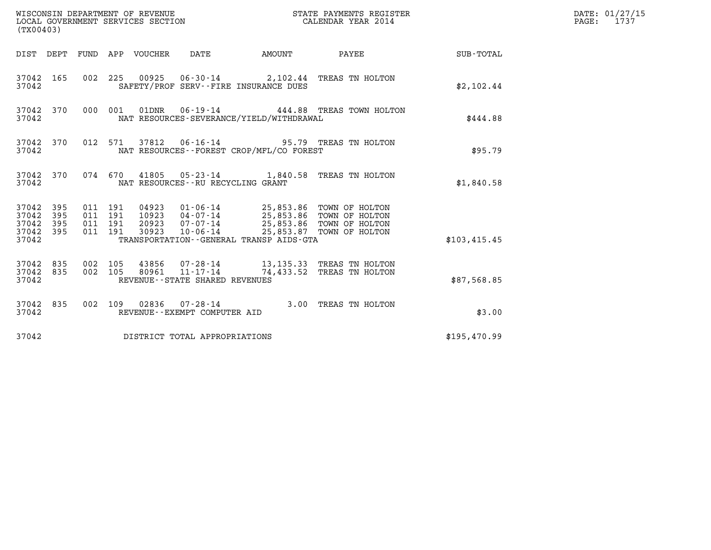| (TX00403)                                         |            |                                          |         |                                  | WISCONSIN DEPARTMENT OF REVENUE<br>LOCAL GOVERNMENT SERVICES SECTION |                                                                                                                                      | STATE PAYMENTS REGISTER<br>CALENDAR YEAR 2014          |              | DATE: 01/27/15<br>PAGE:<br>1737 |
|---------------------------------------------------|------------|------------------------------------------|---------|----------------------------------|----------------------------------------------------------------------|--------------------------------------------------------------------------------------------------------------------------------------|--------------------------------------------------------|--------------|---------------------------------|
|                                                   |            |                                          |         | DIST DEPT FUND APP VOUCHER       | DATE                                                                 | <b>AMOUNT</b>                                                                                                                        | PAYEE                                                  | SUB-TOTAL    |                                 |
| 37042 165<br>37042                                |            |                                          |         |                                  |                                                                      | SAFETY/PROF SERV--FIRE INSURANCE DUES                                                                                                | 002 225 00925 06-30-14 2,102.44 TREAS TN HOLTON        | \$2,102.44   |                                 |
| 37042 370<br>37042                                |            | 000 001                                  |         | 01DNR                            | $06 - 19 - 14$                                                       | NAT RESOURCES-SEVERANCE/YIELD/WITHDRAWAL                                                                                             | 444.88 TREAS TOWN HOLTON                               | \$444.88     |                                 |
| 37042 370<br>37042                                |            | 012 571                                  |         | 37812                            |                                                                      | NAT RESOURCES - - FOREST CROP/MFL/CO FOREST                                                                                          | 06-16-14 95.79 TREAS TN HOLTON                         | \$95.79      |                                 |
| 37042 370<br>37042                                |            |                                          | 074 670 |                                  | NAT RESOURCES - - RU RECYCLING GRANT                                 |                                                                                                                                      | 41805  05-23-14  1,840.58  TREAS TN HOLTON             | \$1,840.58   |                                 |
| 37042 395<br>37042<br>37042<br>37042 395<br>37042 | 395<br>395 | 011 191<br>011 191<br>011 191<br>011 191 |         | 04923<br>10923<br>20923<br>30923 | 04-07-14<br>07-07-14<br>$10 - 06 - 14$                               | 01-06-14 25,853.86 TOWN OF HOLTON<br>25,853.86 TOWN OF HOLTON<br>25,853.86 TOWN OF HOLTON<br>TRANSPORTATION--GENERAL TRANSP AIDS-GTA | 25,853.87 TOWN OF HOLTON                               | \$103,415.45 |                                 |
| 37042 835<br>37042<br>37042                       | 835        | 002 105<br>002 105                       |         | 43856<br>80961                   | 07-28-14<br>$11 - 17 - 14$<br>REVENUE--STATE SHARED REVENUES         |                                                                                                                                      | 13,135.33 TREAS TN HOLTON<br>74,433.52 TREAS TN HOLTON | \$87,568.85  |                                 |
| 37042 835<br>37042                                |            |                                          |         |                                  | 002 109 02836 07-28-14<br>REVENUE--EXEMPT COMPUTER AID               |                                                                                                                                      | 3.00 TREAS TN HOLTON                                   | \$3.00       |                                 |
| 37042                                             |            |                                          |         |                                  | DISTRICT TOTAL APPROPRIATIONS                                        |                                                                                                                                      |                                                        | \$195,470.99 |                                 |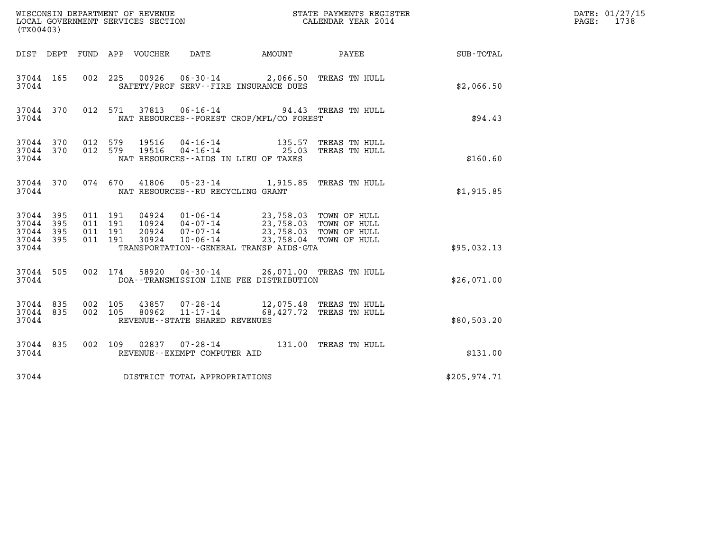| (TX00403)                                 |                          |                                          | WISCONSIN DEPARTMENT OF REVENUE<br>STATE PAYMENTS REGISTER<br>LOCAL GOVERNMENT SERVICES SECTION<br>CALENDAR YEAR 2014                                                                                                                                   |              | DATE: 01/27/15<br>1738<br>PAGE: |
|-------------------------------------------|--------------------------|------------------------------------------|---------------------------------------------------------------------------------------------------------------------------------------------------------------------------------------------------------------------------------------------------------|--------------|---------------------------------|
|                                           |                          |                                          | DIST DEPT FUND APP VOUCHER<br>DATE<br>AMOUNT<br>PAYEE                                                                                                                                                                                                   | SUB-TOTAL    |                                 |
| 37044 165<br>37044                        |                          | 002 225                                  | 00926  06-30-14  2,066.50  TREAS TN HULL<br>SAFETY/PROF SERV--FIRE INSURANCE DUES                                                                                                                                                                       | \$2,066.50   |                                 |
| 37044 370<br>37044                        |                          | 012 571                                  | 37813<br>06-16-14 94.43 TREAS TN HULL<br>NAT RESOURCES - - FOREST CROP/MFL/CO FOREST                                                                                                                                                                    | \$94.43      |                                 |
| 37044 370<br>37044 370<br>37044           |                          | 012 579<br>012 579                       | 19516<br>04-16-14 135.57 TREAS TN HULL<br>04-16-14 25.03 TREAS TN HULL<br>19516<br>NAT RESOURCES--AIDS IN LIEU OF TAXES                                                                                                                                 | \$160.60     |                                 |
| 37044 370<br>37044                        |                          | 074 670                                  | 41806 05-23-14 1,915.85<br>TREAS TN HULL<br>NAT RESOURCES--RU RECYCLING GRANT                                                                                                                                                                           | \$1,915.85   |                                 |
| 37044<br>37044<br>37044<br>37044<br>37044 | 395<br>395<br>395<br>395 | 011 191<br>011 191<br>011 191<br>011 191 | 23,758.03 TOWN OF HULL<br>04924<br>$01 - 06 - 14$<br>10924 04-07-14<br>23,758.03 TOWN OF HULL<br>20924<br>$07 - 07 - 14$<br>23,758.03 TOWN OF HULL<br>30924<br>$10 - 06 - 14$<br>23,758.04 TOWN OF HULL<br>TRANSPORTATION - - GENERAL TRANSP AIDS - GTA | \$95,032.13  |                                 |
| 37044 505<br>37044                        |                          | 002 174                                  | 04-30-14 26,071.00 TREAS TN HULL<br>58920<br>DOA--TRANSMISSION LINE FEE DISTRIBUTION                                                                                                                                                                    | \$26,071.00  |                                 |
| 37044 835<br>37044 835<br>37044           |                          | 002 105<br>002 105                       | 43857<br>07-28-14 12,075.48 TREAS TN HULL<br>$11 - 17 - 14$<br>80962<br>68,427.72 TREAS TN HULL<br>REVENUE - - STATE SHARED REVENUES                                                                                                                    | \$80,503.20  |                                 |
| 37044 835<br>37044                        |                          | 002 109                                  | $07 - 28 - 14$<br>02837<br>131.00 TREAS TN HULL<br>REVENUE--EXEMPT COMPUTER AID                                                                                                                                                                         | \$131.00     |                                 |
| 37044                                     |                          |                                          | DISTRICT TOTAL APPROPRIATIONS                                                                                                                                                                                                                           | \$205,974.71 |                                 |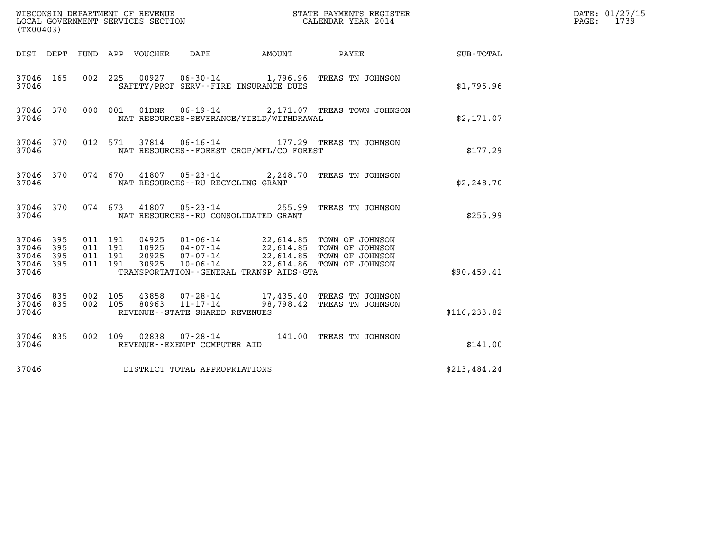| (TX00403)                                                       | WISCONSIN DEPARTMENT OF REVENUE<br>LOCAL GOVERNMENT SERVICES SECTION                                                                                                                                                                               | STATE PAYMENTS REGISTER<br>CALENDAR YEAR 2014 |               | DATE: 01/27/15<br>$\mathtt{PAGE:}$<br>1739 |
|-----------------------------------------------------------------|----------------------------------------------------------------------------------------------------------------------------------------------------------------------------------------------------------------------------------------------------|-----------------------------------------------|---------------|--------------------------------------------|
|                                                                 | DIST DEPT FUND APP VOUCHER<br>DATE                                                                                                                                                                                                                 | PAYEE SUB-TOTAL<br>AMOUNT                     |               |                                            |
| 37046 165<br>37046                                              | 00927  06-30-14  1,796.96  TREAS TN JOHNSON<br>002 225<br>SAFETY/PROF SERV--FIRE INSURANCE DUES                                                                                                                                                    |                                               | \$1,796.96    |                                            |
| 37046 370<br>37046                                              | 000 001<br>01DNR<br>NAT RESOURCES-SEVERANCE/YIELD/WITHDRAWAL                                                                                                                                                                                       | 06-19-14 2,171.07 TREAS TOWN JOHNSON          | \$2,171.07    |                                            |
| 37046 370<br>37046                                              | 37814  06-16-14  177.29  TREAS TN JOHNSON<br>012 571<br>NAT RESOURCES - - FOREST CROP/MFL/CO FOREST                                                                                                                                                |                                               | \$177.29      |                                            |
| 37046 370<br>37046                                              | 074 670 41807 05-23-14 2,248.70 TREAS TN JOHNSON<br>NAT RESOURCES--RU RECYCLING GRANT                                                                                                                                                              |                                               | \$2,248.70    |                                            |
| 37046 370<br>37046                                              | 074 673 41807 05-23-14 255.99 TREAS TN JOHNSON<br>NAT RESOURCES--RU CONSOLIDATED GRANT                                                                                                                                                             |                                               | \$255.99      |                                            |
| 37046 395<br>395<br>37046<br>37046<br>395<br>37046 395<br>37046 | 011 191<br>04925 01-06-14 22,614.85 TOWN OF JOHNSON<br>10925 04-07-14 22,614.85 TOWN OF JOHNSON<br>20925 07-07-14 22,614.85 TOWN OF JOHNSON<br>011 191<br>011 191<br>011 191<br>30925<br>$10 - 06 - 14$<br>TRANSPORTATION--GENERAL TRANSP AIDS-GTA | 22,614.86 TOWN OF JOHNSON                     | \$90,459.41   |                                            |
| 37046 835<br>37046 835<br>37046                                 | 002 105<br>43858  07-28-14  17,435.40 TREAS TN JOHNSON<br>80963  11-17-14  98,798.42 TREAS TN JOHNSON<br>002 105<br>REVENUE - - STATE SHARED REVENUES                                                                                              |                                               | \$116, 233.82 |                                            |
| 37046 835<br>37046                                              | 002 109 02838 07-28-14 141.00 TREAS TN JOHNSON<br>REVENUE--EXEMPT COMPUTER AID                                                                                                                                                                     |                                               | \$141.00      |                                            |
| 37046                                                           | DISTRICT TOTAL APPROPRIATIONS                                                                                                                                                                                                                      |                                               | \$213,484.24  |                                            |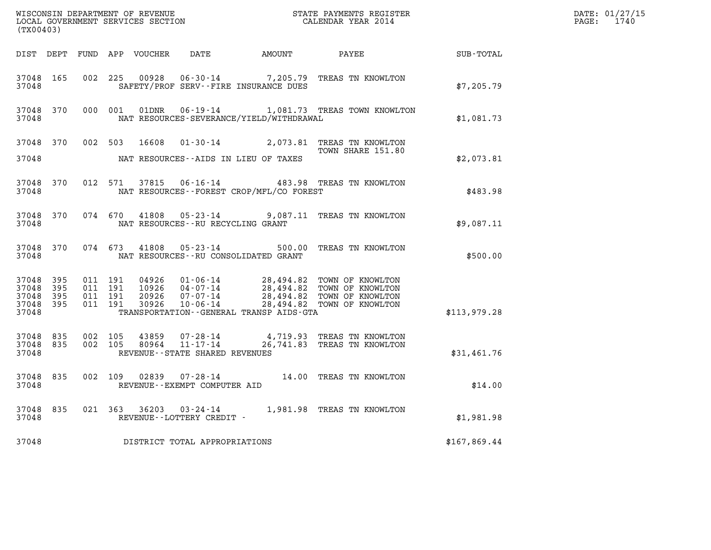| (TX00403)                                             |           |                    |                    |                            |                                                              |                                              |                                                                                                                                                    |              | DATE: 01/27/15<br>PAGE: 1740 |
|-------------------------------------------------------|-----------|--------------------|--------------------|----------------------------|--------------------------------------------------------------|----------------------------------------------|----------------------------------------------------------------------------------------------------------------------------------------------------|--------------|------------------------------|
|                                                       |           |                    |                    | DIST DEPT FUND APP VOUCHER |                                                              |                                              | DATE AMOUNT PAYEE                                                                                                                                  | SUB-TOTAL    |                              |
| 37048 165<br>37048                                    |           | 002 225            |                    | 00928                      |                                                              | SAFETY/PROF SERV--FIRE INSURANCE DUES        | 06-30-14 7,205.79 TREAS TN KNOWLTON                                                                                                                | \$7,205.79   |                              |
| 37048 370<br>37048                                    |           |                    | 000 001            | 01DNR                      |                                                              | NAT RESOURCES-SEVERANCE/YIELD/WITHDRAWAL     | 06-19-14 1,081.73 TREAS TOWN KNOWLTON                                                                                                              | \$1,081.73   |                              |
| 37048 370<br>37048                                    |           |                    |                    | 002 503 16608              |                                                              | NAT RESOURCES--AIDS IN LIEU OF TAXES         | 01-30-14 2,073.81 TREAS TN KNOWLTON<br>TOWN SHARE 151.80                                                                                           | \$2,073.81   |                              |
| 37048 370<br>37048                                    |           |                    | 012 571            | 37815                      |                                                              | NAT RESOURCES--FOREST CROP/MFL/CO FOREST     | 06-16-14 483.98 TREAS TN KNOWLTON                                                                                                                  | \$483.98     |                              |
| 37048                                                 | 37048 370 |                    |                    |                            | NAT RESOURCES -- RU RECYCLING GRANT                          |                                              | 074 670 41808 05-23-14 9,087.11 TREAS TN KNOWLTON                                                                                                  | \$9,087.11   |                              |
| 37048                                                 | 37048 370 |                    |                    |                            |                                                              | NAT RESOURCES--RU CONSOLIDATED GRANT         | 074  673  41808  05-23-14  500.00 TREAS TN KNOWLTON                                                                                                | \$500.00     |                              |
| 37048 395<br>37048<br>37048 395<br>37048 395<br>37048 | -395      | 011 191<br>011 191 | 011 191<br>011 191 | 30926                      | 20926 07-07-14<br>10-06-14                                   | TRANSPORTATION - - GENERAL TRANSP AIDS - GTA | 04926 01-06-14 28,494.82 TOWN OF KNOWLTON<br>10926 04-07-14 28,494.82 TOWN OF KNOWLTON<br>28,494.82 TOWN OF KNOWLTON<br>28,494.82 TOWN OF KNOWLTON | \$113,979.28 |                              |
| 37048 835<br>37048 835<br>37048                       |           | 002 105<br>002 105 |                    | 43859<br>80964             | 07-28-14<br>$11 - 17 - 14$<br>REVENUE--STATE SHARED REVENUES |                                              | 4,719.93 TREAS TN KNOWLTON<br>26,741.83 TREAS TN KNOWLTON                                                                                          | \$31,461.76  |                              |
| 37048 835<br>37048                                    |           |                    |                    |                            | REVENUE--EXEMPT COMPUTER AID                                 |                                              | 002 109 02839 07-28-14 14.00 TREAS TN KNOWLTON                                                                                                     | \$14.00      |                              |
| 37048 835<br>37048                                    |           |                    |                    |                            | REVENUE--LOTTERY CREDIT -                                    |                                              | 021  363  36203  03-24-14  1,981.98  TREAS TN KNOWLTON                                                                                             | \$1,981.98   |                              |
| 37048                                                 |           |                    |                    |                            | DISTRICT TOTAL APPROPRIATIONS                                |                                              |                                                                                                                                                    | \$167,869.44 |                              |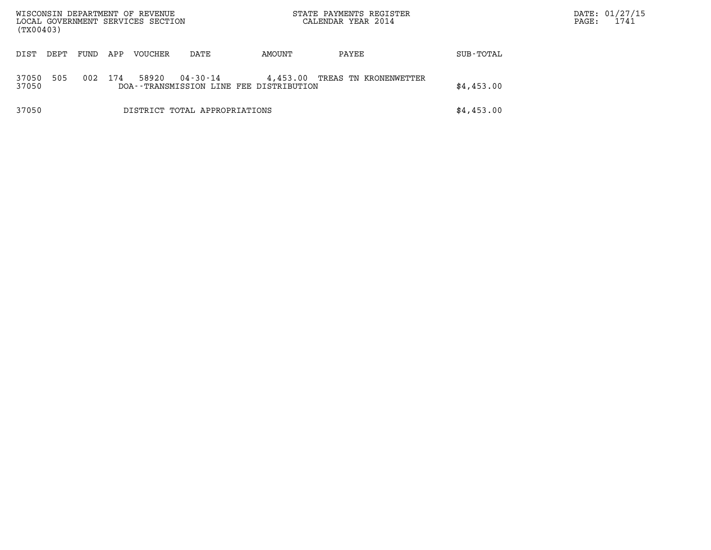| WISCONSIN DEPARTMENT OF REVENUE<br>LOCAL GOVERNMENT SERVICES SECTION<br>(TX00403) |      |      |     |         | STATE PAYMENTS REGISTER<br>CALENDAR YEAR 2014       |          | $\mathtt{PAGE}$ :     | DATE: 01/27/15<br>1741 |  |  |
|-----------------------------------------------------------------------------------|------|------|-----|---------|-----------------------------------------------------|----------|-----------------------|------------------------|--|--|
| DIST                                                                              | DEPT | FUND | APP | VOUCHER | DATE                                                | AMOUNT   | PAYEE                 | SUB-TOTAL              |  |  |
| 37050<br>37050                                                                    | 505  | 002  | 174 | 58920   | 04-30-14<br>DOA--TRANSMISSION LINE FEE DISTRIBUTION | 4,453.00 | TREAS TN KRONENWETTER | \$4,453.00             |  |  |
| 37050                                                                             |      |      |     |         | DISTRICT TOTAL APPROPRIATIONS                       |          |                       | \$4,453.00             |  |  |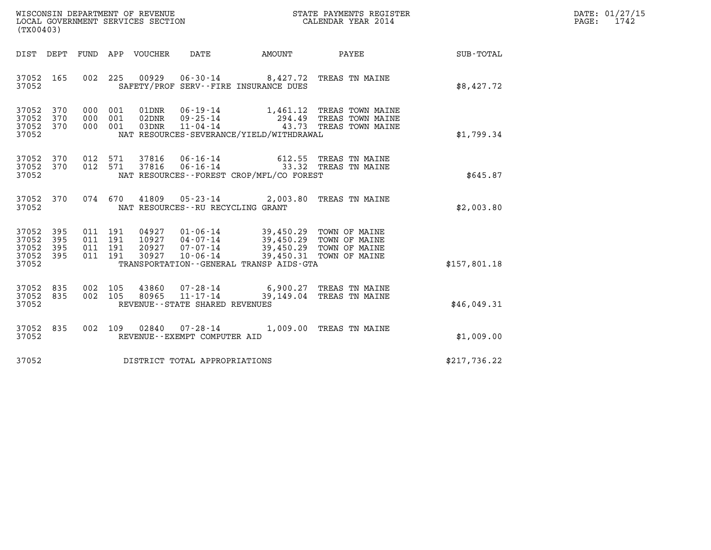| WISCONSIN DEPARTMENT OF REVENUE   | STATE PAYMENTS REGISTER | DATE: 01/27/15 |
|-----------------------------------|-------------------------|----------------|
| LOCAL GOVERNMENT SERVICES SECTION | CALENDAR YEAR 2014      | 1742<br>PAGE:  |

| (TX00403)                                                             |                                                                                                                                                                                                                                                                                                                               |                  |
|-----------------------------------------------------------------------|-------------------------------------------------------------------------------------------------------------------------------------------------------------------------------------------------------------------------------------------------------------------------------------------------------------------------------|------------------|
| DEPT<br>DIST                                                          | DATE<br>FUND<br>APP<br>VOUCHER<br>AMOUNT<br>PAYEE                                                                                                                                                                                                                                                                             | <b>SUB-TOTAL</b> |
| 37052<br>165<br>37052                                                 | 002<br>225<br>00929<br>$06 - 30 - 14$ 8,427.72<br>TREAS TN MAINE<br>SAFETY/PROF SERV--FIRE INSURANCE DUES                                                                                                                                                                                                                     | \$8,427.72       |
| 37052<br>370<br>370<br>37052<br>37052<br>370<br>37052                 | 000<br>001<br>01DNR<br>06-19-14<br>1,461.12<br>TREAS TOWN MAINE<br>$09 - 25 - 14$<br>294.49<br>000<br>001<br>02DNR<br>TREAS TOWN MAINE<br>$11 - 04 - 14$<br>43.73<br>000<br>001<br>03DNR<br>TREAS TOWN MAINE<br>NAT RESOURCES-SEVERANCE/YIELD/WITHDRAWAL                                                                      | \$1,799.34       |
| 370<br>37052<br>370<br>37052<br>37052                                 | 012<br>37816<br>$06 - 16 - 14$<br>571<br>612.55<br>TREAS TN MAINE<br>012<br>571<br>37816<br>$06 - 16 - 14$<br>33.32<br>TREAS TN MAINE<br>NAT RESOURCES - - FOREST CROP/MFL/CO FOREST                                                                                                                                          | \$645.87         |
| 37052<br>370<br>37052                                                 | 074<br>670<br>41809<br>$05 - 23 - 14$<br>2,003.80<br>TREAS TN MAINE<br>NAT RESOURCES - - RU RECYCLING GRANT                                                                                                                                                                                                                   | \$2,003.80       |
| 37052<br>395<br>395<br>37052<br>37052<br>395<br>37052<br>395<br>37052 | $01 - 06 - 14$<br>011<br>191<br>04927<br>39,450.29<br>TOWN OF MAINE<br>191<br>$04 - 07 - 14$<br>39,450.29 TOWN OF MAINE<br>011<br>10927<br>39,450.29 TOWN OF MAINE<br>$07 - 07 - 14$<br>011<br>191<br>20927<br>30927<br>$10 - 06 - 14$<br>39,450.31<br>011<br>191<br>TOWN OF MAINE<br>TRANSPORTATION--GENERAL TRANSP AIDS-GTA | \$157,801.18     |
| 835<br>37052<br>37052<br>835<br>37052                                 | 002<br>105<br>43860<br>$07 - 28 - 14$<br>6,900.27<br>TREAS TN MAINE<br>002<br>105<br>$11 - 17 - 14$<br>39,149.04<br>80965<br>TREAS TN MAINE<br>REVENUE - - STATE SHARED REVENUES                                                                                                                                              | \$46,049.31      |
| 37052<br>835<br>37052                                                 | 002<br>109<br>02840<br>07-28-14<br>1,009.00<br>TREAS TN MAINE<br>REVENUE - - EXEMPT COMPUTER AID                                                                                                                                                                                                                              | \$1,009.00       |
| 37052                                                                 | DISTRICT TOTAL APPROPRIATIONS                                                                                                                                                                                                                                                                                                 | \$217,736.22     |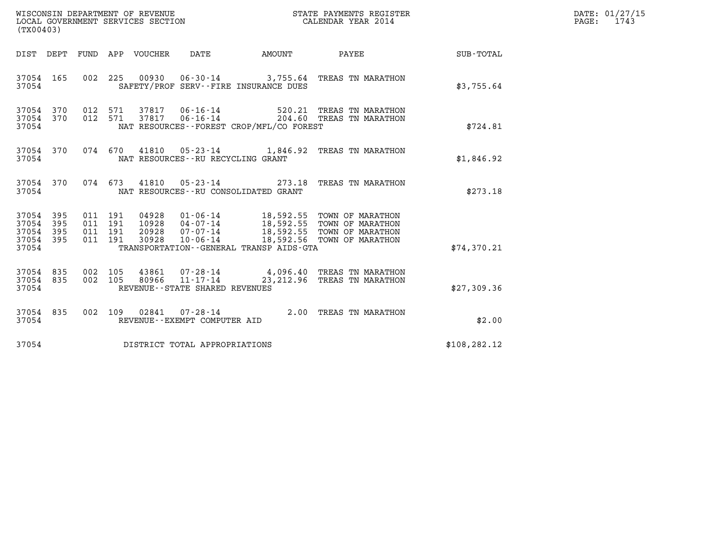| WISCONSIN DEPARTMENT OF REVENUE<br>LOCAL GOVERNMENT SERVICES SECTION<br>(TX00403) |                                          |       |                                                                       |                                          | STATE PAYMENTS REGISTER<br>CALENDAR YEAR 2014                                                                                                                              |               | DATE: 01/27/15<br>$\mathtt{PAGE:}$<br>1743 |
|-----------------------------------------------------------------------------------|------------------------------------------|-------|-----------------------------------------------------------------------|------------------------------------------|----------------------------------------------------------------------------------------------------------------------------------------------------------------------------|---------------|--------------------------------------------|
| DIST DEPT                                                                         | FUND APP VOUCHER                         |       | DATE                                                                  | AMOUNT                                   | PAYEE                                                                                                                                                                      | SUB-TOTAL     |                                            |
| 37054 165<br>37054                                                                | 002 225                                  |       |                                                                       | SAFETY/PROF SERV--FIRE INSURANCE DUES    | 00930  06-30-14  3,755.64  TREAS TN MARATHON                                                                                                                               | \$3,755.64    |                                            |
| 37054 370<br>37054 370<br>37054                                                   | 012 571<br>012 571                       |       | 37817 06-16-14<br>37817 06-16-14                                      | NAT RESOURCES--FOREST CROP/MFL/CO FOREST | 520.21 TREAS TN MARATHON<br>204.60 TREAS TN MARATHON                                                                                                                       | \$724.81      |                                            |
| 37054 370<br>37054                                                                | 074 670                                  |       | NAT RESOURCES - - RU RECYCLING GRANT                                  |                                          | 41810  05-23-14  1,846.92  TREAS TN MARATHON                                                                                                                               | \$1,846.92    |                                            |
| 37054 370<br>37054                                                                | 074 673                                  |       | 41810  05-23-14                                                       | NAT RESOURCES - - RU CONSOLIDATED GRANT  | 273.18 TREAS TN MARATHON                                                                                                                                                   | \$273.18      |                                            |
| 37054<br>395<br>37054<br>395<br>37054<br>395<br>37054 395<br>37054                | 011 191<br>011 191<br>011 191<br>011 191 | 30928 | $10 - 06 - 14$                                                        | TRANSPORTATION--GENERAL TRANSP AIDS-GTA  | 04928  01-06-14  18,592.55  TOWN OF MARATHON<br>10928  04-07-14  18,592.55  TOWN OF MARATHON<br>20928  07-07-14  18,592.55  TOWN OF MARATHON<br>18,592.56 TOWN OF MARATHON | \$74,370.21   |                                            |
| 37054 835<br>37054 835<br>37054                                                   | 002 105<br>002 105                       | 80966 | 43861 07-28-14<br>$11 - 17 - 14$<br>REVENUE - - STATE SHARED REVENUES |                                          | 4,096.40 TREAS TN MARATHON<br>23, 212.96 TREAS TN MARATHON                                                                                                                 | \$27,309.36   |                                            |
| 37054 835<br>37054                                                                | 002 109                                  |       | $02841$ $07 - 28 - 14$<br>REVENUE--EXEMPT COMPUTER AID                |                                          | 2.00 TREAS TN MARATHON                                                                                                                                                     | \$2.00        |                                            |
| 37054                                                                             |                                          |       | DISTRICT TOTAL APPROPRIATIONS                                         |                                          |                                                                                                                                                                            | \$108, 282.12 |                                            |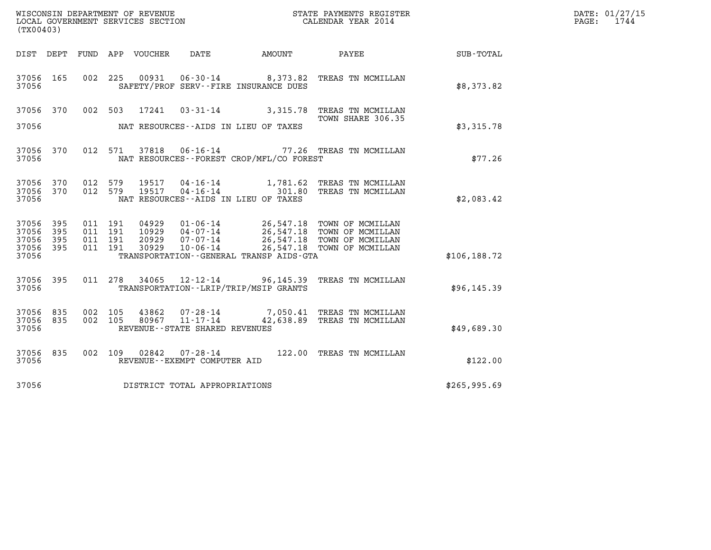| (TX00403)                                     |                   |                                          |                                 |                                                  |                                              |                                                                                                                                                                            |               | DATE: 01/27/15<br>$\mathtt{PAGE:}$<br>1744 |
|-----------------------------------------------|-------------------|------------------------------------------|---------------------------------|--------------------------------------------------|----------------------------------------------|----------------------------------------------------------------------------------------------------------------------------------------------------------------------------|---------------|--------------------------------------------|
|                                               |                   |                                          | DIST DEPT FUND APP VOUCHER DATE |                                                  | AMOUNT                                       | <b>PAYEE</b>                                                                                                                                                               | SUB-TOTAL     |                                            |
| 37056 165<br>37056                            |                   |                                          |                                 |                                                  | SAFETY/PROF SERV--FIRE INSURANCE DUES        | 002 225 00931 06-30-14 8,373.82 TREAS TN MCMILLAN                                                                                                                          | \$8,373.82    |                                            |
| 37056 370<br>37056                            |                   |                                          | 002 503<br>17241                |                                                  | NAT RESOURCES--AIDS IN LIEU OF TAXES         | 03-31-14 3,315.78 TREAS TN MCMILLAN<br>TOWN SHARE 306.35                                                                                                                   | \$3,315.78    |                                            |
| 37056 370<br>37056                            |                   |                                          |                                 |                                                  | NAT RESOURCES--FOREST CROP/MFL/CO FOREST     | 012 571 37818 06-16-14 77.26 TREAS TN MCMILLAN                                                                                                                             | \$77.26       |                                            |
| 37056 370<br>37056<br>37056                   | 370               | 012 579                                  | 012 579<br>19517                | $04 - 16 - 14$                                   | NAT RESOURCES--AIDS IN LIEU OF TAXES         | 1,781.62 TREAS TN MCMILLAN<br>301.80 TREAS TN MCMILLAN                                                                                                                     | \$2,083.42    |                                            |
| 37056 395<br>37056<br>37056<br>37056<br>37056 | 395<br>395<br>395 | 011 191<br>011 191<br>011 191<br>011 191 | 30929                           | $10 - 06 - 14$                                   | TRANSPORTATION - - GENERAL TRANSP AIDS - GTA | 04929  01-06-14  26,547.18  TOWN OF MCMILLAN<br>10929  04-07-14  26,547.18  TOWN OF MCMILLAN<br>20929  07-07-14  26,547.18  TOWN OF MCMILLAN<br>26,547.18 TOWN OF MCMILLAN | \$106, 188.72 |                                            |
| 37056 395<br>37056                            |                   |                                          | 011 278<br>34065                |                                                  | TRANSPORTATION--LRIP/TRIP/MSIP GRANTS        | 12-12-14 96,145.39 TREAS TN MCMILLAN                                                                                                                                       | \$96, 145.39  |                                            |
| 37056 835<br>37056 835<br>37056               |                   | 002 105<br>002 105                       | 43862<br>80967                  | $11 - 17 - 14$<br>REVENUE--STATE SHARED REVENUES |                                              | 07-28-14 7,050.41 TREAS TN MCMILLAN<br>42,638.89 TREAS TN MCMILLAN                                                                                                         | \$49,689.30   |                                            |
| 37056 835<br>37056                            |                   |                                          | 002 109 02842                   | 07-28-14<br>REVENUE--EXEMPT COMPUTER AID         |                                              | 122.00 TREAS TN MCMILLAN                                                                                                                                                   | \$122.00      |                                            |
| 37056                                         |                   |                                          | DISTRICT TOTAL APPROPRIATIONS   |                                                  |                                              |                                                                                                                                                                            | \$265,995.69  |                                            |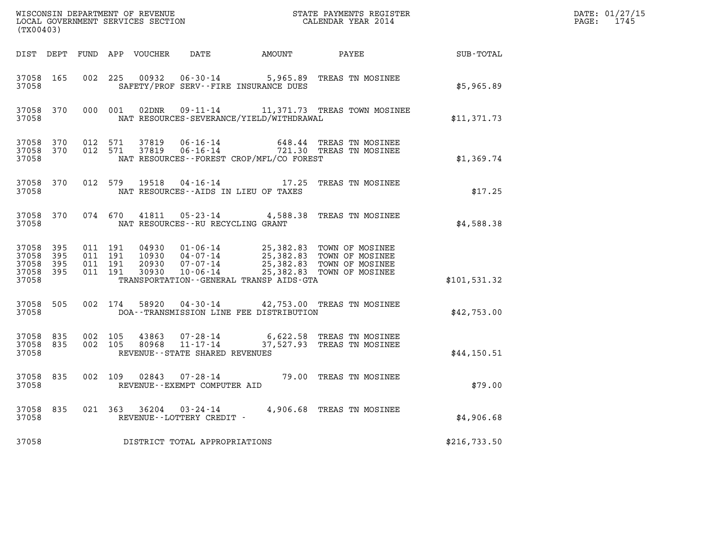| (TX00403)                                         |                |                    |                    | WISCONSIN DEPARTMENT OF REVENUE<br>LOCAL GOVERNMENT SERVICES SECTION |                                                              |                                              | STATE PAYMENTS REGIS'<br>CALENDAR YEAR 2014<br>STATE PAYMENTS REGISTER                                                                                                 |              | DATE: 01/27/15<br>$\mathtt{PAGE:}$<br>1745 |
|---------------------------------------------------|----------------|--------------------|--------------------|----------------------------------------------------------------------|--------------------------------------------------------------|----------------------------------------------|------------------------------------------------------------------------------------------------------------------------------------------------------------------------|--------------|--------------------------------------------|
|                                                   |                |                    |                    | DIST DEPT FUND APP VOUCHER                                           |                                                              | DATE AMOUNT PAYEE                            |                                                                                                                                                                        | SUB-TOTAL    |                                            |
| 37058 165<br>37058                                |                | 002 225            |                    | 00932                                                                |                                                              | SAFETY/PROF SERV--FIRE INSURANCE DUES        | 06-30-14 5,965.89 TREAS TN MOSINEE                                                                                                                                     | \$5,965.89   |                                            |
| 37058 370<br>37058                                |                |                    |                    |                                                                      |                                                              | NAT RESOURCES-SEVERANCE/YIELD/WITHDRAWAL     | 000 001 02DNR 09-11-14 11,371.73 TREAS TOWN MOSINEE                                                                                                                    | \$11,371.73  |                                            |
| 37058 370<br>37058 370<br>37058                   |                | 012 571            | 012 571            |                                                                      |                                                              | NAT RESOURCES - - FOREST CROP/MFL/CO FOREST  | 37819  06-16-14  648.44  TREAS TN MOSINEE<br>37819  06-16-14  721.30  TREAS TN MOSINEE                                                                                 | \$1,369.74   |                                            |
| 37058 370<br>37058                                |                | 012 579            |                    | 19518                                                                | NAT RESOURCES--AIDS IN LIEU OF TAXES                         |                                              | 04-16-14 17.25 TREAS TN MOSINEE                                                                                                                                        | \$17.25      |                                            |
| 37058                                             | 37058 370      |                    |                    |                                                                      | NAT RESOURCES -- RU RECYCLING GRANT                          |                                              | 074 670 41811 05-23-14 4,588.38 TREAS TN MOSINEE                                                                                                                       | \$4,588.38   |                                            |
| 37058 395<br>37058<br>37058<br>37058 395<br>37058 | - 395<br>- 395 | 011 191<br>011 191 | 011 191<br>011 191 | 30930                                                                | $10 - 06 - 14$                                               | TRANSPORTATION - - GENERAL TRANSP AIDS - GTA | 04930  01-06-14  25,382.83  TOWN OF MOSINEE<br>10930  04-07-14  25,382.83  TOWN OF MOSINEE<br>20930  07-07-14  25,382.83  TOWN OF MOSINEE<br>25,382.83 TOWN OF MOSINEE | \$101,531.32 |                                            |
| 37058 505<br>37058                                |                |                    |                    |                                                                      |                                                              | DOA--TRANSMISSION LINE FEE DISTRIBUTION      | 002 174 58920 04-30-14 42,753.00 TREAS TN MOSINEE                                                                                                                      | \$42,753.00  |                                            |
| 37058 835<br>37058 835<br>37058                   |                | 002 105<br>002 105 |                    | 43863<br>80968                                                       | 07-28-14<br>$11 - 17 - 14$<br>REVENUE--STATE SHARED REVENUES |                                              | 6,622.58 TREAS TN MOSINEE<br>37,527.93 TREAS TN MOSINEE                                                                                                                | \$44,150.51  |                                            |
| 37058 835<br>37058                                |                |                    |                    |                                                                      | REVENUE--EXEMPT COMPUTER AID                                 |                                              | 002 109 02843 07-28-14 79.00 TREAS TN MOSINEE                                                                                                                          | \$79.00      |                                            |
| 37058 835<br>37058                                |                |                    |                    |                                                                      | REVENUE--LOTTERY CREDIT -                                    |                                              | 021  363  36204  03-24-14  4,906.68  TREAS TN MOSINEE                                                                                                                  | \$4,906.68   |                                            |
| 37058                                             |                |                    |                    |                                                                      | DISTRICT TOTAL APPROPRIATIONS                                |                                              |                                                                                                                                                                        | \$216,733.50 |                                            |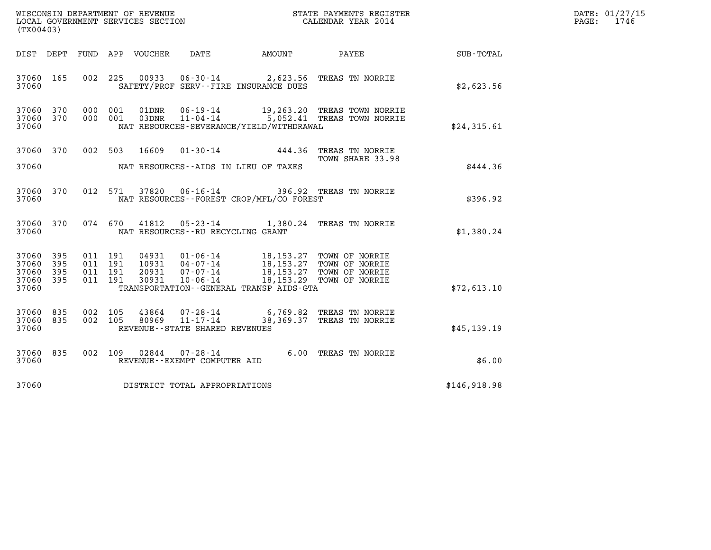| (TX00403)                                     |                     |  | LOCAL GOVERNMENT SERVICES SECTION | WISCONSIN DEPARTMENT OF REVENUE             |        | STATE PAYMENTS REGISTER<br>CALENDAR YEAR 2014                                                                                                                                                                                                                                                                                              |              | DATE: 01/27/15<br>PAGE: 1746 |
|-----------------------------------------------|---------------------|--|-----------------------------------|---------------------------------------------|--------|--------------------------------------------------------------------------------------------------------------------------------------------------------------------------------------------------------------------------------------------------------------------------------------------------------------------------------------------|--------------|------------------------------|
|                                               |                     |  | DIST DEPT FUND APP VOUCHER  DATE  |                                             | AMOUNT | <b>PAYEE</b>                                                                                                                                                                                                                                                                                                                               | SUB-TOTAL    |                              |
| 37060                                         |                     |  |                                   | SAFETY/PROF SERV--FIRE INSURANCE DUES       |        | 37060 165 002 225 00933 06-30-14 2,623.56 TREAS TN NORRIE                                                                                                                                                                                                                                                                                  | \$2,623.56   |                              |
| 37060 370<br>37060                            |                     |  |                                   | NAT RESOURCES-SEVERANCE/YIELD/WITHDRAWAL    |        | 37060 370 000 001 01DNR 06-19-14 19,263.20 TREAS TOWN NORRIE<br>000 001 03DNR 11-04-14 5,052.41 TREAS TOWN NORRIE                                                                                                                                                                                                                          | \$24,315.61  |                              |
| 37060                                         |                     |  |                                   | NAT RESOURCES--AIDS IN LIEU OF TAXES        |        | 37060 370 002 503 16609 01-30-14 444.36 TREAS TN NORRIE<br>TOWN SHARE 33.98                                                                                                                                                                                                                                                                | \$444.36     |                              |
| 37060                                         |                     |  |                                   | NAT RESOURCES - - FOREST CROP/MFL/CO FOREST |        | 37060 370 012 571 37820 06-16-14 396.92 TREAS TN NORRIE                                                                                                                                                                                                                                                                                    | \$396.92     |                              |
| 37060                                         |                     |  |                                   | NAT RESOURCES--RU RECYCLING GRANT           |        | 37060 370 074 670 41812 05-23-14 1,380.24 TREAS TN NORRIE                                                                                                                                                                                                                                                                                  | \$1,380.24   |                              |
| 37060 395<br>37060<br>37060<br>37060<br>37060 | - 395<br>395<br>395 |  |                                   | TRANSPORTATION--GENERAL TRANSP AIDS-GTA     |        | $\begin{array}{cccc} 011 & 191 & 04931 & 01\cdot 06\cdot 14 & 18,153\,.27 & \textrm{TOWN OF NORRIE} \\ 011 & 191 & 10931 & 04\cdot 07\cdot 14 & 18,153\,.27 & \textrm{TOWN OF NORRIE} \\ 011 & 191 & 20931 & 07\cdot 07\cdot 14 & 18,153\,.27 & \textrm{TOWN OF NORRIE} \\ 011 & 191 & 30931 & 10\cdot 06\cdot 14 & 18,153\,.29 & \textrm$ | \$72,613.10  |                              |
| 37060                                         |                     |  |                                   | REVENUE--STATE SHARED REVENUES              |        | 37060 835 002 105 43864 07-28-14 6,769.82 TREAS TN NORRIE<br>37060 835 002 105 80969 11-17-14 38,369.37 TREAS TN NORRIE                                                                                                                                                                                                                    | \$45,139.19  |                              |
| 37060 835<br>37060                            |                     |  |                                   | REVENUE--EXEMPT COMPUTER AID                |        | 002 109 02844 07-28-14 6.00 TREAS TN NORRIE                                                                                                                                                                                                                                                                                                | \$6.00       |                              |
| 37060                                         |                     |  |                                   | DISTRICT TOTAL APPROPRIATIONS               |        |                                                                                                                                                                                                                                                                                                                                            | \$146,918.98 |                              |
|                                               |                     |  |                                   |                                             |        |                                                                                                                                                                                                                                                                                                                                            |              |                              |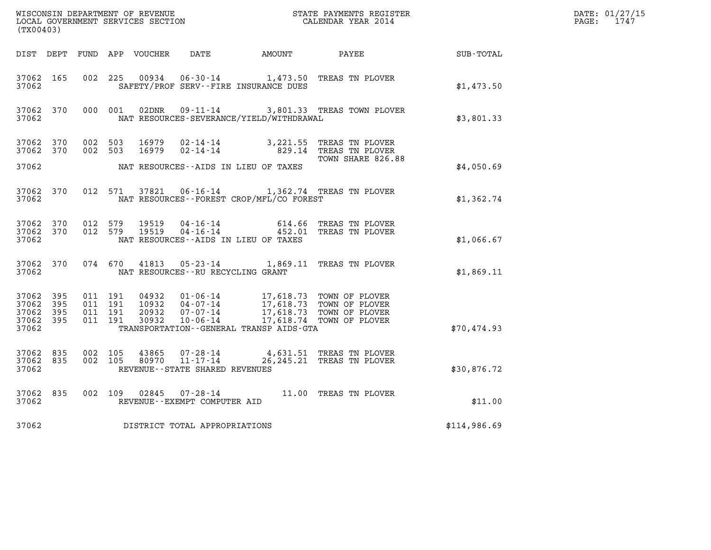| WISCONSIN DEPARTMENT OF REVENUE<br>LOCAL GOVERNMENT SERVICES SECTION<br>CALENDAR YEAR 2014<br>(TX00403) |           |                                          |  |  |                                         |                                                                                                                                                                                                                                      |                                                                                                                 |                                                        | DATE: 01/27/15<br>$\mathtt{PAGE:}$<br>1747 |
|---------------------------------------------------------------------------------------------------------|-----------|------------------------------------------|--|--|-----------------------------------------|--------------------------------------------------------------------------------------------------------------------------------------------------------------------------------------------------------------------------------------|-----------------------------------------------------------------------------------------------------------------|--------------------------------------------------------|--------------------------------------------|
|                                                                                                         |           |                                          |  |  |                                         |                                                                                                                                                                                                                                      |                                                                                                                 | DIST DEPT FUND APP VOUCHER DATE AMOUNT PAYEE SUB-TOTAL |                                            |
| 37062 165<br>37062                                                                                      |           |                                          |  |  |                                         | SAFETY/PROF SERV--FIRE INSURANCE DUES                                                                                                                                                                                                | 002 225 00934 06-30-14 1,473.50 TREAS TN PLOVER                                                                 | \$1,473.50                                             |                                            |
| 37062                                                                                                   |           | 37062 370 000 001                        |  |  |                                         | NAT RESOURCES-SEVERANCE/YIELD/WITHDRAWAL                                                                                                                                                                                             | 02DNR  09-11-14  3,801.33 TREAS TOWN PLOVER                                                                     | \$3,801.33                                             |                                            |
| 37062 370                                                                                               |           | 37062 370 002 503<br>002 503             |  |  |                                         |                                                                                                                                                                                                                                      | 16979 02-14-14 829.14 TREAS TN PLOVER                                                                           |                                                        |                                            |
| 37062                                                                                                   |           |                                          |  |  |                                         | NAT RESOURCES--AIDS IN LIEU OF TAXES                                                                                                                                                                                                 | TOWN SHARE 826.88                                                                                               | \$4,050.69                                             |                                            |
| 37062                                                                                                   |           |                                          |  |  |                                         | NAT RESOURCES--FOREST CROP/MFL/CO FOREST                                                                                                                                                                                             | 37062 370 012 571 37821 06-16-14 1,362.74 TREAS TN PLOVER                                                       | \$1,362.74                                             |                                            |
| 37062                                                                                                   |           |                                          |  |  |                                         | NAT RESOURCES--AIDS IN LIEU OF TAXES                                                                                                                                                                                                 | 37062 370 012 579 19519 04-16-14 614.66 TREAS TN PLOVER 37062 370 012 579 19519 04-16-14 452.01 TREAS TN PLOVER | \$1,066.67                                             |                                            |
|                                                                                                         |           |                                          |  |  | 37062 NAT RESOURCES--RU RECYCLING GRANT |                                                                                                                                                                                                                                      | 37062 370 074 670 41813 05-23-14 1,869.11 TREAS TN PLOVER                                                       | \$1,869.11                                             |                                            |
| 37062 395<br>37062 395<br>37062 395<br>37062 395<br>37062                                               |           | 011 191<br>011 191<br>011 191<br>011 191 |  |  |                                         | 04932  01-06-14  17,618.73  TOWN OF PLOVER<br>10932  04-07-14  17,618.73  TOWN OF PLOVER<br>20932  07-07-14  17,618.73  TOWN OF PLOVER<br>30932  10-06-14  17,618.74  TOWN OF PLOVER<br>TRANSPORTATION - - GENERAL TRANSP AIDS - GTA |                                                                                                                 | \$70,474.93                                            |                                            |
| 37062 835<br>37062                                                                                      |           | 37062 835 002 105<br>002 105             |  |  | REVENUE - - STATE SHARED REVENUES       |                                                                                                                                                                                                                                      | 43865  07-28-14  4,631.51  TREAS TN PLOVER<br>80970  11-17-14  26,245.21  TREAS TN PLOVER                       | \$30,876.72                                            |                                            |
| 37062                                                                                                   | 37062 835 |                                          |  |  | REVENUE--EXEMPT COMPUTER AID            |                                                                                                                                                                                                                                      | 002 109 02845 07-28-14 11.00 TREAS TN PLOVER                                                                    | \$11.00                                                |                                            |
| 37062                                                                                                   |           |                                          |  |  | DISTRICT TOTAL APPROPRIATIONS           |                                                                                                                                                                                                                                      |                                                                                                                 | \$114,986.69                                           |                                            |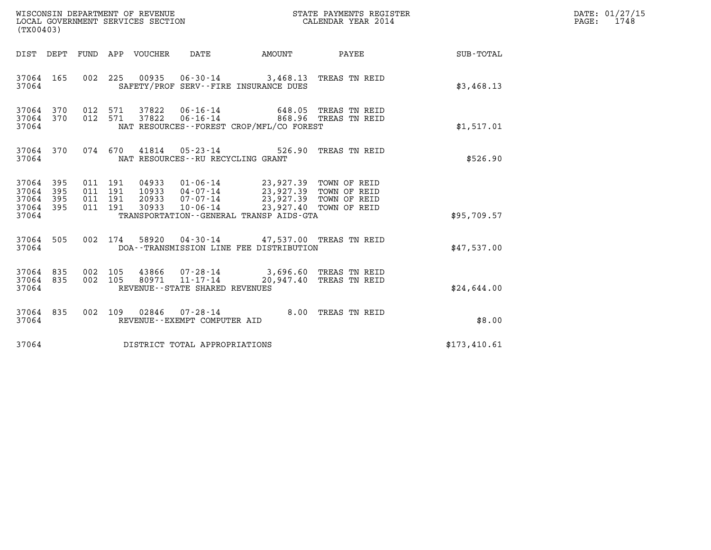| WISCONSIN DEPARTMENT OF REVENUE<br>LOCAL GOVERNMENT SERVICES SECTION | STATE PAYMENTS REGISTER<br>CALENDAR YEAR 2014 | DATE: 01/27/15<br>1748<br>PAGE: |
|----------------------------------------------------------------------|-----------------------------------------------|---------------------------------|

| WISCONSIN DEPARTMENT OF REVENUE<br>LOCAL GOVERNMENT SERVICES SECTION THE STATE PAYMENTS REGIST<br>(TWO0402)<br>(TX00403)                                                                                    | STATE PAYMENTS REGISTER                                                                                                                     |                  |
|-------------------------------------------------------------------------------------------------------------------------------------------------------------------------------------------------------------|---------------------------------------------------------------------------------------------------------------------------------------------|------------------|
| APP VOUCHER DATE<br>DEPT<br>FUND<br>DIST                                                                                                                                                                    | AMOUNT<br>PAYEE                                                                                                                             | <b>SUB-TOTAL</b> |
| 37064 165<br>002<br>37064<br>SAFETY/PROF SERV--FIRE INSURANCE DUES                                                                                                                                          | 225  00935  06-30-14  3,468.13  TREAS TN REID                                                                                               | \$3,468.13       |
| 37064 370<br>012<br>571<br>37822<br>$06 - 16 - 14$<br>012<br>571<br>37064 370<br>NAT RESOURCES - - FOREST CROP/MFL/CO FOREST<br>37064                                                                       | 648.05 TREAS TN REID                                                                                                                        | \$1,517.01       |
| 074<br>670<br>37064 370<br>41814 05-23-14 526.90<br>37064<br>NAT RESOURCES - - RU RECYCLING GRANT                                                                                                           | TREAS TN REID                                                                                                                               | \$526.90         |
| 37064 395<br>011 191<br>04933<br>395<br>011<br>191<br>37064<br>37064<br>395<br>011<br>191<br>011<br>191<br>30933<br>$10 - 06 - 14$<br>37064<br>395<br>TRANSPORTATION - - GENERAL TRANSP AIDS - GTA<br>37064 | 01-06-14 23,927.39 TOWN OF REID<br>10933 04-07-14 23,927.39 TOWN OF REID<br>20933 07-07-14 23,927.39 TOWN OF REID<br>23,927.40 TOWN OF REID | \$95,709.57      |
| 37064<br>505<br>002<br>174<br>37064<br>DOA--TRANSMISSION LINE FEE DISTRIBUTION                                                                                                                              | 58920  04-30-14  47,537.00 TREAS TN REID                                                                                                    | \$47,537.00      |
| 37064 835<br>002<br>105<br>37064 835<br>002<br>105<br>37064<br>REVENUE - - STATE SHARED REVENUES                                                                                                            | 43866     07-28-14                    3,696.60    TREAS  TN  REID<br>80971     11-17-14                  20,947.40    TREAS  TN  REID       | \$24,644.00      |
| $07 - 28 - 14$<br>002<br>37064 835<br>109<br>02846<br>37064<br>REVENUE--EXEMPT COMPUTER AID                                                                                                                 | 8.00<br>TREAS TN REID                                                                                                                       | \$8.00           |
| 37064<br>DISTRICT TOTAL APPROPRIATIONS                                                                                                                                                                      |                                                                                                                                             | \$173,410.61     |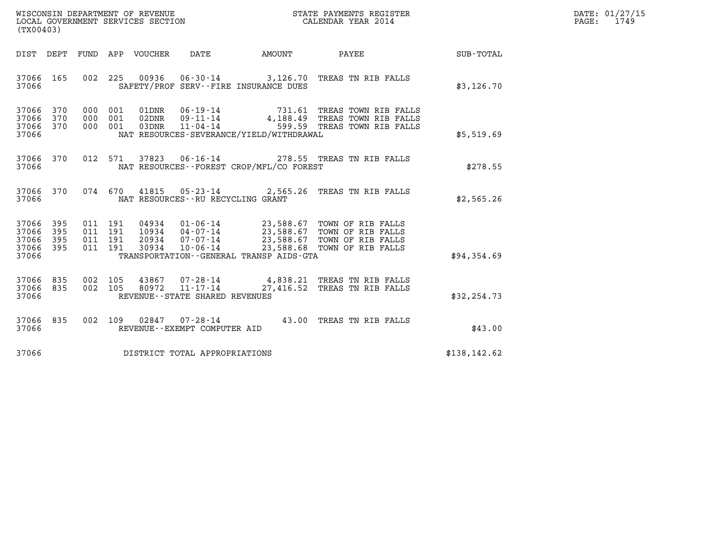| WISCONSIN DEPARTMENT OF REVENUE   | STATE PAYMENTS REGISTER | DATE: 01/27/15 |
|-----------------------------------|-------------------------|----------------|
| LOCAL GOVERNMENT SERVICES SECTION | CALENDAR YEAR 2014      | 1749<br>PAGE:  |

| (TX00403)                                                                                         |                                                                                                                                                                                                                                                                                                                |                  |
|---------------------------------------------------------------------------------------------------|----------------------------------------------------------------------------------------------------------------------------------------------------------------------------------------------------------------------------------------------------------------------------------------------------------------|------------------|
| DEPT<br>FUND<br>DIST                                                                              | APP<br>VOUCHER<br>DATE<br>AMOUNT<br>PAYEE                                                                                                                                                                                                                                                                      | <b>SUB-TOTAL</b> |
| 002<br>37066<br>165<br>37066                                                                      | 225<br>00936<br>$06 - 30 - 14$<br>3,126.70 TREAS TN RIB FALLS<br>SAFETY/PROF SERV--FIRE INSURANCE DUES                                                                                                                                                                                                         | \$3,126.70       |
| 370<br>000<br>37066<br>370<br>000<br>37066<br>370<br>000<br>37066<br>37066                        | 06-19-14 731.61 TREAS TOWN RIB FALLS<br>001<br>01DNR<br>001<br>02DNR<br>$09 - 11 - 14$<br>4,188.49 TREAS TOWN RIB FALLS<br>001<br>$11 - 04 - 14$<br>599.59 TREAS TOWN RIB FALLS<br>03DNR<br>NAT RESOURCES-SEVERANCE/YIELD/WITHDRAWAL                                                                           | \$5,519.69       |
| 012<br>37066<br>370<br>37066                                                                      | 06-16-14 278.55 TREAS TN RIB FALLS<br>571<br>37823<br>NAT RESOURCES - - FOREST CROP/MFL/CO FOREST                                                                                                                                                                                                              | \$278.55         |
| 370<br>074<br>37066<br>37066                                                                      | 670<br>41815<br>$05 - 23 - 14$ 2,565.26<br>TREAS TN RIB FALLS<br>NAT RESOURCES - - RU RECYCLING GRANT                                                                                                                                                                                                          | \$2,565.26       |
| 37066<br>395<br>011<br>37066<br>395<br>011<br>37066<br>395<br>011<br>37066<br>395<br>011<br>37066 | $01 - 06 - 14$<br>23,588.67 TOWN OF RIB FALLS<br>191<br>04934<br>191<br>10934<br>$04 - 07 - 14$<br>23,588.67 TOWN OF RIB FALLS<br>191<br>20934<br>$07 - 07 - 14$<br>23,588.67 TOWN OF RIB FALLS<br>23,588.68<br>$10 - 06 - 14$<br>191<br>30934<br>TOWN OF RIB FALLS<br>TRANSPORTATION--GENERAL TRANSP AIDS-GTA | \$94,354.69      |
| 835<br>37066<br>002<br>835<br>002<br>37066<br>37066                                               | 105<br>43867<br>$07 - 28 - 14$<br>4,838.21 TREAS TN RIB FALLS<br>80972<br>$11 - 17 - 14$<br>105<br>27,416.52<br>TREAS TN RIB FALLS<br>REVENUE - - STATE SHARED REVENUES                                                                                                                                        | \$32, 254.73     |
| 835<br>002<br>37066<br>37066                                                                      | 109<br>43.00<br>02847<br>$07 - 28 - 14$<br>TREAS TN RIB FALLS<br>REVENUE - - EXEMPT COMPUTER AID                                                                                                                                                                                                               | \$43.00          |
| 37066                                                                                             | DISTRICT TOTAL APPROPRIATIONS                                                                                                                                                                                                                                                                                  | \$138,142.62     |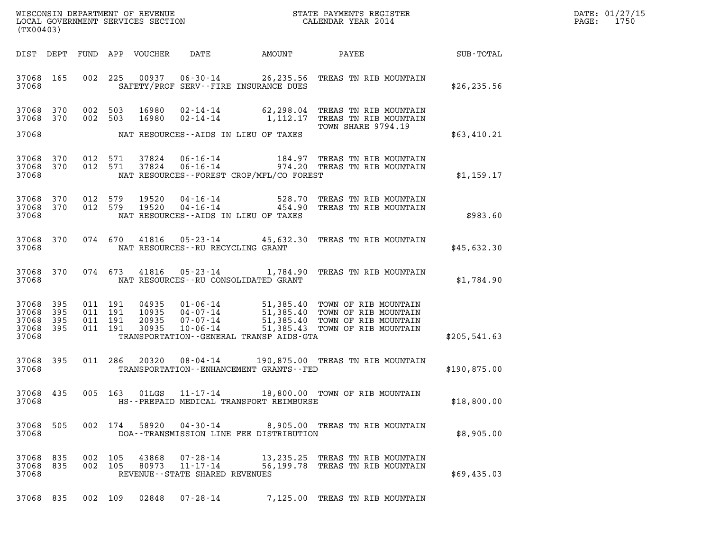| DATE: | 01/27/15 |
|-------|----------|
| PAGE: | 1750     |

| (TX00403)                                     |                   |         |                                          |                                  |                                                           |                                               |                                                                                                                                                        |              | DATE: 01/27/15<br>$\mathtt{PAGE:}$<br>1750 |
|-----------------------------------------------|-------------------|---------|------------------------------------------|----------------------------------|-----------------------------------------------------------|-----------------------------------------------|--------------------------------------------------------------------------------------------------------------------------------------------------------|--------------|--------------------------------------------|
|                                               | DIST DEPT         |         |                                          | FUND APP VOUCHER                 | DATE                                                      | AMOUNT                                        | PAYEE                                                                                                                                                  | SUB-TOTAL    |                                            |
| 37068 165<br>37068                            |                   |         | 002 225                                  |                                  |                                                           | SAFETY/PROF SERV--FIRE INSURANCE DUES         | 00937  06-30-14  26,235.56  TREAS TN RIB MOUNTAIN                                                                                                      | \$26, 235.56 |                                            |
| 37068 370<br>37068 370<br>37068               |                   | 002 503 | 002 503                                  | 16980                            |                                                           | NAT RESOURCES--AIDS IN LIEU OF TAXES          | 16980  02-14-14  62,298.04  TREAS TN RIB MOUNTAIN<br>02-14-14 1,112.17 TREAS TN RIB MOUNTAIN<br>TOWN SHARE 9794.19                                     | \$63,410.21  |                                            |
|                                               |                   |         |                                          |                                  |                                                           |                                               |                                                                                                                                                        |              |                                            |
| 37068 370<br>37068                            | 37068 370         |         | 012 571<br>012 571                       | 37824<br>37824                   | 06-16-14<br>$06 - 16 - 14$                                | NAT RESOURCES--FOREST CROP/MFL/CO FOREST      | 184.97 TREAS TN RIB MOUNTAIN<br>974.20 TREAS TN RIB MOUNTAIN                                                                                           | \$1,159.17   |                                            |
| 37068 370<br>37068 370<br>37068               |                   |         | 012 579<br>012 579                       | 19520<br>19520                   |                                                           | NAT RESOURCES -- AIDS IN LIEU OF TAXES        | 04-16-14 528.70 TREAS TN RIB MOUNTAIN<br>04-16-14 454.90 TREAS TN RIB MOUNTAIN                                                                         | \$983.60     |                                            |
| 37068                                         | 37068 370         |         |                                          |                                  | NAT RESOURCES -- RU RECYCLING GRANT                       |                                               | 074 670 41816 05-23-14 45,632.30 TREAS TN RIB MOUNTAIN                                                                                                 | \$45,632.30  |                                            |
| 37068                                         | 37068 370         |         |                                          |                                  |                                                           | NAT RESOURCES - - RU CONSOLIDATED GRANT       | 074 673 41816 05-23-14 1,784.90 TREAS TN RIB MOUNTAIN                                                                                                  | \$1,784.90   |                                            |
| 37068<br>37068<br>37068<br>37068 395<br>37068 | 395<br>395<br>395 |         | 011 191<br>011 191<br>011 191<br>011 191 | 04935<br>10935<br>20935<br>30935 | 07-07-14<br>$10 - 06 - 14$                                | TRANSPORTATION--GENERAL TRANSP AIDS-GTA       | 01-06-14 51,385.40 TOWN OF RIB MOUNTAIN<br>04-07-14 51,385.40 TOWN OF RIB MOUNTAIN<br>51,385.40 TOWN OF RIB MOUNTAIN<br>51,385.43 TOWN OF RIB MOUNTAIN | \$205,541.63 |                                            |
| 37068 395<br>37068                            |                   |         | 011 286                                  | 20320                            |                                                           | TRANSPORTATION - - ENHANCEMENT GRANTS - - FED | 08-04-14 190,875.00 TREAS TN RIB MOUNTAIN                                                                                                              | \$190,875.00 |                                            |
| 37068 435<br>37068                            |                   |         |                                          |                                  |                                                           | HS--PREPAID MEDICAL TRANSPORT REIMBURSE       | 005 163 01LGS 11-17-14 18,800.00 TOWN OF RIB MOUNTAIN                                                                                                  | \$18,800.00  |                                            |
| 37068<br>37068                                | 505               |         | 002 174                                  | 58920                            |                                                           | DOA--TRANSMISSION LINE FEE DISTRIBUTION       | 04-30-14 8,905.00 TREAS TN RIB MOUNTAIN                                                                                                                | \$8,905.00   |                                            |
| 37068 835<br>37068 835<br>37068               |                   | 002 105 | 002 105                                  | 43868<br>80973                   | 07-28-14<br>11-17-14<br>REVENUE - - STATE SHARED REVENUES |                                               | 13,235.25 TREAS TN RIB MOUNTAIN<br>56,199.78 TREAS TN RIB MOUNTAIN                                                                                     | \$69,435.03  |                                            |
| 37068 835                                     |                   |         | 002 109                                  | 02848                            | 07-28-14                                                  |                                               | 7,125.00 TREAS TN RIB MOUNTAIN                                                                                                                         |              |                                            |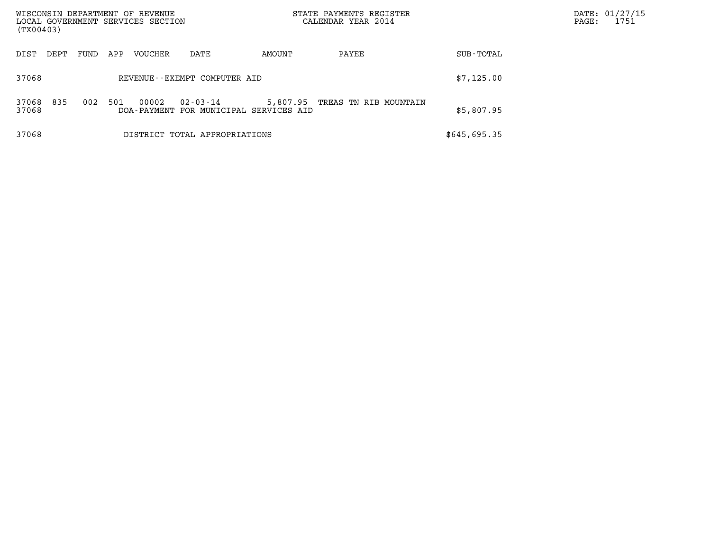| WISCONSIN DEPARTMENT OF REVENUE<br>LOCAL GOVERNMENT SERVICES SECTION<br>(TX00403) |      |     |                      |                                              |        | STATE PAYMENTS REGISTER<br>CALENDAR YEAR 2014 |              | DATE: 01/27/15<br>PAGE:<br>1751 |
|-----------------------------------------------------------------------------------|------|-----|----------------------|----------------------------------------------|--------|-----------------------------------------------|--------------|---------------------------------|
| DIST<br>DEPT                                                                      | FUND | APP | VOUCHER              | DATE                                         | AMOUNT | PAYEE                                         | SUB-TOTAL    |                                 |
| 37068                                                                             |      |     |                      | REVENUE--EXEMPT COMPUTER AID                 |        |                                               | \$7,125.00   |                                 |
| 835<br>37068<br>37068                                                             | 002  | 501 | 00002<br>DOA-PAYMENT | $02 - 03 - 14$<br>FOR MUNICIPAL SERVICES AID |        | 5,807.95 TREAS TN RIB MOUNTAIN                | \$5,807.95   |                                 |
| 37068                                                                             |      |     |                      | DISTRICT TOTAL APPROPRIATIONS                |        |                                               | \$645,695.35 |                                 |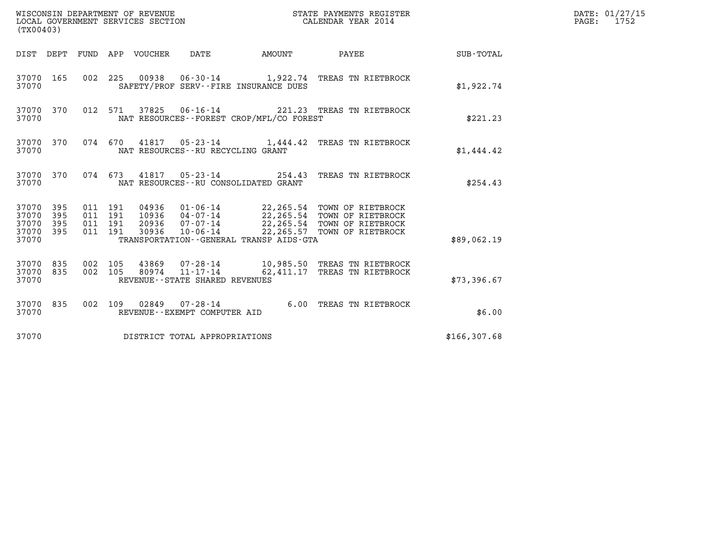| (TX00403)                                         |            |                                          |                                  | WISCONSIN DEPARTMENT OF REVENUE<br>LOCAL GOVERNMENT SERVICES SECTION              |               | STATE PAYMENTS REGISTER<br>CALENDAR YEAR 2014                                                                                      |               | DATE: 01/27/15<br>$\mathtt{PAGE:}$<br>1752 |
|---------------------------------------------------|------------|------------------------------------------|----------------------------------|-----------------------------------------------------------------------------------|---------------|------------------------------------------------------------------------------------------------------------------------------------|---------------|--------------------------------------------|
|                                                   |            |                                          | DIST DEPT FUND APP VOUCHER       | DATE                                                                              | <b>AMOUNT</b> | PAYEE                                                                                                                              | SUB-TOTAL     |                                            |
| 37070 165<br>37070                                |            |                                          |                                  | SAFETY/PROF SERV--FIRE INSURANCE DUES                                             |               | 002 225 00938 06-30-14 1,922.74 TREAS TN RIETBROCK                                                                                 | \$1,922.74    |                                            |
| 37070 370<br>37070                                |            |                                          |                                  | NAT RESOURCES--FOREST CROP/MFL/CO FOREST                                          |               | 012 571 37825 06-16-14 221.23 TREAS TN RIETBROCK                                                                                   | \$221.23      |                                            |
| 37070 370<br>37070                                |            | 074 670                                  |                                  | NAT RESOURCES--RU RECYCLING GRANT                                                 |               | 41817  05-23-14  1,444.42  TREAS TN RIETBROCK                                                                                      | \$1,444.42    |                                            |
| 37070 370<br>37070                                |            |                                          |                                  | NAT RESOURCES - - RU CONSOLIDATED GRANT                                           |               | 074 673 41817 05-23-14 254.43 TREAS TN RIETBROCK                                                                                   | \$254.43      |                                            |
| 37070 395<br>37070<br>37070<br>37070 395<br>37070 | 395<br>395 | 011 191<br>011 191<br>011 191<br>011 191 | 04936<br>10936<br>20936<br>30936 | 04-07-14<br>07-07-14<br>$10 - 06 - 14$<br>TRANSPORTATION--GENERAL TRANSP AIDS-GTA |               | 01-06-14 22,265.54 TOWN OF RIETBROCK<br>22,265.54 TOWN OF RIETBROCK<br>22, 265.54 TOWN OF RIETBROCK<br>22,265.57 TOWN OF RIETBROCK | \$89,062.19   |                                            |
| 37070 835<br>37070<br>37070                       | 835        | 002 105<br>002 105                       | 43869<br>80974                   | 07-28-14<br>$11 - 17 - 14$<br>REVENUE--STATE SHARED REVENUES                      |               | 10,985.50 TREAS TN RIETBROCK<br>62,411.17 TREAS TN RIETBROCK                                                                       | \$73,396.67   |                                            |
| 37070 835<br>37070                                |            |                                          |                                  | 002 109 02849 07-28-14<br>REVENUE--EXEMPT COMPUTER AID                            |               | 6.00 TREAS TN RIETBROCK                                                                                                            | \$6.00        |                                            |
| 37070                                             |            |                                          |                                  | DISTRICT TOTAL APPROPRIATIONS                                                     |               |                                                                                                                                    | \$166, 307.68 |                                            |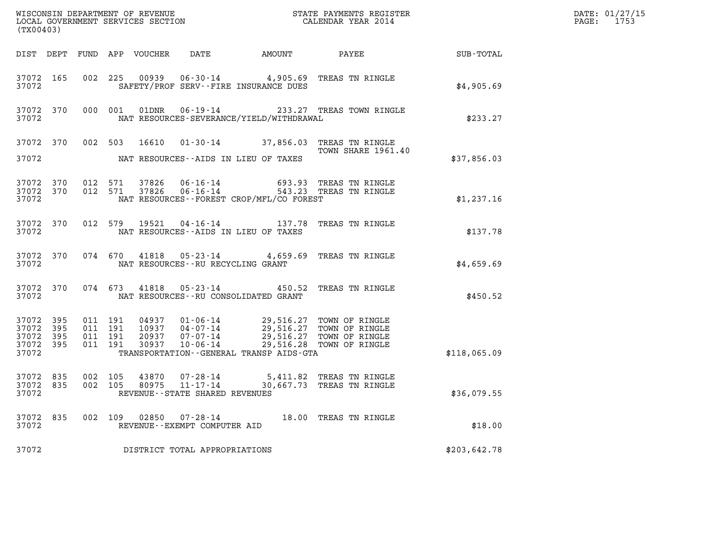| (TX00403)                                             |                                        |                                          |               |                                                     |                                          |                                                                                                                                                                          |              | DATE: 01/27/15<br>PAGE: 1753 |
|-------------------------------------------------------|----------------------------------------|------------------------------------------|---------------|-----------------------------------------------------|------------------------------------------|--------------------------------------------------------------------------------------------------------------------------------------------------------------------------|--------------|------------------------------|
|                                                       |                                        |                                          |               |                                                     |                                          |                                                                                                                                                                          |              |                              |
| 37072                                                 | 37072 165                              |                                          |               |                                                     | SAFETY/PROF SERV--FIRE INSURANCE DUES    | 002 225 00939 06-30-14 4,905.69 TREAS TN RINGLE                                                                                                                          | \$4,905.69   |                              |
| 37072                                                 |                                        |                                          |               |                                                     | NAT RESOURCES-SEVERANCE/YIELD/WITHDRAWAL | 37072 370 000 001 01DNR 06-19-14 233.27 TREAS TOWN RINGLE                                                                                                                | \$233.27     |                              |
|                                                       |                                        |                                          |               |                                                     |                                          | 37072 370 002 503 16610 01-30-14 37,856.03 TREAS TN RINGLE<br>TOWN SHARE 1961.40                                                                                         |              |                              |
| 37072                                                 |                                        |                                          |               |                                                     | NAT RESOURCES--AIDS IN LIEU OF TAXES     |                                                                                                                                                                          | \$37,856.03  |                              |
| 37072                                                 | 37072 370 012 571<br>37072 370 012 571 |                                          |               |                                                     | NAT RESOURCES--FOREST CROP/MFL/CO FOREST | 37826  06-16-14  693.93  TREAS TN RINGLE<br>37826  06-16-14  543.23  TREAS TN RINGLE                                                                                     | \$1,237.16   |                              |
| 37072                                                 |                                        |                                          |               |                                                     | NAT RESOURCES--AIDS IN LIEU OF TAXES     | 37072 370 012 579 19521 04-16-14 137.78 TREAS TN RINGLE                                                                                                                  | \$137.78     |                              |
| 37072                                                 |                                        |                                          |               | NAT RESOURCES--RU RECYCLING GRANT                   |                                          | 37072 370 074 670 41818 05-23-14 4,659.69 TREAS TN RINGLE                                                                                                                | \$4,659.69   |                              |
|                                                       | 37072                                  |                                          |               |                                                     | NAT RESOURCES -- RU CONSOLIDATED GRANT   | 37072 370 074 673 41818 05-23-14 450.52 TREAS TN RINGLE                                                                                                                  | \$450.52     |                              |
| 37072 395<br>37072<br>37072 395<br>37072 395<br>37072 | 395                                    | 011 191<br>011 191<br>011 191<br>011 191 |               |                                                     | TRANSPORTATION--GENERAL TRANSP AIDS-GTA  | 04937 01-06-14 29,516.27 TOWN OF RINGLE<br>10937 04-07-14 29,516.27 TOWN OF RINGLE<br>20937 07-07-14 29,516.27 TOWN OF RINGLE<br>30937 10-06-14 29,516.28 TOWN OF RINGLE | \$118,065.09 |                              |
| 37072 835<br>37072 835<br>37072                       |                                        | 002 105<br>002 105                       |               | 80975 11-17-14<br>REVENUE - - STATE SHARED REVENUES |                                          | 43870  07-28-14  5,411.82  TREAS TN RINGLE<br>30,667.73 TREAS TN RINGLE                                                                                                  | \$36,079.55  |                              |
| 37072 835<br>37072                                    |                                        |                                          | 002 109 02850 | $07 - 28 - 14$<br>REVENUE - - EXEMPT COMPUTER AID   |                                          | 18.00 TREAS TN RINGLE                                                                                                                                                    | \$18.00      |                              |
| 37072                                                 |                                        |                                          |               | DISTRICT TOTAL APPROPRIATIONS                       |                                          |                                                                                                                                                                          | \$203,642.78 |                              |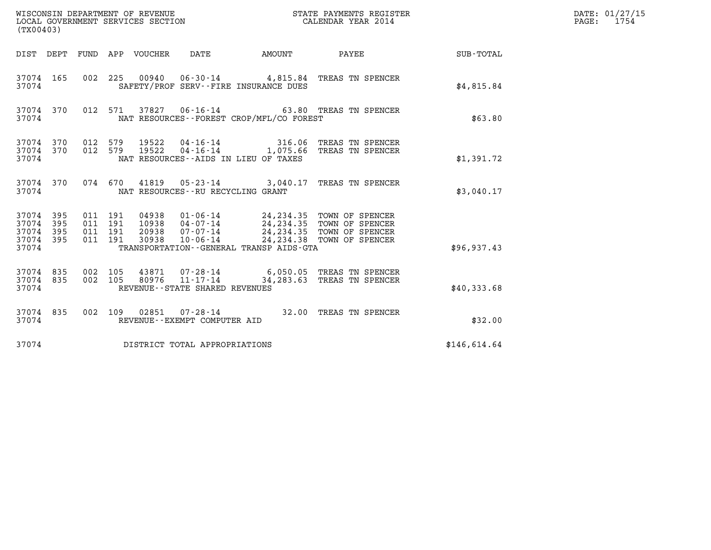| (TX00403)                                             |     |                                          |                                 | WISCONSIN DEPARTMENT OF REVENUE<br>LOCAL GOVERNMENT SERVICES SECTION |                                          | STATE PAYMENTS REGISTER<br>CALENDAR YEAR 2014                                                                                                                    |                  | DATE: 01/27/15<br>PAGE: 1754 |
|-------------------------------------------------------|-----|------------------------------------------|---------------------------------|----------------------------------------------------------------------|------------------------------------------|------------------------------------------------------------------------------------------------------------------------------------------------------------------|------------------|------------------------------|
|                                                       |     |                                          | DIST DEPT FUND APP VOUCHER DATE |                                                                      | AMOUNT PAYEE                             |                                                                                                                                                                  | <b>SUB-TOTAL</b> |                              |
| 37074 165<br>37074                                    |     |                                          |                                 |                                                                      | SAFETY/PROF SERV--FIRE INSURANCE DUES    | 002 225 00940 06-30-14 4,815.84 TREAS TN SPENCER                                                                                                                 | \$4.815.84       |                              |
| 37074 370<br>37074                                    |     |                                          |                                 |                                                                      | NAT RESOURCES--FOREST CROP/MFL/CO FOREST | 012 571 37827 06-16-14 63.80 TREAS TN SPENCER                                                                                                                    | \$63.80          |                              |
| 37074 370<br>37074 370<br>37074                       |     | 012 579<br>012 579                       | 19522<br>19522                  |                                                                      | NAT RESOURCES -- AIDS IN LIEU OF TAXES   | 04-16-14 316.06 TREAS TN SPENCER<br>04-16-14 1,075.66 TREAS TN SPENCER                                                                                           | \$1,391.72       |                              |
| 37074 370<br>37074                                    |     |                                          |                                 | NAT RESOURCES--RU RECYCLING GRANT                                    |                                          | 074 670 41819 05-23-14 3,040.17 TREAS TN SPENCER                                                                                                                 | \$3.040.17       |                              |
| 37074 395<br>37074<br>37074 395<br>37074 395<br>37074 | 395 | 011 191<br>011 191<br>011 191<br>011 191 | 04938<br>30938                  | $10 - 06 - 14$                                                       | TRANSPORTATION--GENERAL TRANSP AIDS-GTA  | 01-06-14 24,234.35 TOWN OF SPENCER<br>10938  04-07-14  24, 234.35  TOWN OF SPENCER<br>20938  07-07-14  24, 234.35  TOWN OF SPENCER<br>24, 234.38 TOWN OF SPENCER | \$96,937.43      |                              |
| 37074 835<br>37074 835<br>37074                       |     | 002 105<br>002 105                       | 80976                           | $11 - 17 - 14$<br>REVENUE - - STATE SHARED REVENUES                  |                                          | 43871  07-28-14  6,050.05  TREAS TN SPENCER<br>34,283.63 TREAS TN SPENCER                                                                                        | \$40,333.68      |                              |
| 37074 835<br>37074                                    |     |                                          |                                 | REVENUE--EXEMPT COMPUTER AID                                         |                                          | 002 109 02851 07-28-14 32.00 TREAS TN SPENCER                                                                                                                    | \$32.00          |                              |
| 37074                                                 |     |                                          |                                 | DISTRICT TOTAL APPROPRIATIONS                                        |                                          |                                                                                                                                                                  | \$146,614.64     |                              |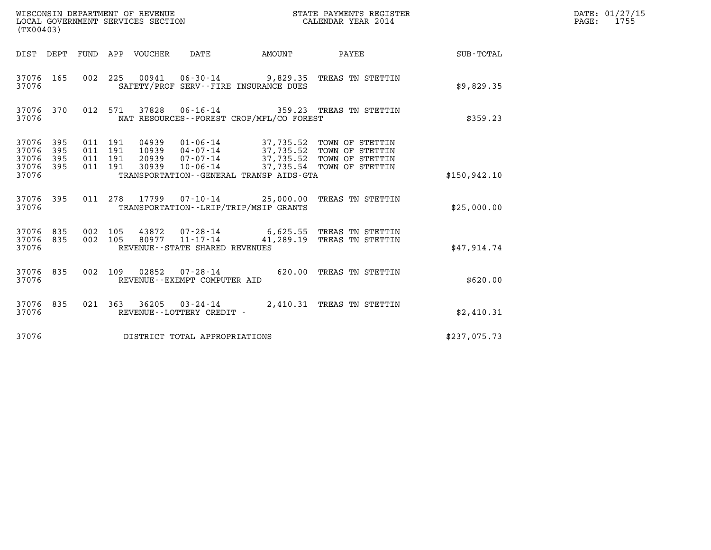| (TX00403)                                     |                   |                                          |         |                            | WISCONSIN DEPARTMENT OF REVENUE<br>LOCAL GOVERNMENT SERVICES SECTION |                                          | STATE PAYMENTS REGISTER<br>CALENDAR YEAR 2014                                                                                                                          |               | DATE: 01/27/15<br>$\mathtt{PAGE:}$<br>1755 |
|-----------------------------------------------|-------------------|------------------------------------------|---------|----------------------------|----------------------------------------------------------------------|------------------------------------------|------------------------------------------------------------------------------------------------------------------------------------------------------------------------|---------------|--------------------------------------------|
|                                               |                   |                                          |         | DIST DEPT FUND APP VOUCHER | DATE                                                                 | <b>AMOUNT</b>                            | PAYEE                                                                                                                                                                  | SUB-TOTAL     |                                            |
| 37076 165<br>37076                            |                   |                                          |         |                            |                                                                      | SAFETY/PROF SERV--FIRE INSURANCE DUES    | 002 225 00941 06-30-14 9,829.35 TREAS TN STETTIN                                                                                                                       | \$9,829.35    |                                            |
| 37076 370<br>37076                            |                   |                                          | 012 571 | 37828                      |                                                                      | NAT RESOURCES--FOREST CROP/MFL/CO FOREST | 06-16-14 359.23 TREAS TN STETTIN                                                                                                                                       | \$359.23      |                                            |
| 37076 395<br>37076<br>37076<br>37076<br>37076 | 395<br>395<br>395 | 011 191<br>011 191<br>011 191<br>011 191 |         | 30939                      | $10 - 06 - 14$                                                       | TRANSPORTATION--GENERAL TRANSP AIDS-GTA  | 04939  01-06-14  37,735.52  TOWN OF STETTIN<br>10939  04-07-14  37,735.52  TOWN OF STETTIN<br>20939  07-07-14  37,735.52  TOWN OF STETTIN<br>37,735.54 TOWN OF STETTIN | \$150, 942.10 |                                            |
| 37076 395<br>37076                            |                   |                                          |         |                            |                                                                      | TRANSPORTATION - - LRIP/TRIP/MSIP GRANTS | 011 278 17799 07-10-14 25,000.00 TREAS TN STETTIN                                                                                                                      | \$25,000.00   |                                            |
| 37076 835<br>37076 835<br>37076               |                   | 002 105<br>002 105                       |         |                            | REVENUE - - STATE SHARED REVENUES                                    |                                          | 43872  07-28-14  6,625.55  TREAS TN STETTIN<br>80977 11-17-14 41,289.19 TREAS TN STETTIN                                                                               | \$47,914.74   |                                            |
| 37076 835<br>37076                            |                   | 002 109                                  |         | 02852                      | REVENUE--EXEMPT COMPUTER AID                                         |                                          | 07-28-14 620.00 TREAS TN STETTIN                                                                                                                                       | \$620.00      |                                            |
| 37076 835<br>37076                            |                   |                                          |         |                            | 021 363 36205 03-24-14<br>REVENUE--LOTTERY CREDIT -                  |                                          | 2,410.31 TREAS TN STETTIN                                                                                                                                              | \$2,410.31    |                                            |
| 37076                                         |                   |                                          |         |                            | DISTRICT TOTAL APPROPRIATIONS                                        |                                          |                                                                                                                                                                        | \$237,075.73  |                                            |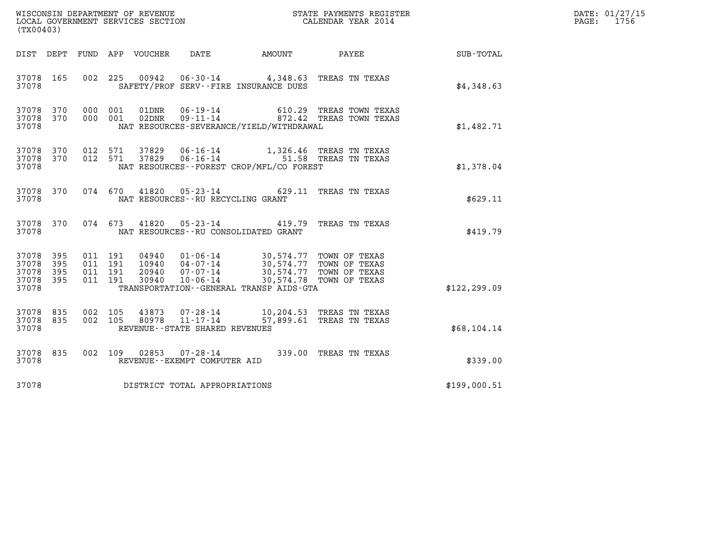| (TX00403)                                     |                   |                                          |         |                                  |                                                                    |                                                                                                                      |                                                      |               | DATE: 01/27/15<br>$\mathtt{PAGE:}$<br>1756 |
|-----------------------------------------------|-------------------|------------------------------------------|---------|----------------------------------|--------------------------------------------------------------------|----------------------------------------------------------------------------------------------------------------------|------------------------------------------------------|---------------|--------------------------------------------|
| DIST DEPT                                     |                   |                                          |         | FUND APP VOUCHER                 | DATE                                                               | AMOUNT                                                                                                               | PAYEE                                                | SUB-TOTAL     |                                            |
| 37078 165<br>37078                            |                   |                                          | 002 225 |                                  |                                                                    | 00942  06-30-14  4,348.63  TREAS TN TEXAS<br>SAFETY/PROF SERV--FIRE INSURANCE DUES                                   |                                                      | \$4,348.63    |                                            |
| 37078 370<br>37078 370<br>37078               |                   | 000 001<br>000 001                       |         | 01DNR<br>02DNR                   | 06-19-14<br>$09 - 11 - 14$                                         | NAT RESOURCES-SEVERANCE/YIELD/WITHDRAWAL                                                                             | 610.29 TREAS TOWN TEXAS<br>872.42 TREAS TOWN TEXAS   | \$1,482.71    |                                            |
| 37078 370<br>37078 370<br>37078               |                   | 012 571<br>012 571                       |         | 37829<br>37829                   | $06 - 16 - 14$<br>$06 - 16 - 14$                                   | NAT RESOURCES - - FOREST CROP/MFL/CO FOREST                                                                          | 1,326.46 TREAS TN TEXAS<br>51.58 TREAS TN TEXAS      | \$1,378.04    |                                            |
| 37078 370<br>37078                            |                   | 074 670                                  |         | 41820                            | $05 - 23 - 14$<br>NAT RESOURCES - - RU RECYCLING GRANT             |                                                                                                                      | 629.11 TREAS TN TEXAS                                | \$629.11      |                                            |
| 37078 370<br>37078                            |                   | 074 673                                  |         | 41820                            | $05 - 23 - 14$                                                     | NAT RESOURCES - - RU CONSOLIDATED GRANT                                                                              | 419.79 TREAS TN TEXAS                                | \$419.79      |                                            |
| 37078 395<br>37078<br>37078<br>37078<br>37078 | 395<br>395<br>395 | 011 191<br>011 191<br>011 191<br>011 191 |         | 04940<br>10940<br>20940<br>30940 | 07-07-14<br>$10 - 06 - 14$                                         | 01-06-14 30,574.77 TOWN OF TEXAS<br>04-07-14 30,574.77 TOWN OF TEXAS<br>TRANSPORTATION - - GENERAL TRANSP AIDS - GTA | 30,574.77 TOWN OF TEXAS<br>30,574.78 TOWN OF TEXAS   | \$122, 299.09 |                                            |
| 37078 835<br>37078<br>37078                   | 835               | 002 105<br>002 105                       |         | 43873<br>80978                   | $07 - 28 - 14$<br>$11 - 17 - 14$<br>REVENUE--STATE SHARED REVENUES |                                                                                                                      | 10,204.53 TREAS TN TEXAS<br>57,899.61 TREAS TN TEXAS | \$68,104.14   |                                            |
| 37078 835<br>37078                            |                   | 002 109                                  |         | 02853                            | 07-28-14<br>REVENUE--EXEMPT COMPUTER AID                           |                                                                                                                      | 339.00 TREAS TN TEXAS                                | \$339.00      |                                            |
| 37078                                         |                   |                                          |         |                                  | DISTRICT TOTAL APPROPRIATIONS                                      |                                                                                                                      |                                                      | \$199,000.51  |                                            |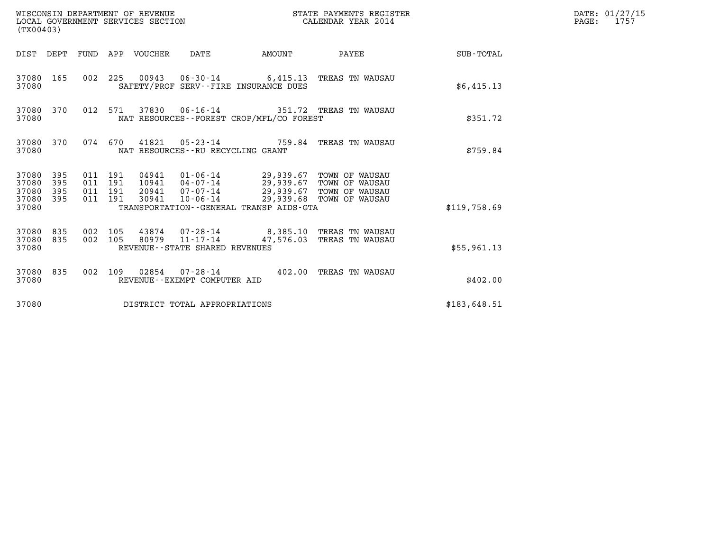| WISCONSIN DEPARTMENT OF REVENUE<br>LOCAL GOVERNMENT SERVICES SECTION<br>(TX00403) |                                          |                                 |                                                                                                                                                                                                                   | STATE PAYMENTS REGISTER<br>CALENDAR YEAR 2014 |                           |                 | DATE: 01/27/15<br>$\mathtt{PAGE:}$<br>1757 |
|-----------------------------------------------------------------------------------|------------------------------------------|---------------------------------|-------------------------------------------------------------------------------------------------------------------------------------------------------------------------------------------------------------------|-----------------------------------------------|---------------------------|-----------------|--------------------------------------------|
|                                                                                   |                                          | DIST DEPT FUND APP VOUCHER DATE | AMOUNT                                                                                                                                                                                                            |                                               |                           | PAYEE SUB-TOTAL |                                            |
| 37080 165<br>37080                                                                |                                          |                                 | 002 225 00943 06-30-14 6,415.13 TREAS TN WAUSAU<br>SAFETY/PROF SERV--FIRE INSURANCE DUES                                                                                                                          |                                               |                           | \$6,415.13      |                                            |
| 37080 370<br>37080                                                                | 012 571                                  |                                 | 37830  06-16-14  351.72  TREAS TN WAUSAU<br>NAT RESOURCES - - FOREST CROP/MFL/CO FOREST                                                                                                                           |                                               |                           | \$351.72        |                                            |
| 37080 370<br>37080                                                                |                                          |                                 | 074 670 41821 05-23-14 759.84 TREAS TN WAUSAU<br>NAT RESOURCES - - RU RECYCLING GRANT                                                                                                                             |                                               |                           | \$759.84        |                                            |
| 37080 395<br>37080<br>395<br>37080<br>395<br>37080 395<br>37080                   | 011 191<br>011 191<br>011 191<br>011 191 | 30941                           | 04941  01-06-14  29,939.67 TOWN OF WAUSAU<br>10941  04-07-14  29,939.67 TOWN OF WAUSAU<br>20941 07-07-14 29,939.67 TOWN OF WAUSAU<br>10-06-14 29,939.68 TOWN OF WAUSAU<br>TRANSPORTATION--GENERAL TRANSP AIDS-GTA |                                               |                           | \$119.758.69    |                                            |
| 37080 835<br>37080 835<br>37080                                                   | 002 105<br>002 105                       | 80979 11-17-14                  | 43874  07-28-14  8,385.10 TREAS TN WAUSAU<br>REVENUE - - STATE SHARED REVENUES                                                                                                                                    |                                               | 47,576.03 TREAS TN WAUSAU | \$55,961.13     |                                            |
| 37080 835<br>37080                                                                |                                          | REVENUE--EXEMPT COMPUTER AID    | 002 109 02854 07-28-14 402.00 TREAS TN WAUSAU                                                                                                                                                                     |                                               |                           | \$402.00        |                                            |
| 37080                                                                             |                                          |                                 | DISTRICT TOTAL APPROPRIATIONS                                                                                                                                                                                     |                                               |                           | \$183,648.51    |                                            |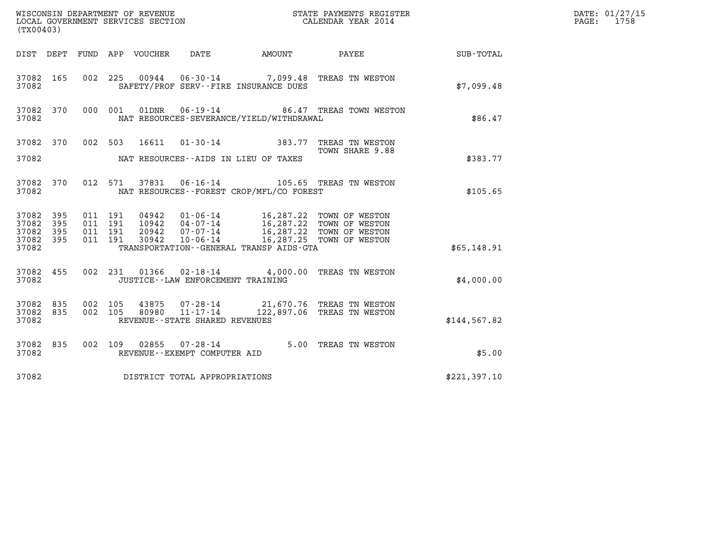| (TX00403)                                    |           |                    |                            |                | WISCONSIN DEPARTMENT OF REVENUE<br>LOCAL GOVERNMENT SERVICES SECTION |                                          | STATE PAYMENTS REGISTER<br>CALENDAR YEAR 2014                                                                                                                               |              | DATE: 01/27/15<br>1758<br>$\mathtt{PAGE}$ : |
|----------------------------------------------|-----------|--------------------|----------------------------|----------------|----------------------------------------------------------------------|------------------------------------------|-----------------------------------------------------------------------------------------------------------------------------------------------------------------------------|--------------|---------------------------------------------|
|                                              |           |                    | DIST DEPT FUND APP VOUCHER |                | DATE                                                                 |                                          | AMOUNT PAYEE                                                                                                                                                                | SUB-TOTAL    |                                             |
| 37082 165<br>37082                           |           |                    |                            |                |                                                                      | SAFETY/PROF SERV--FIRE INSURANCE DUES    | 002 225 00944 06-30-14 7,099.48 TREAS TN WESTON                                                                                                                             | \$7.099.48   |                                             |
| 37082                                        | 37082 370 |                    | 000 001                    | 01DNR          |                                                                      | NAT RESOURCES-SEVERANCE/YIELD/WITHDRAWAL | 06-19-14 86.47 TREAS TOWN WESTON                                                                                                                                            | \$86.47      |                                             |
|                                              |           |                    |                            |                |                                                                      |                                          | 37082 370 002 503 16611 01-30-14 383.77 TREAS TN WESTON<br>TOWN SHARE 9.88                                                                                                  |              |                                             |
| 37082                                        |           |                    |                            |                |                                                                      | NAT RESOURCES--AIDS IN LIEU OF TAXES     |                                                                                                                                                                             | \$383.77     |                                             |
| 37082                                        | 37082 370 |                    | 012 571                    |                |                                                                      | NAT RESOURCES--FOREST CROP/MFL/CO FOREST | 37831  06-16-14  105.65  TREAS  TN WESTON                                                                                                                                   | \$105.65     |                                             |
| 37082 395<br>37082<br>37082 395<br>37082 395 | 395       | 011 191<br>011 191 | 011 191<br>011 191         | 30942          | $10 - 06 - 14$                                                       |                                          | 04942   01-06-14   16,287.22   TOWN OF WESTON<br>10942   04-07-14   16,287.22   TOWN OF WESTON<br>20942   07-07-14   16,287.22   TOWN OF WESTON<br>16,287.25 TOWN OF WESTON |              |                                             |
| 37082                                        |           |                    |                            |                |                                                                      | TRANSPORTATION--GENERAL TRANSP AIDS-GTA  |                                                                                                                                                                             | \$65,148.91  |                                             |
| 37082 455<br>37082                           |           |                    |                            |                | JUSTICE - - LAW ENFORCEMENT TRAINING                                 |                                          | 002 231 01366 02-18-14 4,000.00 TREAS TN WESTON                                                                                                                             | \$4,000.00   |                                             |
| 37082 835<br>37082 835<br>37082              |           | 002 105            | 002 105                    | 43875<br>80980 | REVENUE--STATE SHARED REVENUES                                       |                                          | 07-28-14 21,670.76 TREAS TN WESTON<br>11-17-14 122,897.06 TREAS TN WESTON                                                                                                   | \$144,567.82 |                                             |
| 37082                                        | 37082 835 |                    |                            |                | 002 109 02855 07-28-14<br>REVENUE--EXEMPT COMPUTER AID               |                                          | 5.00 TREAS TN WESTON                                                                                                                                                        | \$5.00       |                                             |
| 37082                                        |           |                    |                            |                | DISTRICT TOTAL APPROPRIATIONS                                        |                                          |                                                                                                                                                                             | \$221,397.10 |                                             |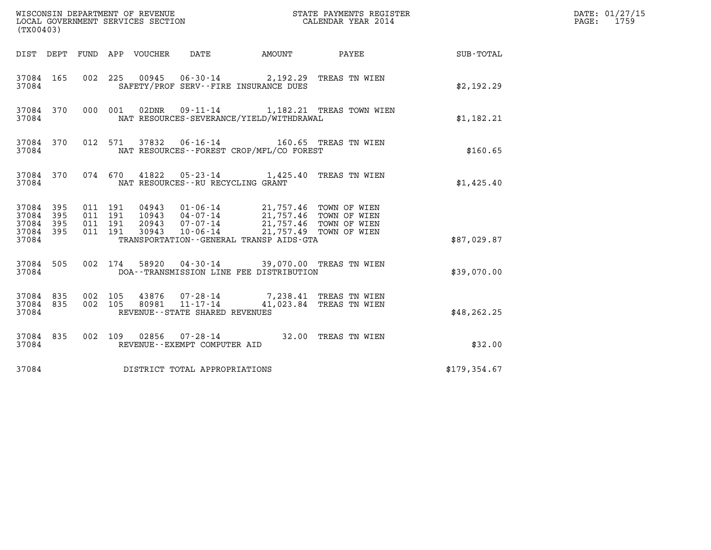| (TX00403)                                                                                          | WISCONSIN DEPARTMENT OF REVENUE<br>LOCAL GOVERNMENT SERVICES SECTION                                                                                                         | STATE PAYMENTS REGISTER<br>CALENDAR YEAR 2014 |              | DATE: 01/27/15<br>$\mathtt{PAGE:}$<br>1759 |
|----------------------------------------------------------------------------------------------------|------------------------------------------------------------------------------------------------------------------------------------------------------------------------------|-----------------------------------------------|--------------|--------------------------------------------|
| DIST DEPT FUND APP VOUCHER                                                                         | DATE                                                                                                                                                                         | AMOUNT<br>PAYEE SUB-TOTAL                     |              |                                            |
| 002 225<br>37084 165<br>37084                                                                      | 00945  06-30-14  2,192.29  TREAS TN WIEN<br>SAFETY/PROF SERV--FIRE INSURANCE DUES                                                                                            |                                               | \$2,192.29   |                                            |
| 000 001<br>37084 370<br>37084                                                                      | NAT RESOURCES-SEVERANCE/YIELD/WITHDRAWAL                                                                                                                                     | 02DNR  09-11-14   1,182.21 TREAS TOWN WIEN    | \$1,182.21   |                                            |
| 37084 370<br>37084                                                                                 | 012 571 37832 06-16-14 160.65 TREAS TN WIEN<br>NAT RESOURCES--FOREST CROP/MFL/CO FOREST                                                                                      |                                               | \$160.65     |                                            |
| 37084 370<br>37084                                                                                 | 074 670 41822 05-23-14 1,425.40 TREAS TN WIEN<br>NAT RESOURCES--RU RECYCLING GRANT                                                                                           |                                               | \$1,425.40   |                                            |
| 37084 395<br>011 191<br>37084<br>395<br>011 191<br>395<br>011 191<br>37084<br>37084 395<br>011 191 | 04943  01-06-14  21,757.46  TOWN OF WIEN<br>10943  04-07-14  21,757.46  TOWN OF WIEN<br>20943  07-07-14  21,757.46  TOWN OF WIEN<br>30943  10-06-14  21,757.49  TOWN OF WIEN |                                               |              |                                            |
| 37084                                                                                              | TRANSPORTATION--GENERAL TRANSP AIDS-GTA                                                                                                                                      |                                               | \$87,029.87  |                                            |
| 37084 505<br>002 174<br>37084                                                                      | DOA--TRANSMISSION LINE FEE DISTRIBUTION                                                                                                                                      | 58920  04-30-14  39,070.00  TREAS TN WIEN     | \$39,070.00  |                                            |
| 37084 835<br>002 105<br>37084 835<br>002 105<br>37084                                              | 43876  07-28-14  7,238.41 TREAS TN WIEN<br>80981  11-17-14  41,023.84 TREAS TN WIEN<br>REVENUE--STATE SHARED REVENUES                                                        |                                               | \$48, 262.25 |                                            |
| 37084 835<br>37084                                                                                 | 002 109 02856 07-28-14 32.00 TREAS TN WIEN<br>REVENUE--EXEMPT COMPUTER AID                                                                                                   |                                               | \$32.00      |                                            |
| 37084                                                                                              | DISTRICT TOTAL APPROPRIATIONS                                                                                                                                                |                                               | \$179,354.67 |                                            |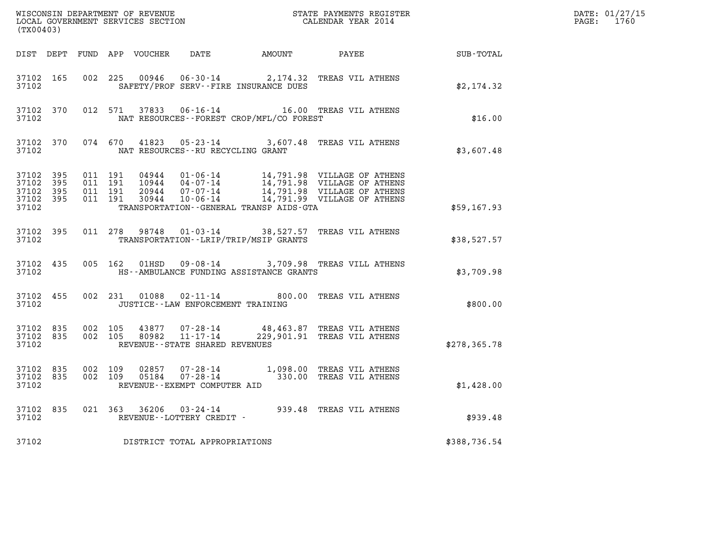| (TX00403)                                         |                        |                                          |         |               |                                                                    |                                              |                                                                                                                                                                                |               | DATE: 01/27/15<br>PAGE: 1760 |
|---------------------------------------------------|------------------------|------------------------------------------|---------|---------------|--------------------------------------------------------------------|----------------------------------------------|--------------------------------------------------------------------------------------------------------------------------------------------------------------------------------|---------------|------------------------------|
|                                                   |                        |                                          |         |               |                                                                    |                                              | DIST DEPT FUND APP VOUCHER DATE AMOUNT PAYEE TOTAL                                                                                                                             |               |                              |
| 37102 165<br>37102                                |                        |                                          |         | 002 225 00946 |                                                                    | SAFETY/PROF SERV--FIRE INSURANCE DUES        | 06-30-14 2,174.32 TREAS VIL ATHENS                                                                                                                                             | \$2,174.32    |                              |
| 37102                                             | 37102 370              |                                          |         | 012 571 37833 |                                                                    | NAT RESOURCES--FOREST CROP/MFL/CO FOREST     | 06-16-14 16.00 TREAS VIL ATHENS                                                                                                                                                | \$16.00       |                              |
| 37102                                             |                        |                                          |         |               | NAT RESOURCES--RU RECYCLING GRANT                                  |                                              | 37102 370 074 670 41823 05-23-14 3,607.48 TREAS VIL ATHENS                                                                                                                     | \$3,607.48    |                              |
| 37102<br>37102<br>37102 395<br>37102 395<br>37102 | 395<br>395             | 011 191<br>011 191<br>011 191<br>011 191 |         |               |                                                                    | TRANSPORTATION - - GENERAL TRANSP AIDS - GTA | 04944 01-06-14 14,791.98 VILLAGE OF ATHENS<br>10944 04-07-14 14,791.98 VILLAGE OF ATHENS<br>20944 07-07-14 14,791.98 VILLAGE OF ATHENS<br>10-06-14 14,791.99 VILLAGE OF ATHENS | \$59,167.93   |                              |
| 37102                                             | 37102 395              |                                          |         |               |                                                                    | TRANSPORTATION - - LRIP/TRIP/MSIP GRANTS     | 011  278  98748  01-03-14  38,527.57  TREAS VIL ATHENS                                                                                                                         | \$38,527.57   |                              |
| 37102 435<br>37102                                |                        |                                          |         |               |                                                                    | HS--AMBULANCE FUNDING ASSISTANCE GRANTS      | 005 162 01HSD 09-08-14 3,709.98 TREAS VILL ATHENS                                                                                                                              | \$3,709.98    |                              |
| 37102 455<br>37102                                |                        |                                          |         |               | JUSTICE - - LAW ENFORCEMENT TRAINING                               |                                              | 002 231 01088 02-11-14 800.00 TREAS VIL ATHENS                                                                                                                                 | \$800.00      |                              |
| 37102                                             | 37102 835<br>37102 835 | 002 105                                  | 002 105 |               | 43877 07-28-14<br>80982 11-17-14<br>REVENUE--STATE SHARED REVENUES |                                              | 48,463.87 TREAS VIL ATHENS<br>229,901.91 TREAS VIL ATHENS                                                                                                                      | \$278, 365.78 |                              |
| 37102 835<br>37102                                | 37102 835              | 002 109                                  | 002 109 | 02857         | REVENUE--EXEMPT COMPUTER AID                                       |                                              | 07-28-14 1,098.00 TREAS VIL ATHENS<br>05184  07-28-14  330.00 TREAS VIL ATHENS                                                                                                 | \$1,428.00    |                              |
| 37102                                             | 37102 835              |                                          |         |               | REVENUE--LOTTERY CREDIT -                                          |                                              | 021 363 36206 03-24-14 939.48 TREAS VIL ATHENS                                                                                                                                 | \$939.48      |                              |
| 37102                                             |                        |                                          |         |               | DISTRICT TOTAL APPROPRIATIONS                                      |                                              |                                                                                                                                                                                | \$388,736.54  |                              |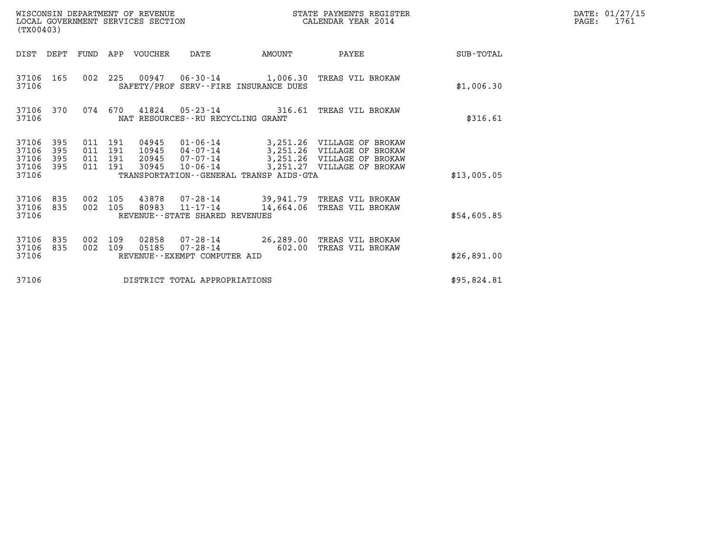| (TX00403)                                 |                          |                                          |            | LOCAL GOVERNMENT SERVICES SECTION | WISCONSIN DEPARTMENT OF REVENUE                                               |          | STATE PAYMENTS REGISTER<br>CALENDAR YEAR 2014                                                                                          |             | DATE: 01/27/15<br>$\mathtt{PAGE:}$<br>1761 |
|-------------------------------------------|--------------------------|------------------------------------------|------------|-----------------------------------|-------------------------------------------------------------------------------|----------|----------------------------------------------------------------------------------------------------------------------------------------|-------------|--------------------------------------------|
|                                           | DIST DEPT                |                                          |            | FUND APP VOUCHER                  | DATE                                                                          | AMOUNT   | PAYEE                                                                                                                                  | SUB-TOTAL   |                                            |
| 37106 165<br>37106                        |                          |                                          |            |                                   | SAFETY/PROF SERV--FIRE INSURANCE DUES                                         |          | 002 225 00947 06-30-14 1,006.30 TREAS VIL BROKAW                                                                                       | \$1,006.30  |                                            |
| 37106                                     | 37106 370                |                                          | 074 670    |                                   | 41824  05-23-14  316.61 TREAS VIL BROKAW<br>NAT RESOURCES--RU RECYCLING GRANT | \$316.61 |                                                                                                                                        |             |                                            |
| 37106<br>37106<br>37106<br>37106<br>37106 | 395<br>395<br>395<br>395 | 011 191<br>011 191<br>011 191<br>011 191 |            | 04945<br>10945<br>20945<br>30945  | $07 - 07 - 14$<br>10-06-14<br>TRANSPORTATION - - GENERAL TRANSP AIDS - GTA    |          | 01-06-14 3,251.26 VILLAGE OF BROKAW<br>04-07-14 3,251.26 VILLAGE OF BROKAW<br>3,251.26 VILLAGE OF BROKAW<br>3,251.27 VILLAGE OF BROKAW | \$13,005.05 |                                            |
| 37106<br>37106 835<br>37106               | 835                      | 002 105<br>002 105                       |            | 80983                             | REVENUE--STATE SHARED REVENUES                                                |          | 43878  07-28-14  39,941.79  TREAS VIL BROKAW<br>11-17-14 14,664.06 TREAS VIL BROKAW                                                    | \$54,605.85 |                                            |
| 37106<br>37106<br>37106                   | 835<br>835               | 002<br>002                               | 109<br>109 | 02858<br>05185                    | REVENUE--EXEMPT COMPUTER AID                                                  |          | 07-28-14 26,289.00 TREAS VIL BROKAW<br>07-28-14 602.00 TREAS VIL BROKAW                                                                | \$26,891.00 |                                            |
| 37106                                     |                          |                                          |            |                                   | DISTRICT TOTAL APPROPRIATIONS                                                 |          |                                                                                                                                        | \$95,824.81 |                                            |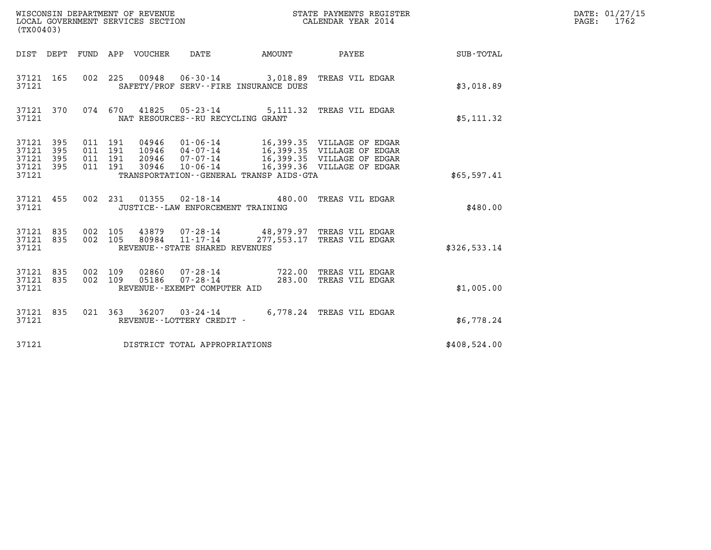| (TX00403)                                         |                                                                                                                                                                                                                                                                                          |                    |  |                                 | WISCONSIN DEPARTMENT OF REVENUE<br>LOCAL GOVERNMENT SERVICES SECTION |               | STATE PAYMENTS REGISTER<br>CALENDAR YEAR 2014                             |                  | DATE: 01/27/15<br>PAGE: 1762 |
|---------------------------------------------------|------------------------------------------------------------------------------------------------------------------------------------------------------------------------------------------------------------------------------------------------------------------------------------------|--------------------|--|---------------------------------|----------------------------------------------------------------------|---------------|---------------------------------------------------------------------------|------------------|------------------------------|
|                                                   |                                                                                                                                                                                                                                                                                          |                    |  | DIST DEPT FUND APP VOUCHER DATE |                                                                      | <b>AMOUNT</b> | PAYEE                                                                     | <b>SUB-TOTAL</b> |                              |
| 37121 165<br>37121                                |                                                                                                                                                                                                                                                                                          |                    |  |                                 | SAFETY/PROF SERV--FIRE INSURANCE DUES                                |               | 002 225 00948 06-30-14 3,018.89 TREAS VIL EDGAR                           | \$3,018.89       |                              |
| 37121 370<br>37121                                |                                                                                                                                                                                                                                                                                          |                    |  |                                 | NAT RESOURCES - - RU RECYCLING GRANT                                 |               | 074 670 41825 05-23-14 5,111.32 TREAS VIL EDGAR                           | \$5,111.32       |                              |
| 37121 395<br>37121<br>37121<br>37121 395<br>37121 | 011 191<br>04946  01-06-14  16,399.35  VILLAGE OF EDGAR<br>10946 04-07-14 16,399.35 VILLAGE OF EDGAR<br>20946 07-07-14 16,399.35 VILLAGE OF EDGAR<br>30946 10-06-14 16,399.36 VILLAGE OF EDGAR<br>011 191<br>395<br>395<br>011 191<br>011 191<br>TRANSPORTATION--GENERAL TRANSP AIDS-GTA |                    |  |                                 |                                                                      |               |                                                                           | \$65,597.41      |                              |
| 37121 455<br>37121                                |                                                                                                                                                                                                                                                                                          |                    |  |                                 | JUSTICE - - LAW ENFORCEMENT TRAINING                                 |               | 002 231 01355 02-18-14 480.00 TREAS VIL EDGAR                             | \$480.00         |                              |
| 37121 835<br>37121 835<br>37121                   |                                                                                                                                                                                                                                                                                          | 002 105<br>002 105 |  |                                 | 80984 11-17-14<br>REVENUE - - STATE SHARED REVENUES                  |               | 43879  07-28-14  48,979.97  TREAS VIL EDGAR<br>277,553.17 TREAS VIL EDGAR | \$326,533.14     |                              |
| 37121 835<br>37121 835<br>37121                   |                                                                                                                                                                                                                                                                                          | 002 109<br>002 109 |  | 02860<br>05186                  | REVENUE--EXEMPT COMPUTER AID                                         |               | 07-28-14 722.00 TREAS VIL EDGAR<br>07-28-14 283.00 TREAS VIL EDGAR        | \$1,005.00       |                              |
| 37121 835<br>37121                                |                                                                                                                                                                                                                                                                                          |                    |  |                                 | REVENUE--LOTTERY CREDIT -                                            |               | 021 363 36207 03-24-14 6,778.24 TREAS VIL EDGAR                           | \$6,778.24       |                              |
| 37121                                             |                                                                                                                                                                                                                                                                                          |                    |  |                                 | DISTRICT TOTAL APPROPRIATIONS                                        |               |                                                                           | \$408,524.00     |                              |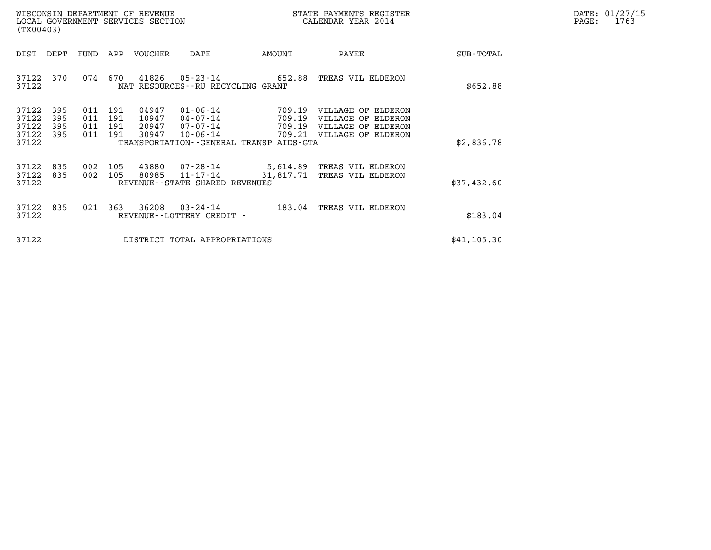| DATE: | 01/27/15 |
|-------|----------|
| PAGE: | 1763     |

| WISCONSIN DEPARTMENT OF REVENUE<br>LOCAL GOVERNMENT SERVICES SECTION<br>(TX00403) |                                           |                          |                          |                          |                                  |                                                                                                                 |                            | STATE PAYMENTS REGISTER<br>CALENDAR YEAR 2014                                               | DATE: 01/27/15<br>PAGE:<br>1763 |  |
|-----------------------------------------------------------------------------------|-------------------------------------------|--------------------------|--------------------------|--------------------------|----------------------------------|-----------------------------------------------------------------------------------------------------------------|----------------------------|---------------------------------------------------------------------------------------------|---------------------------------|--|
|                                                                                   | DIST                                      | DEPT                     | FUND                     | APP                      | VOUCHER                          | DATE                                                                                                            | AMOUNT                     | PAYEE                                                                                       | SUB-TOTAL                       |  |
|                                                                                   | 37122<br>37122                            | 370                      | 074                      | 670                      | 41826                            | $05 - 23 - 14$<br>NAT RESOURCES - - RU RECYCLING GRANT                                                          | 652.88                     | TREAS VIL ELDERON                                                                           | \$652.88                        |  |
|                                                                                   | 37122<br>37122<br>37122<br>37122<br>37122 | 395<br>395<br>395<br>395 | 011<br>011<br>011<br>011 | 191<br>191<br>191<br>191 | 04947<br>10947<br>20947<br>30947 | $01 - 06 - 14$<br>$04 - 07 - 14$<br>$07 - 07 - 14$<br>$10 - 06 - 14$<br>TRANSPORTATION--GENERAL TRANSP AIDS-GTA | 709.19<br>709.19<br>709.19 | VILLAGE OF ELDERON<br>VILLAGE OF ELDERON<br>VILLAGE OF ELDERON<br>709.21 VILLAGE OF ELDERON | \$2,836.78                      |  |
|                                                                                   | 37122<br>37122<br>37122                   | 835<br>835               | 002<br>002               | 105<br>105               | 43880<br>80985                   | $07 - 28 - 14$<br>11-17-14<br>REVENUE--STATE SHARED REVENUES                                                    | 31,817.71                  | 5,614.89 TREAS VIL ELDERON<br>TREAS VIL ELDERON                                             | \$37,432.60                     |  |
|                                                                                   | 37122<br>37122                            | 835                      | 021                      | 363                      | 36208                            | $03 - 24 - 14$<br>REVENUE - - LOTTERY CREDIT -                                                                  | 183.04                     | TREAS VIL ELDERON                                                                           | \$183.04                        |  |
|                                                                                   | 37122                                     |                          |                          |                          |                                  | DISTRICT TOTAL APPROPRIATIONS                                                                                   |                            |                                                                                             | \$41, 105.30                    |  |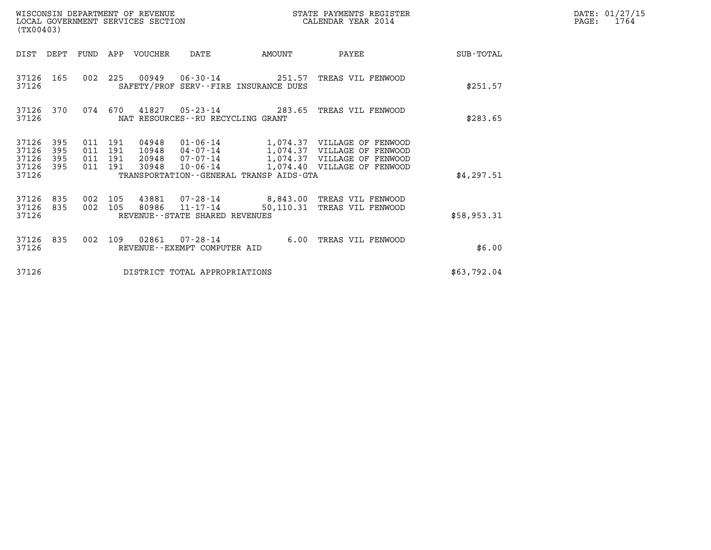| (TX00403)                                 |                          |     |                                          | WISCONSIN DEPARTMENT OF REVENUE<br>LOCAL GOVERNMENT SERVICES SECTION |                                                     |                                         | STATE PAYMENTS REGISTER<br>CALENDAR YEAR 2014                                                                                              | DATE: 01/27/15<br>$\mathtt{PAGE:}$<br>1764 |  |
|-------------------------------------------|--------------------------|-----|------------------------------------------|----------------------------------------------------------------------|-----------------------------------------------------|-----------------------------------------|--------------------------------------------------------------------------------------------------------------------------------------------|--------------------------------------------|--|
| DIST DEPT                                 |                          |     |                                          | FUND APP VOUCHER                                                     | DATE                                                | AMOUNT                                  | PAYEE                                                                                                                                      | SUB-TOTAL                                  |  |
| 37126 165<br>37126                        |                          |     |                                          |                                                                      |                                                     | SAFETY/PROF SERV--FIRE INSURANCE DUES   | 002  225  00949  06-30-14  251.57  TREAS VIL FENWOOD                                                                                       | \$251.57                                   |  |
| 37126 370<br>37126                        |                          |     |                                          |                                                                      | NAT RESOURCES--RU RECYCLING GRANT                   |                                         | 074  670  41827  05-23-14  283.65  TREAS VIL FENWOOD                                                                                       | \$283.65                                   |  |
| 37126<br>37126<br>37126<br>37126<br>37126 | 395<br>395<br>395<br>395 |     | 011 191<br>011 191<br>011 191<br>011 191 | 04948<br>10948<br>20948<br>30948                                     | 07-07-14<br>$10 - 06 - 14$                          | TRANSPORTATION--GENERAL TRANSP AIDS-GTA | 01-06-14 1,074.37 VILLAGE OF FENWOOD<br>04-07-14 1,074.37 VILLAGE OF FENWOOD<br>1,074.37 VILLAGE OF FENWOOD<br>1,074.40 VILLAGE OF FENWOOD | \$4,297.51                                 |  |
| 37126 835<br>37126<br>37126               | 835                      |     | 002 105<br>002 105                       |                                                                      | 80986 11-17-14<br>REVENUE - - STATE SHARED REVENUES |                                         | 43881  07-28-14  8,843.00 TREAS VIL FENWOOD<br>50,110.31 TREAS VIL FENWOOD                                                                 | \$58,953.31                                |  |
| 37126 835<br>37126                        |                          | 002 |                                          |                                                                      | REVENUE--EXEMPT COMPUTER AID                        |                                         | 109  02861  07-28-14   6.00 TREAS VIL FENWOOD                                                                                              | \$6.00                                     |  |
| 37126                                     |                          |     |                                          |                                                                      | DISTRICT TOTAL APPROPRIATIONS                       |                                         |                                                                                                                                            | \$63,792.04                                |  |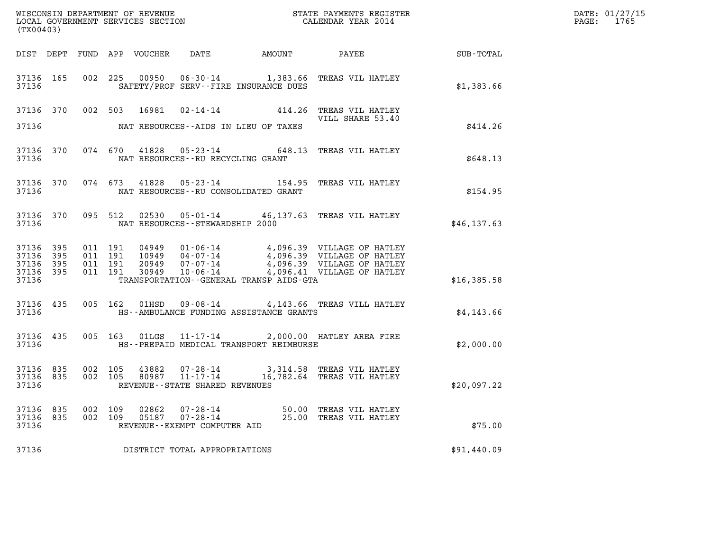| (TX00403)               |            |                |     |                |                                                            |                                            |                                                                                                                           | DATE: 01/27/15<br>PAGE: 1765 |  |
|-------------------------|------------|----------------|-----|----------------|------------------------------------------------------------|--------------------------------------------|---------------------------------------------------------------------------------------------------------------------------|------------------------------|--|
|                         |            |                |     |                |                                                            |                                            |                                                                                                                           |                              |  |
| 37136                   |            |                |     |                |                                                            | SAFETY/PROF SERV--FIRE INSURANCE DUES      | 37136 165 002 225 00950 06-30-14 1,383.66 TREAS VIL HATLEY                                                                | \$1,383.66                   |  |
|                         |            |                |     |                |                                                            | 37136 NAT RESOURCES--AIDS IN LIEU OF TAXES | 37136 370 002 503 16981 02-14-14 414.26 TREAS VIL HATLEY<br>VILL SHARE 53.40<br>VILL SHARE 53.40                          | \$414.26                     |  |
|                         |            |                |     |                | 37136 NAT RESOURCES--RU RECYCLING GRANT                    |                                            | 37136 370 074 670 41828 05-23-14 648.13 TREAS VIL HATLEY                                                                  | \$648.13                     |  |
|                         |            |                |     |                | 37136 NAT RESOURCES--RU CONSOLIDATED GRANT                 |                                            | 37136 370 074 673 41828 05-23-14 154.95 TREAS VIL HATLEY                                                                  | \$154.95                     |  |
|                         |            |                |     |                | 37136 NAT RESOURCES--STEWARDSHIP 2000                      |                                            | 37136 370 095 512 02530 05-01-14 46,137.63 TREAS VIL HATLEY                                                               | \$46, 137.63                 |  |
| 37136                   |            |                |     |                |                                                            | TRANSPORTATION--GENERAL TRANSP AIDS-GTA    |                                                                                                                           | \$16,385.58                  |  |
| 37136                   |            |                |     |                |                                                            | HS--AMBULANCE FUNDING ASSISTANCE GRANTS    | 37136 435 005 162 01HSD 09-08-14 4,143.66 TREAS VILL HATLEY                                                               | \$4,143.66                   |  |
| 37136                   |            |                |     |                |                                                            | HS--PREPAID MEDICAL TRANSPORT REIMBURSE    | 37136 435 005 163 01LGS 11-17-14 2,000.00 HATLEY AREA FIRE                                                                | \$2,000.00                   |  |
| 37136                   |            |                |     |                | REVENUE--STATE SHARED REVENUES                             |                                            | 37136 835 002 105 43882 07-28-14 3,314.58 TREAS VIL HATLEY<br>37136 835 002 105 80987 11-17-14 16,782.64 TREAS VIL HATLEY | \$20,097.22                  |  |
| 37136<br>37136<br>37136 | 835<br>835 | 002<br>002 109 | 109 | 02862<br>05187 | 07-28-14<br>$07 - 28 - 14$<br>REVENUE--EXEMPT COMPUTER AID | 50.00                                      | TREAS VIL HATLEY<br>25.00 TREAS VIL HATLEY                                                                                | \$75.00                      |  |
| 37136                   |            |                |     |                | DISTRICT TOTAL APPROPRIATIONS                              |                                            |                                                                                                                           | \$91,440.09                  |  |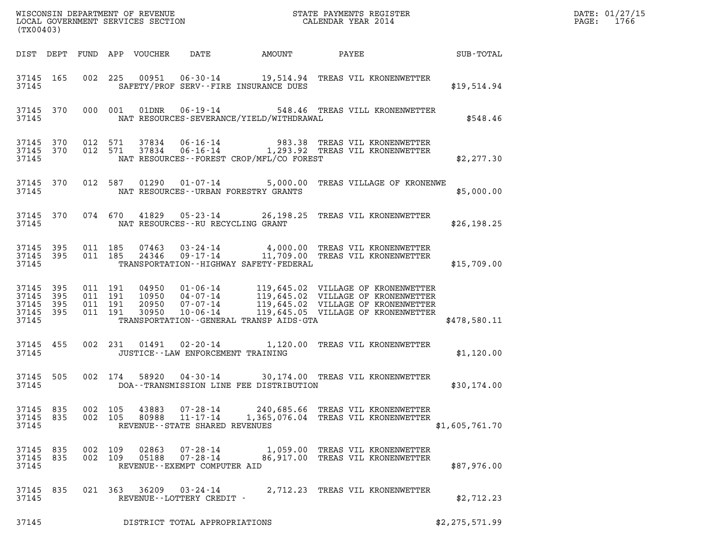| (TX00403)                                             |     |                    |                                          |                                          |                                             |                                                                                                                           |                | DATE: 01/27/15<br>PAGE: 1766 |
|-------------------------------------------------------|-----|--------------------|------------------------------------------|------------------------------------------|---------------------------------------------|---------------------------------------------------------------------------------------------------------------------------|----------------|------------------------------|
|                                                       |     |                    |                                          |                                          |                                             | DIST DEPT FUND APP VOUCHER DATE AMOUNT PAYEE SUB-TOTAL                                                                    |                |                              |
| 37145 165<br>37145                                    |     |                    |                                          |                                          | SAFETY/PROF SERV--FIRE INSURANCE DUES       | 002 225 00951 06-30-14 19,514.94 TREAS VIL KRONENWETTER                                                                   | \$19,514.94    |                              |
| 37145 370<br>37145                                    |     |                    |                                          |                                          | NAT RESOURCES-SEVERANCE/YIELD/WITHDRAWAL    | 000 001 01DNR 06-19-14 548.46 TREAS VILL KRONENWETTER                                                                     | \$548.46       |                              |
| 37145 370<br>37145 370<br>37145                       |     |                    |                                          |                                          | NAT RESOURCES -- FOREST CROP/MFL/CO FOREST  | 012 571 37834 06-16-14 983.38 TREAS VIL KRONENWETTER<br>012 571 37834 06-16-14 1,293.92 TREAS VIL KRONENWETTER            | \$2,277.30     |                              |
| 37145 370<br>37145                                    |     |                    |                                          |                                          | NAT RESOURCES--URBAN FORESTRY GRANTS        | 012 587 01290 01-07-14 5,000.00 TREAS VILLAGE OF KRONENWE                                                                 | \$5,000.00     |                              |
| 37145 370                                             |     |                    | 37145 NAT RESOURCES--RU RECYCLING GRANT  |                                          |                                             | 074 670 41829 05-23-14 26,198.25 TREAS VIL KRONENWETTER                                                                   | \$26,198.25    |                              |
| 37145 395<br>37145 395<br>37145                       |     |                    | 011 185                                  |                                          | TRANSPORTATION - - HIGHWAY SAFETY - FEDERAL | 011 185  07463  03-24-14   4,000.00 TREAS VIL KRONENWETTER<br>011 185  24346  09-17-14   11,709.00 TREAS VIL KRONENWETTER | \$15,709.00    |                              |
| 37145 395<br>37145<br>37145 395<br>37145 395<br>37145 | 395 |                    |                                          |                                          |                                             | TRANSPORTATION - GENERAL TRANSP AIDS - GTA                                                                                | \$478,580.11   |                              |
| 37145 455                                             |     |                    | 37145 JUSTICE - LAW ENFORCEMENT TRAINING |                                          |                                             | 002 231 01491 02-20-14 1,120.00 TREAS VIL KRONENWETTER                                                                    | \$1,120.00     |                              |
| 37145 505<br>37145                                    |     |                    |                                          |                                          | DOA--TRANSMISSION LINE FEE DISTRIBUTION     | 002 174 58920 04-30-14 30,174.00 TREAS VIL KRONENWETTER                                                                   | \$30,174.00    |                              |
| 37145 835<br>37145 835<br>37145                       |     | 002 105            | 43883<br>002 105<br>80988                | REVENUE - - STATE SHARED REVENUES        |                                             | 07-28-14 240,685.66 TREAS VIL KRONENWETTER<br>11-17-14 1,365,076.04 TREAS VIL KRONENWETTER                                | \$1,605,761.70 |                              |
| 37145 835<br>37145 835<br>37145                       |     | 002 109<br>002 109 | 02863                                    | 07-28-14<br>REVENUE--EXEMPT COMPUTER AID |                                             | 1,059.00 TREAS VIL KRONENWETTER<br>05188  07-28-14  86,917.00  TREAS VIL KRONENWETTER                                     | \$87,976.00    |                              |
| 37145 835<br>37145                                    |     |                    | 021 363 36209 03-24-14                   | REVENUE--LOTTERY CREDIT -                |                                             | 2,712.23 TREAS VIL KRONENWETTER                                                                                           | \$2,712.23     |                              |
| 37145                                                 |     |                    |                                          | DISTRICT TOTAL APPROPRIATIONS            |                                             |                                                                                                                           | \$2,275,571.99 |                              |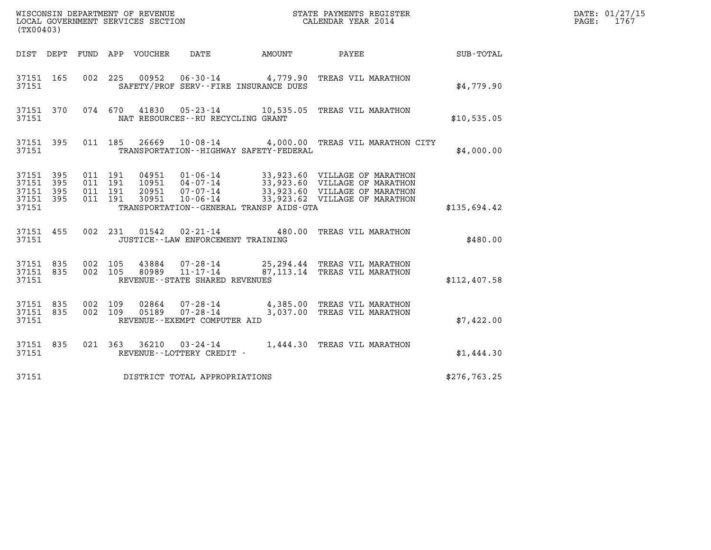| (TX00403)                                         |            |                                      |         |                            | WISCONSIN DEPARTMENT OF REVENUE<br>LOCAL GOVERNMENT SERVICES SECTION |                                             | STATE PAYMENTS REGISTER<br>CALENDAR YEAR 2014                                                                                                                        |              | DATE: 01/27/15<br>1767<br>PAGE: |
|---------------------------------------------------|------------|--------------------------------------|---------|----------------------------|----------------------------------------------------------------------|---------------------------------------------|----------------------------------------------------------------------------------------------------------------------------------------------------------------------|--------------|---------------------------------|
|                                                   |            |                                      |         | DIST DEPT FUND APP VOUCHER | DATE                                                                 | AMOUNT                                      | PAYEE                                                                                                                                                                | SUB-TOTAL    |                                 |
| 37151 165<br>37151                                |            |                                      |         |                            | SAFETY/PROF SERV--FIRE INSURANCE DUES                                |                                             | 002 225 00952 06-30-14 4,779.90 TREAS VIL MARATHON                                                                                                                   | \$4.779.90   |                                 |
| 37151 370<br>37151                                |            |                                      |         |                            | NAT RESOURCES--RU RECYCLING GRANT                                    |                                             | 074 670 41830 05-23-14 10,535.05 TREAS VIL MARATHON                                                                                                                  | \$10,535.05  |                                 |
| 37151 395<br>37151                                |            |                                      | 011 185 |                            |                                                                      | TRANSPORTATION - - HIGHWAY SAFETY - FEDERAL | 26669  10-08-14  4,000.00  TREAS VIL MARATHON CITY                                                                                                                   | \$4,000.00   |                                 |
| 37151 395<br>37151<br>37151<br>37151 395<br>37151 | 395<br>395 | 011 191<br>011 191<br>011<br>011 191 | 191     | 30951                      | 20951 07-07-14<br>$10 - 06 - 14$                                     | TRANSPORTATION--GENERAL TRANSP AIDS-GTA     | 04951  01-06-14  33,923.60  VILLAGE OF MARATHON<br>10951  04-07-14  33,923.60  VILLAGE OF MARATHON<br>33,923.60 VILLAGE OF MARATHON<br>33,923.62 VILLAGE OF MARATHON | \$135,694.42 |                                 |
| 37151 455<br>37151                                |            |                                      |         | 002 231 01542              | $02 - 21 - 14$<br>JUSTICE - - LAW ENFORCEMENT TRAINING               |                                             | 480.00 TREAS VIL MARATHON                                                                                                                                            | \$480.00     |                                 |
| 37151 835<br>37151 835<br>37151                   |            | 002 105<br>002 105                   |         | 43884<br>80989             | 07-28-14<br>$11 - 17 - 14$<br>REVENUE - - STATE SHARED REVENUES      |                                             | 25, 294.44 TREAS VIL MARATHON<br>87, 113.14 TREAS VIL MARATHON                                                                                                       | \$112,407.58 |                                 |
| 37151 835<br>37151 835<br>37151                   |            | 002 109<br>002 109                   |         | 02864<br>05189             | 07-28-14<br>REVENUE--EXEMPT COMPUTER AID                             |                                             | 07-28-14 4,385.00 TREAS VIL MARATHON<br>3,037.00 TREAS VIL MARATHON                                                                                                  | \$7,422.00   |                                 |
| 37151 835<br>37151                                |            |                                      |         |                            | REVENUE--LOTTERY CREDIT -                                            |                                             | 021 363 36210 03-24-14 1,444.30 TREAS VIL MARATHON                                                                                                                   | \$1,444.30   |                                 |
| 37151                                             |            |                                      |         |                            | DISTRICT TOTAL APPROPRIATIONS                                        |                                             |                                                                                                                                                                      | \$276,763.25 |                                 |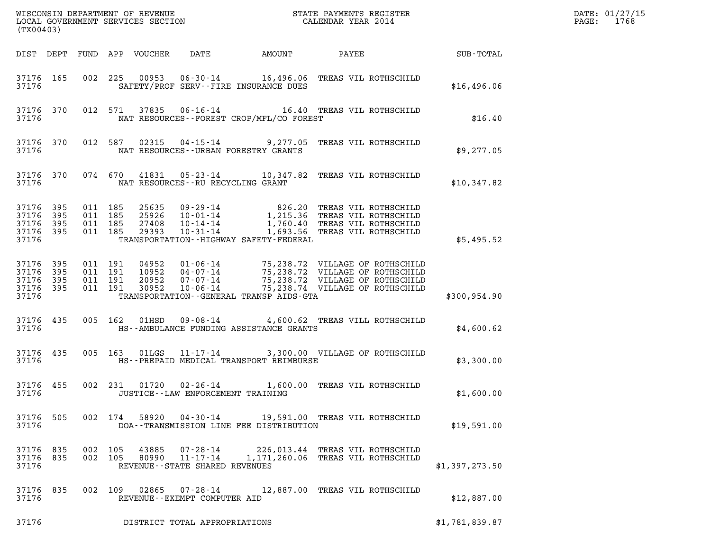| (TX00403)                                         |                   |                                          |                               |                                  |                                | WISCONSIN DEPARTMENT OF REVENUE<br>LOCAL GOVERNMENT SERVICES SECTION | STATE PAYMENTS REGISTER<br>CALENDAR YEAR 2014                                                                                                                                |                | DATE: 01/27/15<br>$\mathtt{PAGE:}$<br>1768 |
|---------------------------------------------------|-------------------|------------------------------------------|-------------------------------|----------------------------------|--------------------------------|----------------------------------------------------------------------|------------------------------------------------------------------------------------------------------------------------------------------------------------------------------|----------------|--------------------------------------------|
|                                                   |                   |                                          |                               | DIST DEPT FUND APP VOUCHER       | DATE                           |                                                                      | AMOUNT PAYEE SUB-TOTAL                                                                                                                                                       |                |                                            |
| 37176 165<br>37176                                |                   |                                          |                               |                                  |                                | SAFETY/PROF SERV--FIRE INSURANCE DUES                                | 002 225 00953 06-30-14 16,496.06 TREAS VIL ROTHSCHILD                                                                                                                        | \$16,496.06    |                                            |
| 37176                                             | 37176 370         |                                          | 012 571                       |                                  |                                | NAT RESOURCES--FOREST CROP/MFL/CO FOREST                             | 37835  06-16-14   16.40   TREAS VIL ROTHSCHILD                                                                                                                               | \$16.40        |                                            |
| 37176                                             | 37176 370         |                                          | 012 587                       |                                  |                                | NAT RESOURCES--URBAN FORESTRY GRANTS                                 | 02315  04-15-14  9,277.05  TREAS VIL ROTHSCHILD                                                                                                                              | \$9,277.05     |                                            |
| 37176                                             | 37176 370         |                                          |                               |                                  |                                | NAT RESOURCES--RU RECYCLING GRANT                                    | 074 670 41831 05-23-14 10,347.82 TREAS VIL ROTHSCHILD                                                                                                                        | \$10,347.82    |                                            |
| 37176 395<br>37176<br>37176<br>37176<br>37176     | 395<br>395<br>395 | 011 185<br>011 185<br>011 185<br>011 185 |                               | 25635<br>25926<br>27408<br>29393 | $10 - 31 - 14$                 | TRANSPORTATION - - HIGHWAY SAFETY - FEDERAL                          | 09-29-14 826.20 TREAS VIL ROTHSCHILD<br>10-01-14 1,215.36 TREAS VIL ROTHSCHILD<br>10-14-14 1,760.40 TREAS VIL ROTHSCHILD<br>1,693.56 TREAS VIL ROTHSCHILD                    | \$5,495.52     |                                            |
| 37176 395<br>37176<br>37176<br>37176 395<br>37176 | 395<br>- 395      | 011 191                                  | 011 191<br>011 191<br>011 191 | 04952<br>10952<br>20952<br>30952 |                                | TRANSPORTATION--GENERAL TRANSP AIDS-GTA                              | 01-06-14 75,238.72 VILLAGE OF ROTHSCHILD<br>04-07-14 75,238.72 VILLAGE OF ROTHSCHILD<br>07-07-14 75,238.72 VILLAGE OF ROTHSCHILD<br>10-06-14 75,238.74 VILLAGE OF ROTHSCHILD | \$300, 954.90  |                                            |
| 37176 435<br>37176                                |                   |                                          | 005 162                       | 01HSD                            |                                | HS--AMBULANCE FUNDING ASSISTANCE GRANTS                              | 09-08-14 4,600.62 TREAS VILL ROTHSCHILD                                                                                                                                      | \$4,600.62     |                                            |
| 37176                                             | 37176 435         |                                          | 005 163                       | 01LGS                            |                                | HS--PREPAID MEDICAL TRANSPORT REIMBURSE                              | 11-17-14 3,300.00 VILLAGE OF ROTHSCHILD                                                                                                                                      | \$3,300.00     |                                            |
| 37176 455<br>37176                                |                   |                                          | 002 231                       |                                  | 01720 02-26-14                 | JUSTICE - - LAW ENFORCEMENT TRAINING                                 | 1,600.00 TREAS VIL ROTHSCHILD                                                                                                                                                | \$1,600.00     |                                            |
| 37176 505<br>37176                                |                   |                                          |                               |                                  |                                | DOA--TRANSMISSION LINE FEE DISTRIBUTION                              | 002 174 58920 04-30-14 19,591.00 TREAS VIL ROTHSCHILD                                                                                                                        | \$19,591.00    |                                            |
| 37176 835<br>37176                                |                   | 37176 835 002 105                        | 002 105                       |                                  | REVENUE--STATE SHARED REVENUES |                                                                      | 43885 07-28-14 226,013.44 TREAS VIL ROTHSCHILD<br>80990 11-17-14 1,171,260.06 TREAS VIL ROTHSCHILD                                                                           | \$1,397,273.50 |                                            |
| 37176 835<br>37176                                |                   |                                          |                               |                                  | REVENUE--EXEMPT COMPUTER AID   |                                                                      | 002 109 02865 07-28-14 12,887.00 TREAS VIL ROTHSCHILD                                                                                                                        | \$12,887.00    |                                            |
| 37176                                             |                   |                                          |                               |                                  | DISTRICT TOTAL APPROPRIATIONS  |                                                                      |                                                                                                                                                                              | \$1,781,839.87 |                                            |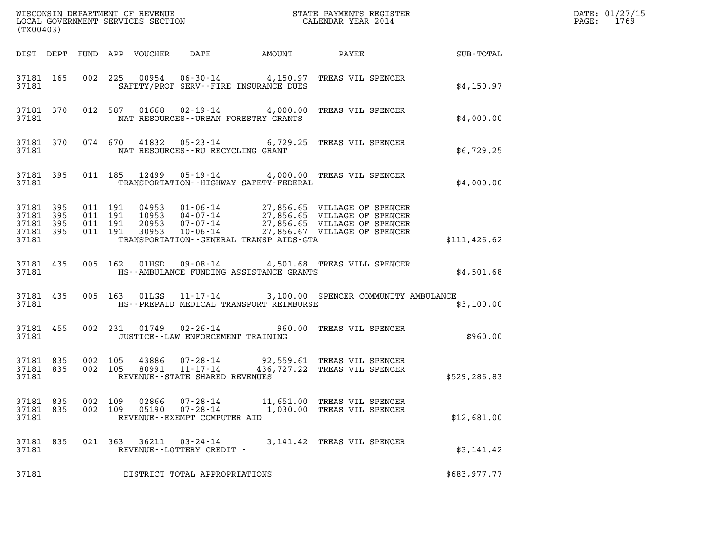| (TX00403)                                             |     |                |         |                                 |                                                                     |                                             |                                                                                                           |               | DATE: 01/27/15<br>$\mathtt{PAGE:}$<br>1769 |
|-------------------------------------------------------|-----|----------------|---------|---------------------------------|---------------------------------------------------------------------|---------------------------------------------|-----------------------------------------------------------------------------------------------------------|---------------|--------------------------------------------|
|                                                       |     |                |         | DIST DEPT FUND APP VOUCHER DATE |                                                                     |                                             |                                                                                                           |               |                                            |
| 37181                                                 |     |                |         |                                 |                                                                     | SAFETY/PROF SERV--FIRE INSURANCE DUES       | 37181 165 002 225 00954 06-30-14 4,150.97 TREAS VIL SPENCER                                               | \$4,150.97    |                                            |
| 37181                                                 |     |                |         |                                 |                                                                     | NAT RESOURCES--URBAN FORESTRY GRANTS        | 37181 370 012 587 01668 02-19-14 4,000.00 TREAS VIL SPENCER                                               | \$4,000.00    |                                            |
| 37181                                                 |     |                |         |                                 |                                                                     | NAT RESOURCES--RU RECYCLING GRANT           | 37181 370 074 670 41832 05-23-14 6,729.25 TREAS VIL SPENCER                                               | \$6,729.25    |                                            |
| 37181                                                 |     |                |         |                                 |                                                                     | TRANSPORTATION - - HIGHWAY SAFETY - FEDERAL | 37181 395 011 185 12499 05-19-14 4,000.00 TREAS VIL SPENCER                                               | \$4,000.00    |                                            |
| 37181 395<br>37181<br>37181 395<br>37181 395<br>37181 | 395 |                |         |                                 |                                                                     | TRANSPORTATION--GENERAL TRANSP AIDS-GTA     |                                                                                                           | \$111, 426.62 |                                            |
| 37181                                                 |     |                |         |                                 |                                                                     | HS--AMBULANCE FUNDING ASSISTANCE GRANTS     | 37181 435 005 162 01HSD 09-08-14 4,501.68 TREAS VILL SPENCER                                              | \$4,501.68    |                                            |
| 37181 435<br>37181                                    |     |                |         |                                 |                                                                     | HS--PREPAID MEDICAL TRANSPORT REIMBURSE     | 005 163 01LGS 11-17-14 3,100.00 SPENCER COMMUNITY AMBULANCE                                               | \$3,100.00    |                                            |
| 37181 455<br>37181                                    |     |                |         |                                 |                                                                     | JUSTICE--LAW ENFORCEMENT TRAINING           | 002 231 01749 02-26-14 960.00 TREAS VIL SPENCER                                                           | \$960.00      |                                            |
| 37181 835<br>37181 835<br>37181                       |     |                |         |                                 | REVENUE - - STATE SHARED REVENUES                                   |                                             | 002 105 43886 07-28-14 92,559.61 TREAS VIL SPENCER<br>002 105 80991 11-17-14 436,727.22 TREAS VIL SPENCER | \$529,286.83  |                                            |
| 37181 835<br>37181 835<br>37181                       |     | 002<br>002 109 | 109     | 02866<br>05190                  | $07 - 28 - 14$<br>$07 - 28 - 14$<br>REVENUE - - EXEMPT COMPUTER AID |                                             | 11,651.00 TREAS VIL SPENCER<br>1,030.00 TREAS VIL SPENCER                                                 | \$12,681.00   |                                            |
| 37181 835<br>37181                                    |     |                | 021 363 | 36211                           | 03-24-14<br>REVENUE--LOTTERY CREDIT -                               |                                             | 3,141.42 TREAS VIL SPENCER                                                                                | \$3,141.42    |                                            |
| 37181                                                 |     |                |         |                                 | DISTRICT TOTAL APPROPRIATIONS                                       |                                             |                                                                                                           | \$683,977.77  |                                            |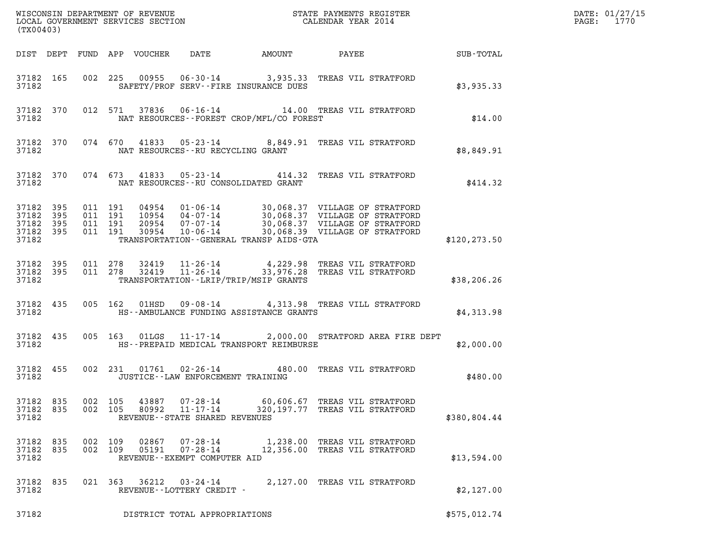| (TX00403)                                             |                        |                    |                |                                                            |                                          |                                                                                                                     |               | DATE: 01/27/15<br>$\mathtt{PAGE:}$<br>1770 |
|-------------------------------------------------------|------------------------|--------------------|----------------|------------------------------------------------------------|------------------------------------------|---------------------------------------------------------------------------------------------------------------------|---------------|--------------------------------------------|
|                                                       |                        |                    |                |                                                            |                                          |                                                                                                                     |               |                                            |
| 37182                                                 |                        |                    |                |                                                            | SAFETY/PROF SERV--FIRE INSURANCE DUES    | 37182 165 002 225 00955 06-30-14 3,935.33 TREAS VIL STRATFORD                                                       | \$3,935.33    |                                            |
| 37182                                                 |                        |                    |                |                                                            | NAT RESOURCES--FOREST CROP/MFL/CO FOREST | 37182 370 012 571 37836 06-16-14 14.00 TREAS VIL STRATFORD                                                          | \$14.00       |                                            |
| 37182                                                 |                        |                    |                | NAT RESOURCES--RU RECYCLING GRANT                          |                                          | 37182 370 074 670 41833 05-23-14 8,849.91 TREAS VIL STRATFORD                                                       | \$8,849.91    |                                            |
| 37182                                                 |                        |                    |                |                                                            | NAT RESOURCES--RU CONSOLIDATED GRANT     | 37182 370 074 673 41833 05-23-14 414.32 TREAS VIL STRATFORD                                                         | \$414.32      |                                            |
| 37182 395<br>37182<br>37182 395<br>37182 395<br>37182 | 395                    |                    |                |                                                            | TRANSPORTATION--GENERAL TRANSP AIDS-GTA  |                                                                                                                     | \$120, 273.50 |                                            |
| 37182                                                 | 37182 395<br>37182 395 |                    |                |                                                            | TRANSPORTATION - - LRIP/TRIP/MSIP GRANTS | 011  278  32419  11-26-14  4,229.98 TREAS VIL STRATFORD<br>011  278  32419  11-26-14  33,976.28 TREAS VIL STRATFORD | \$38, 206.26  |                                            |
| 37182                                                 |                        |                    |                |                                                            | HS--AMBULANCE FUNDING ASSISTANCE GRANTS  | 37182 435 005 162 01HSD 09-08-14 4,313.98 TREAS VILL STRATFORD                                                      | \$4,313.98    |                                            |
| 37182                                                 | 37182 435              |                    |                |                                                            | HS--PREPAID MEDICAL TRANSPORT REIMBURSE  | 005 163 01LGS 11-17-14 2,000.00 STRATFORD AREA FIRE DEPT                                                            | \$2,000.00    |                                            |
| 37182 455<br>37182                                    |                        |                    |                | JUSTICE -- LAW ENFORCEMENT TRAINING                        |                                          | 002 231 01761 02-26-14 480.00 TREAS VIL STRATFORD                                                                   | \$480.00      |                                            |
| 37182 835<br>37182 835<br>37182                       |                        | 002 105<br>002 105 | 43887<br>80992 | 07-28-14<br>11-17-14<br>REVENUE - - STATE SHARED REVENUES  |                                          | 60,606.67 TREAS VIL STRATFORD<br>320,197.77 TREAS VIL STRATFORD                                                     | \$380,804.44  |                                            |
| 37182 835<br>37182 835<br>37182                       |                        | 002 109<br>002 109 | 02867<br>05191 | 07-28-14<br>$07 - 28 - 14$<br>REVENUE--EXEMPT COMPUTER AID |                                          | 1,238.00 TREAS VIL STRATFORD<br>12,356.00 TREAS VIL STRATFORD                                                       | \$13,594.00   |                                            |
| 37182 835<br>37182                                    |                        | 021 363            | 36212          | 03-24-14<br>REVENUE--LOTTERY CREDIT -                      |                                          | 2,127.00 TREAS VIL STRATFORD                                                                                        | \$2,127.00    |                                            |
| 37182                                                 |                        |                    |                | DISTRICT TOTAL APPROPRIATIONS                              |                                          |                                                                                                                     | \$575,012.74  |                                            |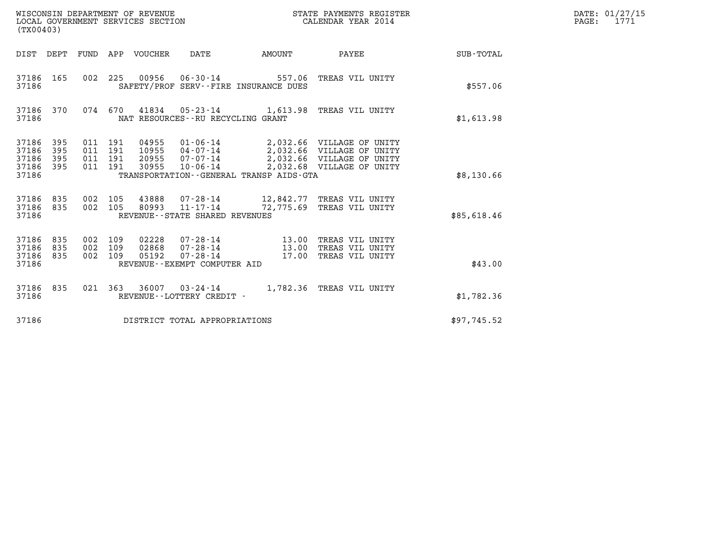| (TX00403)                                 |                          |                                          |         | WISCONSIN DEPARTMENT OF REVENUE<br>LOCAL GOVERNMENT SERVICES SECTION |                                                                  |                                         | STATE PAYMENTS REGISTER<br>CALENDAR YEAR 2014                                                                             |             | DATE: 01/27/15<br>$\mathtt{PAGE}$ :<br>1771 |
|-------------------------------------------|--------------------------|------------------------------------------|---------|----------------------------------------------------------------------|------------------------------------------------------------------|-----------------------------------------|---------------------------------------------------------------------------------------------------------------------------|-------------|---------------------------------------------|
|                                           |                          |                                          |         | DIST DEPT FUND APP VOUCHER                                           | DATE                                                             | AMOUNT                                  | PAYEE                                                                                                                     | SUB-TOTAL   |                                             |
| 37186 165<br>37186                        |                          | 002 225                                  |         | 00956                                                                | $06 - 30 - 14$                                                   | SAFETY/PROF SERV--FIRE INSURANCE DUES   | 557.06 TREAS VIL UNITY                                                                                                    | \$557.06    |                                             |
| 37186 370<br>37186                        |                          |                                          | 074 670 | 41834                                                                | NAT RESOURCES - - RU RECYCLING GRANT                             |                                         | 05-23-14 1,613.98 TREAS VIL UNITY                                                                                         | \$1,613.98  |                                             |
| 37186<br>37186<br>37186<br>37186<br>37186 | 395<br>395<br>395<br>395 | 011 191<br>011 191<br>011 191<br>011 191 |         | 04955<br>10955<br>20955<br>30955                                     | 01-06-14<br>07-07-14<br>10-06-14                                 | TRANSPORTATION--GENERAL TRANSP AIDS-GTA | 2,032.66 VILLAGE OF UNITY<br>04-07-14 2,032.66 VILLAGE OF UNITY<br>2,032.66 VILLAGE OF UNITY<br>2,032.68 VILLAGE OF UNITY | \$8,130.66  |                                             |
| 37186<br>37186<br>37186                   | 835<br>835               | 002 105<br>002 105                       |         | 43888<br>80993                                                       | $11 - 17 - 14$<br>REVENUE--STATE SHARED REVENUES                 |                                         | 07-28-14 12,842.77 TREAS VIL UNITY<br>72,775.69 TREAS VIL UNITY                                                           | \$85,618.46 |                                             |
| 37186<br>37186<br>37186<br>37186          | 835<br>835<br>835        | 002 109<br>002 109<br>002 109            |         | 02228<br>02868<br>05192                                              | 07-28-14<br>07-28-14<br>07-28-14<br>REVENUE--EXEMPT COMPUTER AID | 13.00<br>13.00                          | TREAS VIL UNITY<br>TREAS VIL UNITY<br>17.00 TREAS VIL UNITY                                                               | \$43.00     |                                             |
| 37186 835<br>37186                        |                          | 021 363                                  |         |                                                                      | REVENUE--LOTTERY CREDIT -                                        |                                         | 36007 03-24-14 1,782.36 TREAS VIL UNITY                                                                                   | \$1,782.36  |                                             |
| 37186                                     |                          |                                          |         |                                                                      | DISTRICT TOTAL APPROPRIATIONS                                    |                                         |                                                                                                                           | \$97,745.52 |                                             |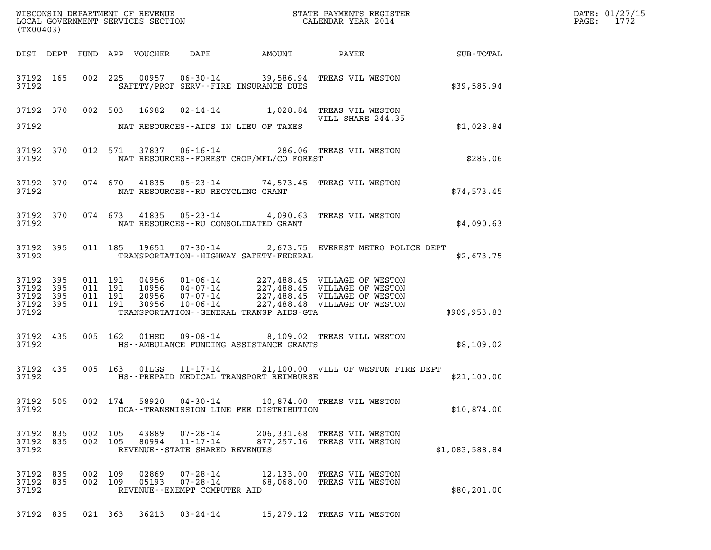| (TX00403)                                                                                                              |                                                                                              |            |                                                          | R B DATE: 01/27/15 PAGE: 1772 |  |
|------------------------------------------------------------------------------------------------------------------------|----------------------------------------------------------------------------------------------|------------|----------------------------------------------------------|-------------------------------|--|
| DIST DEPT FUND APP VOUCHER DATE AMOUNT PAYEE TOTAL SUB-TOTAL                                                           |                                                                                              |            |                                                          |                               |  |
| 37192 165 002 225 00957 06-30-14 39,586.94 TREAS VIL WESTON<br>37192                                                   | SAFETY/PROF SERV--FIRE INSURANCE DUES                                                        |            |                                                          | \$39,586.94                   |  |
| 37192 370 002 503 16982 02-14-14 1,028.84 TREAS VIL WESTON                                                             |                                                                                              |            | VILL SHARE 244.35                                        |                               |  |
| 37192 NAT RESOURCES--AIDS IN LIEU OF TAXES                                                                             |                                                                                              |            |                                                          | \$1,028.84                    |  |
| 37192 370 012 571 37837 06-16-14 286.06 TREAS VIL WESTON<br>37192 NAT RESOURCES--FOREST CROP/MFL/CO FOREST             |                                                                                              |            |                                                          | \$286.06                      |  |
| 37192 370 074 670 41835 05-23-14 74,573.45 TREAS VIL WESTON<br>37192 NAT RESOURCES--RU RECYCLING GRANT                 |                                                                                              |            |                                                          | \$74,573.45                   |  |
| 37192 370 074 673 41835 05-23-14 4,090.63 TREAS VIL WESTON<br>37192 NAT RESOURCES--RU CONSOLIDATED GRANT               |                                                                                              |            |                                                          | \$4,090.63                    |  |
| 37192 395 011 185 19651 07-30-14 2,673.75 EVEREST METRO POLICE DEPT<br>37192 TRANSPORTATION - HIGHWAY SAFETY - FEDERAL |                                                                                              |            |                                                          | \$2,673.75                    |  |
| 37192 395<br>37192 395<br>37192 395<br>37192 395<br>37192                                                              | TRANSPORTATION--GENERAL TRANSP AIDS-GTA                                                      |            |                                                          | \$909,953.83                  |  |
| 37192 435<br>37192                                                                                                     | 005 162 01HSD 09-08-14 8,109.02 TREAS VILL WESTON<br>HS--AMBULANCE FUNDING ASSISTANCE GRANTS |            |                                                          | \$8,109.02                    |  |
| 37192 435                                                                                                              | 005 163 01LGS 11-17-14 21,100.00 VILL OF WESTON FIRE DEPT                                    |            |                                                          | \$21,100.00                   |  |
| 37192 505<br>002 174<br>37192                                                                                          | DOA--TRANSMISSION LINE FEE DISTRIBUTION                                                      |            | 10,874.00 TREAS VIL WESTON                               | \$10,874.00                   |  |
| 37192 835<br>002 105<br>37192 835<br>002 105<br>37192                                                                  | 43889<br>07-28-14<br>80994<br>11-17-14<br>REVENUE - - STATE SHARED REVENUES                  | 877,257.16 | 206,331.68 TREAS VIL WESTON<br>TREAS VIL WESTON          | \$1,083,588.84                |  |
| 37192 835<br>002 109<br>37192 835<br>002 109<br>37192                                                                  | 02869<br>07-28-14<br>05193<br>07-28-14<br>REVENUE - - EXEMPT COMPUTER AID                    |            | 12,133.00 TREAS VIL WESTON<br>68,068.00 TREAS VIL WESTON | \$80, 201.00                  |  |
| 37192 835<br>021 363                                                                                                   | $36213$ $03 - 24 - 14$                                                                       |            | 15,279.12 TREAS VIL WESTON                               |                               |  |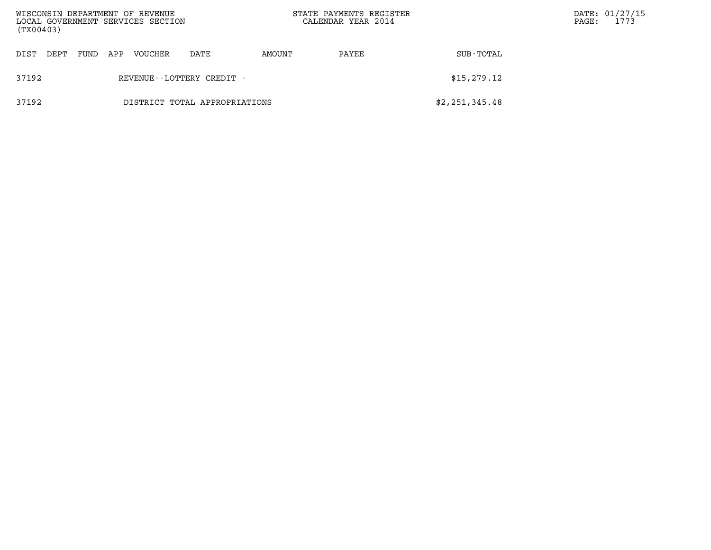| WISCONSIN DEPARTMENT OF REVENUE<br>LOCAL GOVERNMENT SERVICES SECTION<br>(TX00403) |                           |      |     |         |                               |        | STATE PAYMENTS REGISTER<br>CALENDAR YEAR 2014 |                | $\mathtt{PAGE}$ : | DATE: 01/27/15<br>1773 |
|-----------------------------------------------------------------------------------|---------------------------|------|-----|---------|-------------------------------|--------|-----------------------------------------------|----------------|-------------------|------------------------|
| DIST<br>DEPT                                                                      |                           | FUND | APP | VOUCHER | DATE                          | AMOUNT | PAYEE                                         | SUB-TOTAL      |                   |                        |
| 37192                                                                             | REVENUE--LOTTERY CREDIT - |      |     |         |                               |        |                                               | \$15,279.12    |                   |                        |
| 37192                                                                             |                           |      |     |         | DISTRICT TOTAL APPROPRIATIONS |        |                                               | \$2,251,345.48 |                   |                        |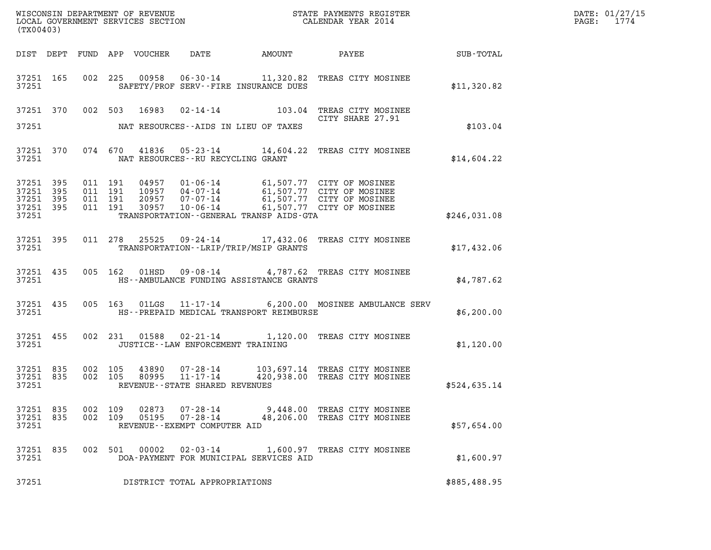| (TX00403)                                    |           |                               |         |                |                                                      |  |                                                                                                                                                                                          | DATE: 01/27/15<br>PAGE: 1774 |  |
|----------------------------------------------|-----------|-------------------------------|---------|----------------|------------------------------------------------------|--|------------------------------------------------------------------------------------------------------------------------------------------------------------------------------------------|------------------------------|--|
|                                              |           |                               |         |                |                                                      |  |                                                                                                                                                                                          |                              |  |
| 37251                                        |           |                               |         |                | SAFETY/PROF SERV--FIRE INSURANCE DUES                |  | 37251 165 002 225 00958 06-30-14 11,320.82 TREAS CITY MOSINEE                                                                                                                            | \$11,320.82                  |  |
| 37251                                        |           |                               |         |                | NAT RESOURCES--AIDS IN LIEU OF TAXES                 |  | 37251 370 002 503 16983 02-14-14 103.04 TREAS CITY MOSINEE<br>CITY SHARE 27.91                                                                                                           | \$103.04                     |  |
| 37251                                        |           |                               |         |                | NAT RESOURCES--RU RECYCLING GRANT                    |  | 37251 370 074 670 41836 05-23-14 14,604.22 TREAS CITY MOSINEE                                                                                                                            | \$14,604.22                  |  |
| 37251 395<br>37251 395<br>37251 395<br>37251 | 37251 395 | 011 191<br>011 191<br>011 191 | 011 191 |                | TRANSPORTATION--GENERAL TRANSP AIDS-GTA              |  | 04957  01-06-14  61,507.77  CITY OF MOSINEE<br>10957  04-07-14  61,507.77  CITY OF MOSINEE<br>20957  07-07-14  61,507.77  CITY OF MOSINEE<br>30957  10-06-14  61,507.77  CITY OF MOSINEE | \$246,031.08                 |  |
| 37251                                        |           |                               |         |                | TRANSPORTATION - - LRIP/TRIP/MSIP GRANTS             |  | 37251 395 011 278 25525 09-24-14 17,432.06 TREAS CITY MOSINEE                                                                                                                            | \$17,432.06                  |  |
| 37251                                        |           |                               |         |                | HS--AMBULANCE FUNDING ASSISTANCE GRANTS              |  | 37251 435 005 162 01HSD 09-08-14 4,787.62 TREAS CITY MOSINEE                                                                                                                             | \$4,787.62                   |  |
| 37251                                        |           |                               |         |                | HS--PREPAID MEDICAL TRANSPORT REIMBURSE              |  | 37251 435 005 163 01LGS 11-17-14 6,200.00 MOSINEE AMBULANCE SERV                                                                                                                         | \$6,200.00                   |  |
| 37251                                        |           |                               |         |                | JUSTICE -- LAW ENFORCEMENT TRAINING                  |  | 37251 455 002 231 01588 02-21-14 1,120.00 TREAS CITY MOSINEE                                                                                                                             | \$1,120.00                   |  |
| 37251                                        | 37251 835 | 37251 835 002 105             |         |                | REVENUE--STATE SHARED REVENUES                       |  | 002 105 43890 07-28-14 103,697.14 TREAS CITY MOSINEE<br>002 105 80995 11-17-14 420,938.00 TREAS CITY MOSINEE                                                                             | \$524,635.14                 |  |
| 37251 835<br>37251 835<br>37251              |           | 002 109<br>002 109            |         | 02873<br>05195 | 07-28-14<br>07-28-14<br>REVENUE--EXEMPT COMPUTER AID |  | 9,448.00 TREAS CITY MOSINEE<br>48,206.00 TREAS CITY MOSINEE                                                                                                                              | \$57,654.00                  |  |
| 37251 835<br>37251                           |           |                               |         | 002 501 00002  | DOA-PAYMENT FOR MUNICIPAL SERVICES AID               |  | 02-03-14 1,600.97 TREAS CITY MOSINEE                                                                                                                                                     | \$1,600.97                   |  |
| 37251                                        |           |                               |         |                | DISTRICT TOTAL APPROPRIATIONS                        |  |                                                                                                                                                                                          | \$885,488.95                 |  |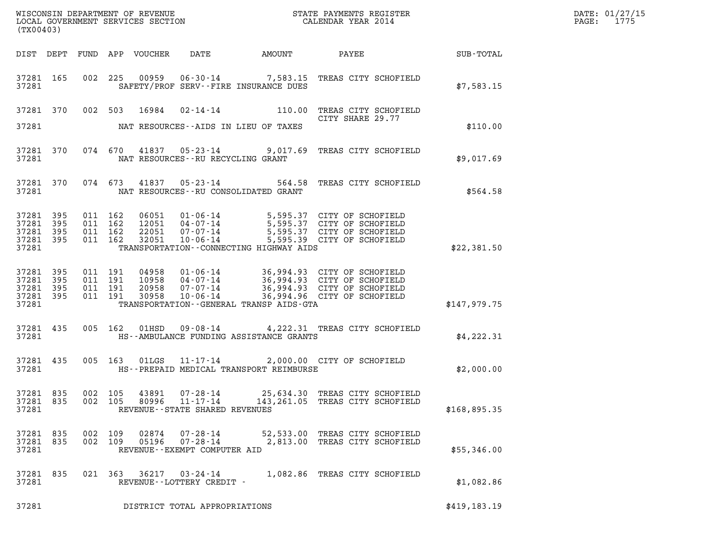| (TX00403)                                     |                          |  |                                          |                |                                                                 |                                              |                                                                                                                                                                                |               | DATE: 01/27/15<br>PAGE: 1775 |
|-----------------------------------------------|--------------------------|--|------------------------------------------|----------------|-----------------------------------------------------------------|----------------------------------------------|--------------------------------------------------------------------------------------------------------------------------------------------------------------------------------|---------------|------------------------------|
|                                               |                          |  |                                          |                |                                                                 |                                              |                                                                                                                                                                                |               |                              |
| 37281 165<br>37281                            |                          |  |                                          |                |                                                                 | SAFETY/PROF SERV--FIRE INSURANCE DUES        | 002 225 00959 06-30-14 7,583.15 TREAS CITY SCHOFIELD                                                                                                                           | \$7,583.15    |                              |
| 37281                                         |                          |  | 37281 370 002 503 16984                  |                |                                                                 | NAT RESOURCES--AIDS IN LIEU OF TAXES         | 02-14-14 110.00 TREAS CITY SCHOFIELD<br>CITY SHARE 29.77                                                                                                                       | \$110.00      |                              |
| 37281                                         | 37281 370                |  |                                          |                | NAT RESOURCES--RU RECYCLING GRANT                               |                                              | 074 670 41837 05-23-14 9,017.69 TREAS CITY SCHOFIELD                                                                                                                           | \$9,017.69    |                              |
| 37281                                         | 37281 370                |  |                                          |                |                                                                 | NAT RESOURCES--RU CONSOLIDATED GRANT         | 074 673 41837 05-23-14 564.58 TREAS CITY SCHOFIELD                                                                                                                             | \$564.58      |                              |
| 37281<br>37281<br>37281<br>37281 395<br>37281 | - 395<br>395<br>- 395    |  | 011 162<br>011 162<br>011 162<br>011 162 |                | 32051 10-06-14                                                  | TRANSPORTATION--CONNECTING HIGHWAY AIDS      | 06051 01-06-14 5,595.37 CITY OF SCHOFIELD<br>12051 04-07-14 5,595.37 CITY OF SCHOFIELD<br>22051 07-07-14 5,595.37 CITY OF SCHOFIELD<br>5,595.39 CITY OF SCHOFIELD              | \$22,381.50   |                              |
| 37281<br>37281<br>37281<br>37281<br>37281     | 395<br>395<br>395<br>395 |  | 011 191<br>011 191<br>011 191<br>011 191 | 30958          | $10 - 06 - 14$                                                  | TRANSPORTATION - - GENERAL TRANSP AIDS - GTA | 04958  01-06-14  36,994.93  CITY OF SCHOFIELD<br>10958  04-07-14  36,994.93  CITY OF SCHOFIELD<br>20958  07-07-14  36,994.93  CITY OF SCHOFIELD<br>36,994.96 CITY OF SCHOFIELD | \$147,979.75  |                              |
| 37281 435<br>37281                            |                          |  | 005 162 01HSD                            |                |                                                                 | HS--AMBULANCE FUNDING ASSISTANCE GRANTS      | 09-08-14 4, 222.31 TREAS CITY SCHOFIELD                                                                                                                                        | \$4,222.31    |                              |
| 37281 435<br>37281                            |                          |  |                                          |                |                                                                 | HS--PREPAID MEDICAL TRANSPORT REIMBURSE      | 005 163 01LGS 11-17-14 2,000.00 CITY OF SCHOFIELD                                                                                                                              | \$2,000.00    |                              |
| 37281 835<br>37281 835<br>37281               |                          |  | 002 105<br>002 105                       | 43891<br>80996 | $07 - 28 - 14$<br>11-17-14<br>REVENUE - - STATE SHARED REVENUES |                                              | 25,634.30 TREAS CITY SCHOFIELD<br>143,261.05 TREAS CITY SCHOFIELD                                                                                                              | \$168,895.35  |                              |
| 37281 835<br>37281 835<br>37281               |                          |  | 002 109<br>002 109                       | 05196          | 02874 07-28-14<br>REVENUE - - EXEMPT COMPUTER AID               |                                              | 52,533.00 TREAS CITY SCHOFIELD<br>07-28-14 2,813.00 TREAS CITY SCHOFIELD                                                                                                       | \$55,346.00   |                              |
| 37281 835<br>37281                            |                          |  |                                          |                | 021 363 36217 03-24-14<br>REVENUE--LOTTERY CREDIT -             |                                              | 1,082.86 TREAS CITY SCHOFIELD                                                                                                                                                  | \$1,082.86    |                              |
| 37281                                         |                          |  |                                          |                | DISTRICT TOTAL APPROPRIATIONS                                   |                                              |                                                                                                                                                                                | \$419, 183.19 |                              |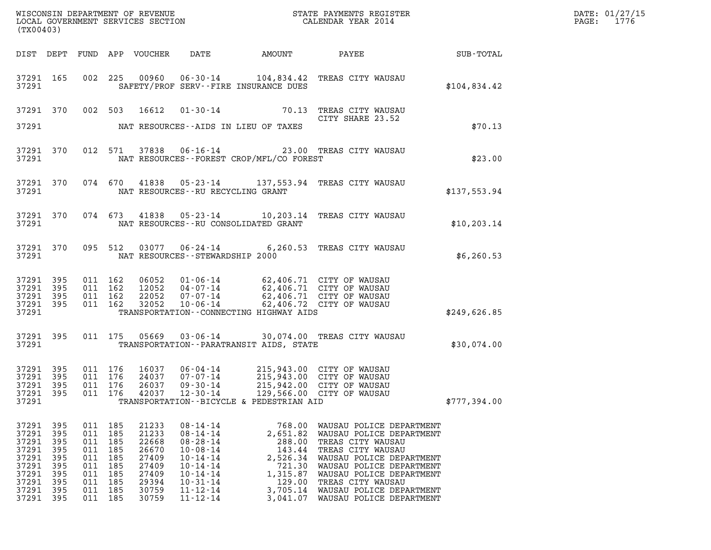| DATE: | 01/27/15 |
|-------|----------|
| PAGE: | 1776     |

| %WISCONSIN DEPARTMENT OF REVENUE $$\tt STATE$ PAYMENTS REGISTER LOCAL GOVERNMENT SERVICES SECTION $$\tt CALENDAR$ YEAR 2014<br>(TX00403) |                                 |                                                                        |                                                             |                                                                                        |                                                                                                                                                                                  |                                                                                                                                                                                       |                                                                                                                                                                                                                                                                 | $\mathbb{R}^2$ | DATE: 01/27/15<br>PAGE: 1776 |
|------------------------------------------------------------------------------------------------------------------------------------------|---------------------------------|------------------------------------------------------------------------|-------------------------------------------------------------|----------------------------------------------------------------------------------------|----------------------------------------------------------------------------------------------------------------------------------------------------------------------------------|---------------------------------------------------------------------------------------------------------------------------------------------------------------------------------------|-----------------------------------------------------------------------------------------------------------------------------------------------------------------------------------------------------------------------------------------------------------------|----------------|------------------------------|
|                                                                                                                                          |                                 |                                                                        |                                                             |                                                                                        |                                                                                                                                                                                  |                                                                                                                                                                                       |                                                                                                                                                                                                                                                                 |                |                              |
|                                                                                                                                          | 37291 165<br>37291              |                                                                        |                                                             |                                                                                        |                                                                                                                                                                                  | SAFETY/PROF SERV--FIRE INSURANCE DUES                                                                                                                                                 | 002 225 00960 06-30-14 104,834.42 TREAS CITY WAUSAU                                                                                                                                                                                                             | \$104,834.42   |                              |
|                                                                                                                                          |                                 |                                                                        |                                                             |                                                                                        |                                                                                                                                                                                  |                                                                                                                                                                                       | 37291 370 002 503 16612 01-30-14 70.13 TREAS CITY WAUSAU<br>CITY SHARE 23.52                                                                                                                                                                                    |                |                              |
|                                                                                                                                          |                                 |                                                                        |                                                             |                                                                                        |                                                                                                                                                                                  |                                                                                                                                                                                       |                                                                                                                                                                                                                                                                 | \$70.13        |                              |
|                                                                                                                                          | 37291 370                       |                                                                        |                                                             |                                                                                        |                                                                                                                                                                                  | 37291 NAT RESOURCES--FOREST CROP/MFL/CO FOREST                                                                                                                                        | 012 571 37838 06-16-14 23.00 TREAS CITY WAUSAU                                                                                                                                                                                                                  | \$23.00        |                              |
|                                                                                                                                          |                                 |                                                                        |                                                             |                                                                                        | 37291 NAT RESOURCES--RU RECYCLING GRANT                                                                                                                                          |                                                                                                                                                                                       | 37291 370 074 670 41838 05-23-14 137,553.94 TREAS CITY WAUSAU                                                                                                                                                                                                   | \$137,553.94   |                              |
|                                                                                                                                          |                                 |                                                                        |                                                             |                                                                                        |                                                                                                                                                                                  | 37291 NAT RESOURCES--RU CONSOLIDATED GRANT                                                                                                                                            | 37291 370 074 673 41838 05-23-14 10,203.14 TREAS CITY WAUSAU                                                                                                                                                                                                    | \$10, 203.14   |                              |
|                                                                                                                                          |                                 |                                                                        |                                                             |                                                                                        |                                                                                                                                                                                  | 37291 NAT RESOURCES--STEWARDSHIP 2000                                                                                                                                                 | 37291 370 095 512 03077 06-24-14 6,260.53 TREAS CITY WAUSAU                                                                                                                                                                                                     | \$6, 260.53    |                              |
| 37291 395<br>37291 395<br>37291 395<br>37291 395<br>37291                                                                                |                                 | 011 162<br>011 162                                                     | 011 162<br>011 162                                          |                                                                                        |                                                                                                                                                                                  | TRANSPORTATION--CONNECTING HIGHWAY AIDS                                                                                                                                               | 06052 01-06-14 62,406.71 CITY OF WAUSAU<br>12052 04-07-14 62,406.71 CITY OF WAUSAU<br>22052 07-07-14 62,406.71 CITY OF WAUSAU<br>32052 10-06-14 62,406.72 CITY OF WAUSAU                                                                                        | \$249,626.85   |                              |
|                                                                                                                                          | 37291 395<br>37291              |                                                                        |                                                             |                                                                                        |                                                                                                                                                                                  | TRANSPORTATION - - PARATRANSIT AIDS, STATE                                                                                                                                            | 011 175  05669  03-06-14  30,074.00  TREAS CITY WAUSAU                                                                                                                                                                                                          | \$30,074.00    |                              |
| 37291 395<br>37291 395<br>37291 395<br>37291 395<br>37291                                                                                |                                 | 011 176<br>011 176<br>011 176<br>011 176                               |                                                             | 42037                                                                                  | 12-30-14                                                                                                                                                                         | 16037  06-04-14  215,943.00  CITY OF WAUSAU<br>24037  07-07-14  215,943.00  CITY OF WAUSAU<br>26037  09-30-14  215,942.00  CITY OF WAUSAU<br>TRANSPORTATION--BICYCLE & PEDESTRIAN AID | 129,566.00 CITY OF WAUSAU                                                                                                                                                                                                                                       | \$777,394.00   |                              |
| 37291 395<br>37291 395<br>37291<br>37291 395<br>37291<br>37291<br>37291<br>37291 395<br>37291<br>37291 395                               | 395<br>395<br>395<br>395<br>395 | 011 185<br>011<br>011<br>011<br>011<br>011<br>011<br>011<br>011<br>011 | 185<br>185<br>185<br>185<br>185<br>185<br>185<br>185<br>185 | 21233<br>21233<br>22668<br>26670<br>27409<br>27409<br>27409<br>29394<br>30759<br>30759 | $08 - 14 - 14$<br>$08 - 14 - 14$<br>$08 - 28 - 14$<br>$10 - 08 - 14$<br>$10 - 14 - 14$<br>$10 - 14 - 14$<br>$10 - 14 - 14$<br>$10 - 31 - 14$<br>$11 - 12 - 14$<br>$11 - 12 - 14$ | 768.00<br>2,651.82<br>288.00<br>143.44<br>2,526.34<br>721.30<br>1,315.87<br>129.00<br>3,705.14<br>3,041.07                                                                            | WAUSAU POLICE DEPARTMENT<br>WAUSAU POLICE DEPARTMENT<br>TREAS CITY WAUSAU<br>TREAS CITY WAUSAU<br>WAUSAU POLICE DEPARTMENT<br>WAUSAU POLICE DEPARTMENT<br>WAUSAU POLICE DEPARTMENT<br>TREAS CITY WAUSAU<br>WAUSAU POLICE DEPARTMENT<br>WAUSAU POLICE DEPARTMENT |                |                              |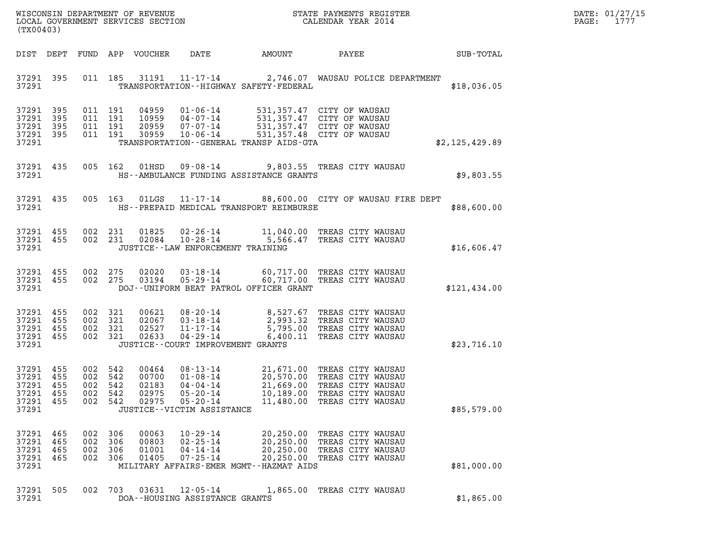| DATE: | 01/27/15 |
|-------|----------|
| PAGE: | 1777     |

| (TX00403)                                                              |                   |                                                 |                                                  |                                                                                                                 |                        |                                                                                                                                                                                          |                | DATE: 01/27/15<br>1777<br>$\mathtt{PAGE:}$ |
|------------------------------------------------------------------------|-------------------|-------------------------------------------------|--------------------------------------------------|-----------------------------------------------------------------------------------------------------------------|------------------------|------------------------------------------------------------------------------------------------------------------------------------------------------------------------------------------|----------------|--------------------------------------------|
|                                                                        |                   |                                                 | DIST DEPT FUND APP VOUCHER                       | DATE                                                                                                            | AMOUNT                 | PAYEE                                                                                                                                                                                    | SUB-TOTAL      |                                            |
| 37291                                                                  | 37291 395         |                                                 |                                                  | TRANSPORTATION - - HIGHWAY SAFETY - FEDERAL                                                                     |                        | 011 185 31191 11-17-14 2,746.07 WAUSAU POLICE DEPARTMENT                                                                                                                                 | \$18,036.05    |                                            |
| 37291 395<br>37291 395<br>37291 395<br>37291 395<br>37291              |                   | 011 191<br>011 191<br>011 191<br>011 191        |                                                  | TRANSPORTATION - - GENERAL TRANSP AIDS - GTA                                                                    |                        | 04959  01-06-14  531,357.47  CITY OF WAUSAU<br>10959  04-07-14  531,357.47  CITY OF WAUSAU<br>20959  07-07-14  531,357.47  CITY OF WAUSAU<br>30959  10-06-14  531,357.48  CITY OF WAUSAU | \$2,125,429.89 |                                            |
| 37291 435<br>37291                                                     |                   | 005 162                                         | 01HSD                                            | HS--AMBULANCE FUNDING ASSISTANCE GRANTS                                                                         |                        | 09-08-14 9,803.55 TREAS CITY WAUSAU                                                                                                                                                      | \$9,803.55     |                                            |
| 37291                                                                  | 37291 435         |                                                 | 005 163 01LGS                                    | HS--PREPAID MEDICAL TRANSPORT REIMBURSE                                                                         |                        | 11-17-14 88,600.00 CITY OF WAUSAU FIRE DEPT                                                                                                                                              | \$88,600.00    |                                            |
| 37291 455<br>37291 455<br>37291                                        |                   | 002 231<br>002 231                              | 01825<br>02084                                   | $10 - 28 - 14$<br>JUSTICE - - LAW ENFORCEMENT TRAINING                                                          |                        | 02-26-14 11,040.00 TREAS CITY WAUSAU<br>5,566.47 TREAS CITY WAUSAU                                                                                                                       | \$16,606.47    |                                            |
| 37291                                                                  | 37291 455         | 37291 455 002 275<br>002 275                    |                                                  | DOJ--UNIFORM BEAT PATROL OFFICER GRANT                                                                          |                        | 02020  03-18-14  60,717.00 TREAS CITY WAUSAU<br>03194  05-29-14  60,717.00 TREAS CITY WAUSAU                                                                                             | \$121,434.00   |                                            |
| 37291 455<br>37291 455<br>37291 455<br>37291 455<br>37291              |                   | 002 321<br>002 321<br>002 321<br>002 321        | 02633                                            | 04-29-14<br>JUSTICE - - COURT IMPROVEMENT GRANTS                                                                |                        | 00621 08-20-14 8,527.67 TREAS CITY WAUSAU<br>02067 03-18-14 2,993.32 TREAS CITY WAUSAU<br>02527 11-17-14 5,795.00 TREAS CITY WAUSAU<br>6,400.11 TREAS CITY WAUSAU                        | \$23,716.10    |                                            |
| 37291 455<br>37291 455<br>37291 455<br>37291 455<br>37291 455<br>37291 |                   | 002 542<br>002 542<br>002 542<br>002<br>002 542 | 00464<br>00700<br>02183<br>542<br>02975<br>02975 | $01 - 08 - 14$<br>04-04-14<br>$05 - 20 - 14$<br>$05 - 20 - 14$<br>JUSTICE - - VICTIM ASSISTANCE                 | 10,189.00<br>11,480.00 | 08-13-14 21,671.00 TREAS CITY WAUSAU<br>20,570.00 TREAS CITY WAUSAU<br>21,669.00 TREAS CITY WAUSAU<br>TREAS CITY WAUSAU<br>TREAS CITY WAUSAU                                             | \$85,579.00    |                                            |
| 37291 465<br>37291<br>37291<br>37291<br>37291                          | 465<br>465<br>465 | 002 306<br>002<br>002<br>002 306                | 00063<br>306<br>00803<br>306<br>01001<br>01405   | $10 - 29 - 14$<br>$02 - 25 - 14$<br>$04 - 14 - 14$<br>$07 - 25 - 14$<br>MILITARY AFFAIRS-EMER MGMT--HAZMAT AIDS | 20,250.00              | 20,250.00 TREAS CITY WAUSAU<br>TREAS CITY WAUSAU<br>20,250.00 TREAS CITY WAUSAU<br>20,250.00 TREAS CITY WAUSAU                                                                           | \$81,000.00    |                                            |
| 37291 505<br>37291                                                     |                   | 002 703                                         | 03631                                            | 12-05-14<br>DOA--HOUSING ASSISTANCE GRANTS                                                                      |                        | 1,865.00 TREAS CITY WAUSAU                                                                                                                                                               | \$1,865.00     |                                            |